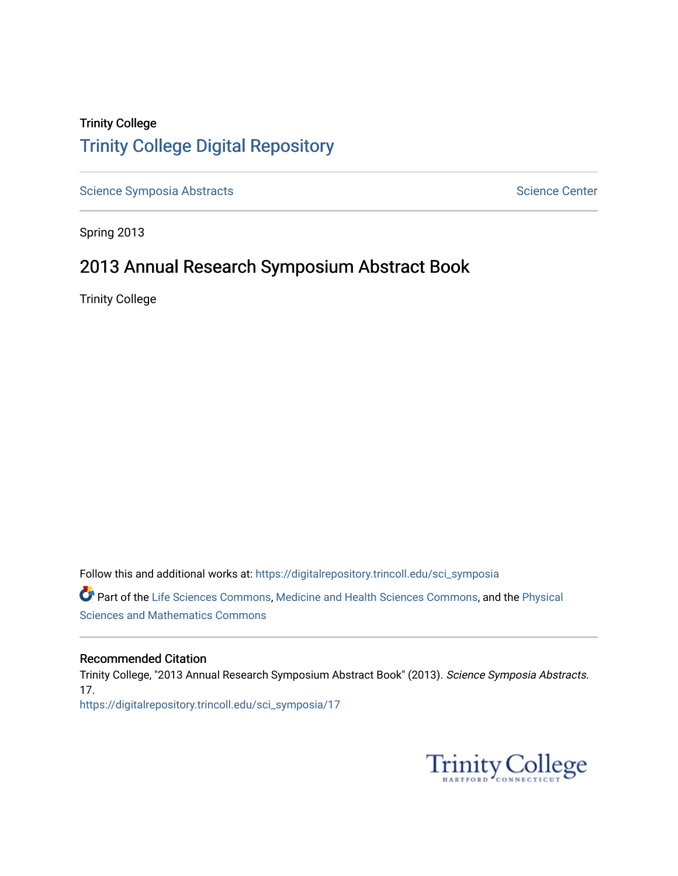## Trinity College [Trinity College Digital Repository](https://digitalrepository.trincoll.edu/)

[Science Symposia Abstracts](https://digitalrepository.trincoll.edu/sci_symposia) **Science Center** Science Center

Spring 2013

## 2013 Annual Research Symposium Abstract Book

Trinity College

Follow this and additional works at: [https://digitalrepository.trincoll.edu/sci\\_symposia](https://digitalrepository.trincoll.edu/sci_symposia?utm_source=digitalrepository.trincoll.edu%2Fsci_symposia%2F17&utm_medium=PDF&utm_campaign=PDFCoverPages)  Part of the [Life Sciences Commons,](http://network.bepress.com/hgg/discipline/1016?utm_source=digitalrepository.trincoll.edu%2Fsci_symposia%2F17&utm_medium=PDF&utm_campaign=PDFCoverPages) [Medicine and Health Sciences Commons,](http://network.bepress.com/hgg/discipline/648?utm_source=digitalrepository.trincoll.edu%2Fsci_symposia%2F17&utm_medium=PDF&utm_campaign=PDFCoverPages) and the [Physical](http://network.bepress.com/hgg/discipline/114?utm_source=digitalrepository.trincoll.edu%2Fsci_symposia%2F17&utm_medium=PDF&utm_campaign=PDFCoverPages)  [Sciences and Mathematics Commons](http://network.bepress.com/hgg/discipline/114?utm_source=digitalrepository.trincoll.edu%2Fsci_symposia%2F17&utm_medium=PDF&utm_campaign=PDFCoverPages) 

#### Recommended Citation

Trinity College, "2013 Annual Research Symposium Abstract Book" (2013). Science Symposia Abstracts. 17. [https://digitalrepository.trincoll.edu/sci\\_symposia/17](https://digitalrepository.trincoll.edu/sci_symposia/17?utm_source=digitalrepository.trincoll.edu%2Fsci_symposia%2F17&utm_medium=PDF&utm_campaign=PDFCoverPages) 

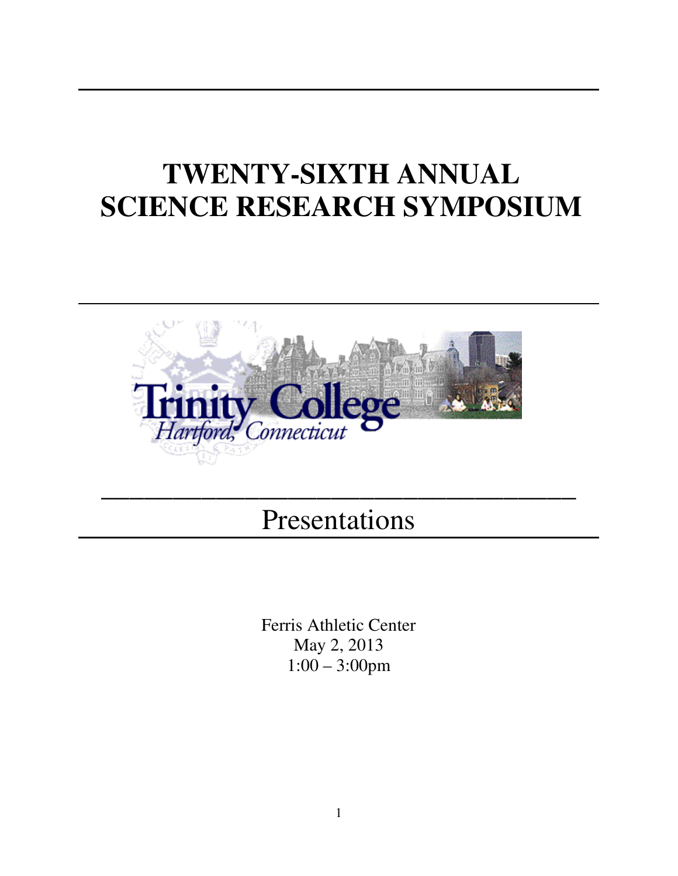# **TWENTY-SIXTH ANNUAL SCIENCE RESEARCH SYMPOSIUM**



# Presentations

\_\_\_\_\_\_\_\_\_\_\_\_\_\_\_\_\_\_\_\_\_\_\_\_\_\_\_\_\_\_\_\_\_

Ferris Athletic Center May 2, 2013 1:00 – 3:00pm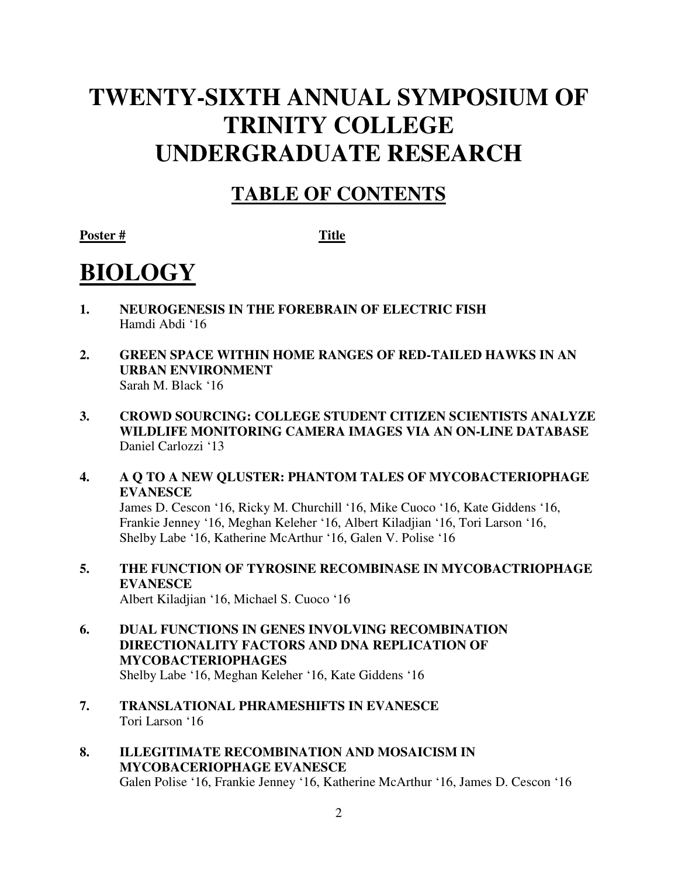# **TWENTY-SIXTH ANNUAL SYMPOSIUM OF TRINITY COLLEGE UNDERGRADUATE RESEARCH**

## **TABLE OF CONTENTS**

Poster # Title

# **BIOLOGY**

- **1. NEUROGENESIS IN THE FOREBRAIN OF ELECTRIC FISH** Hamdi Abdi '16
- **2. GREEN SPACE WITHIN HOME RANGES OF RED-TAILED HAWKS IN AN URBAN ENVIRONMENT** Sarah M. Black '16
- **3. CROWD SOURCING: COLLEGE STUDENT CITIZEN SCIENTISTS ANALYZE WILDLIFE MONITORING CAMERA IMAGES VIA AN ON-LINE DATABASE** Daniel Carlozzi '13
- **4. A Q TO A NEW QLUSTER: PHANTOM TALES OF MYCOBACTERIOPHAGE EVANESCE**

James D. Cescon '16, Ricky M. Churchill '16, Mike Cuoco '16, Kate Giddens '16, Frankie Jenney '16, Meghan Keleher '16, Albert Kiladjian '16, Tori Larson '16, Shelby Labe '16, Katherine McArthur '16, Galen V. Polise '16

**5. THE FUNCTION OF TYROSINE RECOMBINASE IN MYCOBACTRIOPHAGE EVANESCE** 

Albert Kiladjian '16, Michael S. Cuoco '16

- **6. DUAL FUNCTIONS IN GENES INVOLVING RECOMBINATION DIRECTIONALITY FACTORS AND DNA REPLICATION OF MYCOBACTERIOPHAGES**  Shelby Labe '16, Meghan Keleher '16, Kate Giddens '16
- **7. TRANSLATIONAL PHRAMESHIFTS IN EVANESCE**  Tori Larson '16
- **8. ILLEGITIMATE RECOMBINATION AND MOSAICISM IN MYCOBACERIOPHAGE EVANESCE**  Galen Polise '16, Frankie Jenney '16, Katherine McArthur '16, James D. Cescon '16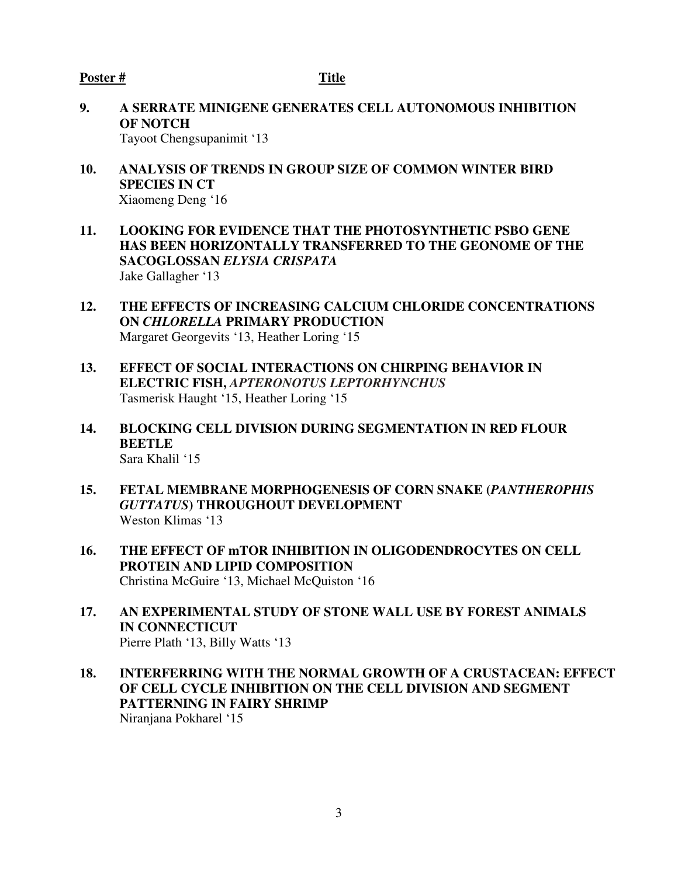- **9. A SERRATE MINIGENE GENERATES CELL AUTONOMOUS INHIBITION OF NOTCH**  Tayoot Chengsupanimit '13
- **10. ANALYSIS OF TRENDS IN GROUP SIZE OF COMMON WINTER BIRD SPECIES IN CT**  Xiaomeng Deng '16
- **11. LOOKING FOR EVIDENCE THAT THE PHOTOSYNTHETIC PSBO GENE HAS BEEN HORIZONTALLY TRANSFERRED TO THE GEONOME OF THE SACOGLOSSAN** *ELYSIA CRISPATA*  Jake Gallagher '13
- **12. THE EFFECTS OF INCREASING CALCIUM CHLORIDE CONCENTRATIONS ON** *CHLORELLA* **PRIMARY PRODUCTION** Margaret Georgevits '13, Heather Loring '15
- **13. EFFECT OF SOCIAL INTERACTIONS ON CHIRPING BEHAVIOR IN ELECTRIC FISH,** *APTERONOTUS LEPTORHYNCHUS* Tasmerisk Haught '15, Heather Loring '15
- **14. BLOCKING CELL DIVISION DURING SEGMENTATION IN RED FLOUR BEETLE**  Sara Khalil '15
- **15. FETAL MEMBRANE MORPHOGENESIS OF CORN SNAKE (***PANTHEROPHIS GUTTATUS***) THROUGHOUT DEVELOPMENT**  Weston Klimas '13
- **16. THE EFFECT OF mTOR INHIBITION IN OLIGODENDROCYTES ON CELL PROTEIN AND LIPID COMPOSITION** Christina McGuire '13, Michael McQuiston '16
- **17. AN EXPERIMENTAL STUDY OF STONE WALL USE BY FOREST ANIMALS IN CONNECTICUT**  Pierre Plath '13, Billy Watts '13
- **18. INTERFERRING WITH THE NORMAL GROWTH OF A CRUSTACEAN: EFFECT OF CELL CYCLE INHIBITION ON THE CELL DIVISION AND SEGMENT PATTERNING IN FAIRY SHRIMP**

Niranjana Pokharel '15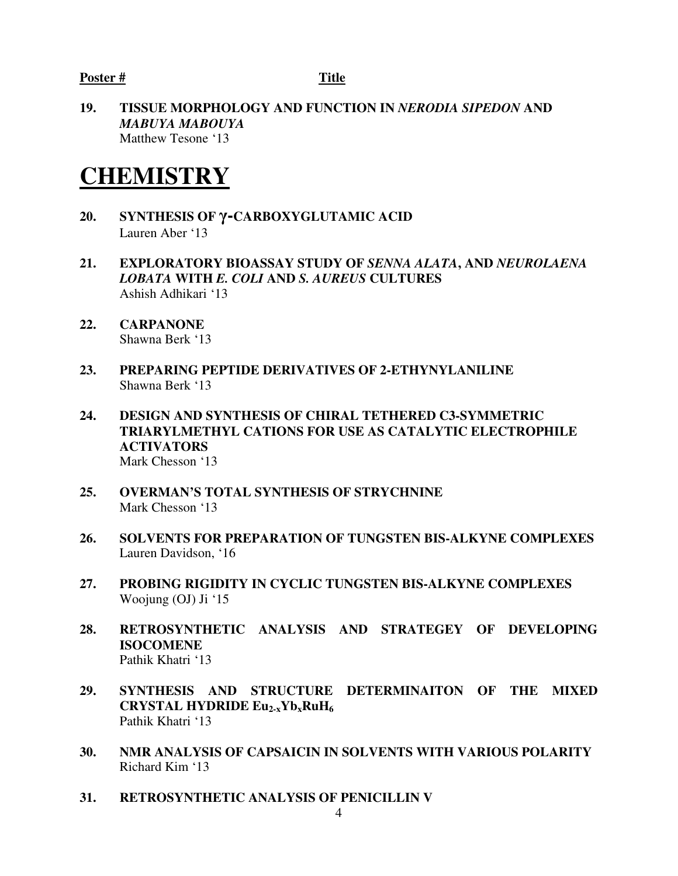**19. TISSUE MORPHOLOGY AND FUNCTION IN** *NERODIA SIPEDON* **AND**  *MABUYA MABOUYA* Matthew Tesone '13

## **CHEMISTRY**

- **20. SYNTHESIS OF** γ**-CARBOXYGLUTAMIC ACID**  Lauren Aber '13
- **21. EXPLORATORY BIOASSAY STUDY OF** *SENNA ALATA***, AND** *NEUROLAENA LOBATA* **WITH** *E. COLI* **AND** *S. AUREUS* **CULTURES**  Ashish Adhikari '13
- **22. CARPANONE**  Shawna Berk '13
- **23. PREPARING PEPTIDE DERIVATIVES OF 2-ETHYNYLANILINE**  Shawna Berk '13
- **24. DESIGN AND SYNTHESIS OF CHIRAL TETHERED C3-SYMMETRIC TRIARYLMETHYL CATIONS FOR USE AS CATALYTIC ELECTROPHILE ACTIVATORS**  Mark Chesson '13
- **25. OVERMAN'S TOTAL SYNTHESIS OF STRYCHNINE**  Mark Chesson '13
- **26. SOLVENTS FOR PREPARATION OF TUNGSTEN BIS-ALKYNE COMPLEXES** Lauren Davidson, '16
- **27. PROBING RIGIDITY IN CYCLIC TUNGSTEN BIS-ALKYNE COMPLEXES** Woojung (OJ) Ji '15
- **28. RETROSYNTHETIC ANALYSIS AND STRATEGEY OF DEVELOPING ISOCOMENE** Pathik Khatri '13
- **29. SYNTHESIS AND STRUCTURE DETERMINAITON OF THE MIXED CRYSTAL HYDRIDE Eu2-xYbxRuH<sup>6</sup>** Pathik Khatri '13
- **30. NMR ANALYSIS OF CAPSAICIN IN SOLVENTS WITH VARIOUS POLARITY** Richard Kim '13
- **31. RETROSYNTHETIC ANALYSIS OF PENICILLIN V**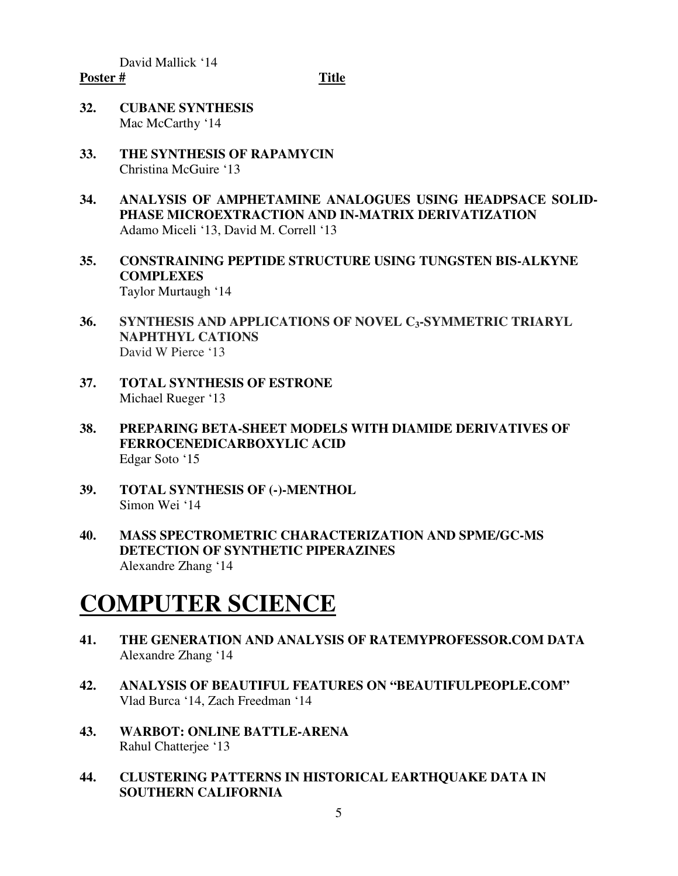David Mallick '14

#### Poster # Title

- **32. CUBANE SYNTHESIS** Mac McCarthy '14
- **33. THE SYNTHESIS OF RAPAMYCIN**  Christina McGuire '13
- **34. ANALYSIS OF AMPHETAMINE ANALOGUES USING HEADPSACE SOLID-PHASE MICROEXTRACTION AND IN-MATRIX DERIVATIZATION**  Adamo Miceli '13, David M. Correll '13
- **35. CONSTRAINING PEPTIDE STRUCTURE USING TUNGSTEN BIS-ALKYNE COMPLEXES**  Taylor Murtaugh '14
- **36. SYNTHESIS AND APPLICATIONS OF NOVEL C3-SYMMETRIC TRIARYL NAPHTHYL CATIONS** David W Pierce '13
- **37. TOTAL SYNTHESIS OF ESTRONE**  Michael Rueger '13
- **38. PREPARING BETA-SHEET MODELS WITH DIAMIDE DERIVATIVES OF FERROCENEDICARBOXYLIC ACID**  Edgar Soto '15
- **39. TOTAL SYNTHESIS OF (-)-MENTHOL**  Simon Wei '14
- **40. MASS SPECTROMETRIC CHARACTERIZATION AND SPME/GC-MS DETECTION OF SYNTHETIC PIPERAZINES**  Alexandre Zhang '14

# **COMPUTER SCIENCE**

- **41. THE GENERATION AND ANALYSIS OF RATEMYPROFESSOR.COM DATA**  Alexandre Zhang '14
- **42. ANALYSIS OF BEAUTIFUL FEATURES ON "BEAUTIFULPEOPLE.COM"**  Vlad Burca '14, Zach Freedman '14
- **43. WARBOT: ONLINE BATTLE-ARENA**  Rahul Chatterjee '13
- **44. CLUSTERING PATTERNS IN HISTORICAL EARTHQUAKE DATA IN SOUTHERN CALIFORNIA**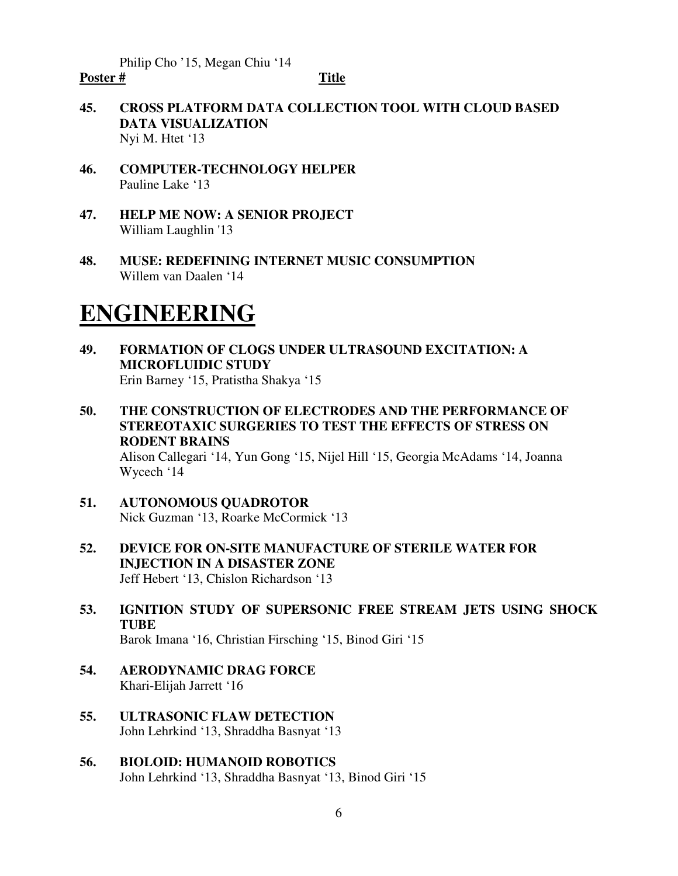Philip Cho '15, Megan Chiu '14

#### Poster # Title

- **45. CROSS PLATFORM DATA COLLECTION TOOL WITH CLOUD BASED DATA VISUALIZATION**  Nyi M. Htet '13
- **46. COMPUTER-TECHNOLOGY HELPER** Pauline Lake '13
- **47. HELP ME NOW: A SENIOR PROJECT**  William Laughlin '13
- **48. MUSE: REDEFINING INTERNET MUSIC CONSUMPTION** Willem van Daalen '14

## **ENGINEERING**

- **49. FORMATION OF CLOGS UNDER ULTRASOUND EXCITATION: A MICROFLUIDIC STUDY** Erin Barney '15, Pratistha Shakya '15
- **50. THE CONSTRUCTION OF ELECTRODES AND THE PERFORMANCE OF STEREOTAXIC SURGERIES TO TEST THE EFFECTS OF STRESS ON RODENT BRAINS**  Alison Callegari '14, Yun Gong '15, Nijel Hill '15, Georgia McAdams '14, Joanna Wycech '14
- **51. AUTONOMOUS QUADROTOR**  Nick Guzman '13, Roarke McCormick '13
- **52. DEVICE FOR ON-SITE MANUFACTURE OF STERILE WATER FOR INJECTION IN A DISASTER ZONE**  Jeff Hebert '13, Chislon Richardson '13
- **53. IGNITION STUDY OF SUPERSONIC FREE STREAM JETS USING SHOCK TUBE** Barok Imana '16, Christian Firsching '15, Binod Giri '15

- **54. AERODYNAMIC DRAG FORCE**  Khari-Elijah Jarrett '16
- **55. ULTRASONIC FLAW DETECTION**  John Lehrkind '13, Shraddha Basnyat '13
- **56. BIOLOID: HUMANOID ROBOTICS** John Lehrkind '13, Shraddha Basnyat '13, Binod Giri '15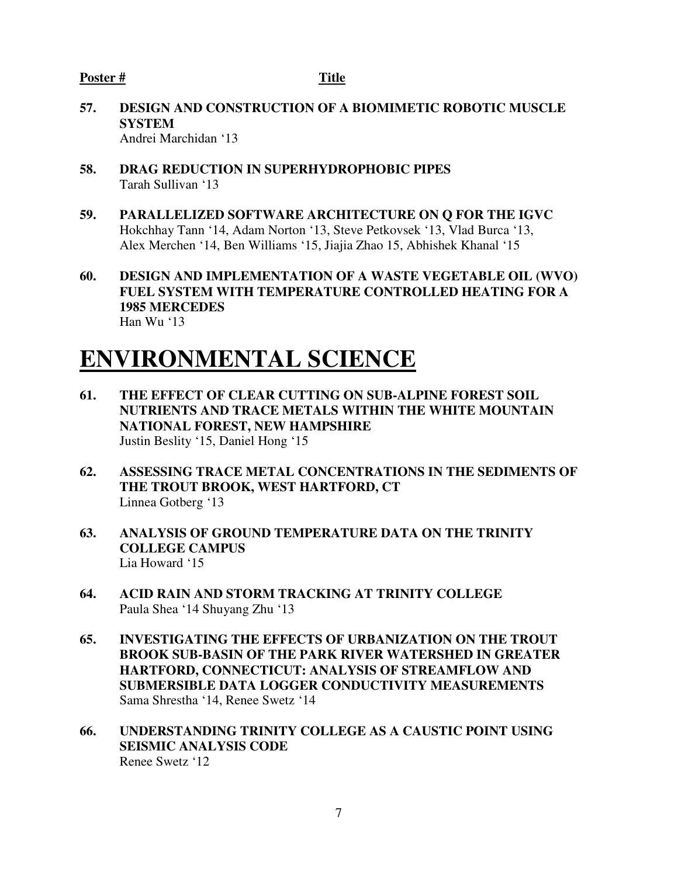- **57. DESIGN AND CONSTRUCTION OF A BIOMIMETIC ROBOTIC MUSCLE SYSTEM**  Andrei Marchidan '13
- **58. DRAG REDUCTION IN SUPERHYDROPHOBIC PIPES**  Tarah Sullivan '13
- **59. PARALLELIZED SOFTWARE ARCHITECTURE ON Q FOR THE IGVC** Hokchhay Tann '14, Adam Norton '13, Steve Petkovsek '13, Vlad Burca '13, Alex Merchen '14, Ben Williams '15, Jiajia Zhao 15, Abhishek Khanal '15
- **60. DESIGN AND IMPLEMENTATION OF A WASTE VEGETABLE OIL (WVO) FUEL SYSTEM WITH TEMPERATURE CONTROLLED HEATING FOR A 1985 MERCEDES**  Han Wu '13

## **ENVIRONMENTAL SCIENCE**

- **61. THE EFFECT OF CLEAR CUTTING ON SUB-ALPINE FOREST SOIL NUTRIENTS AND TRACE METALS WITHIN THE WHITE MOUNTAIN NATIONAL FOREST, NEW HAMPSHIRE**  Justin Beslity '15, Daniel Hong '15
- **62. ASSESSING TRACE METAL CONCENTRATIONS IN THE SEDIMENTS OF THE TROUT BROOK, WEST HARTFORD, CT**  Linnea Gotberg '13
- **63. ANALYSIS OF GROUND TEMPERATURE DATA ON THE TRINITY COLLEGE CAMPUS**  Lia Howard '15
- **64. ACID RAIN AND STORM TRACKING AT TRINITY COLLEGE**  Paula Shea '14 Shuyang Zhu '13
- **65. INVESTIGATING THE EFFECTS OF URBANIZATION ON THE TROUT BROOK SUB-BASIN OF THE PARK RIVER WATERSHED IN GREATER HARTFORD, CONNECTICUT: ANALYSIS OF STREAMFLOW AND SUBMERSIBLE DATA LOGGER CONDUCTIVITY MEASUREMENTS**  Sama Shrestha '14, Renee Swetz '14
- **66. UNDERSTANDING TRINITY COLLEGE AS A CAUSTIC POINT USING SEISMIC ANALYSIS CODE**  Renee Swetz '12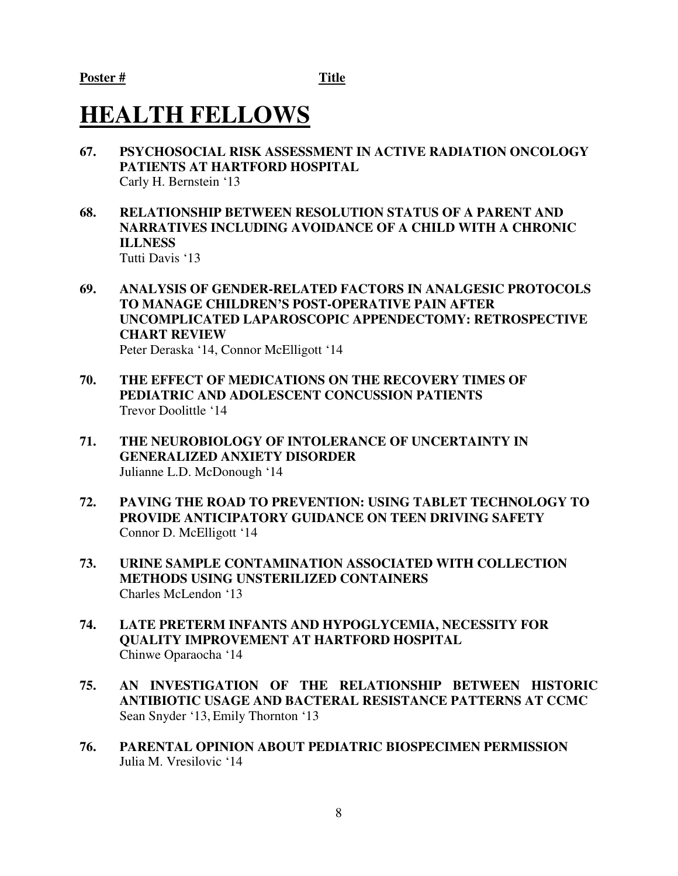## **HEALTH FELLOWS**

- **67. PSYCHOSOCIAL RISK ASSESSMENT IN ACTIVE RADIATION ONCOLOGY PATIENTS AT HARTFORD HOSPITAL**  Carly H. Bernstein '13
- **68. RELATIONSHIP BETWEEN RESOLUTION STATUS OF A PARENT AND NARRATIVES INCLUDING AVOIDANCE OF A CHILD WITH A CHRONIC ILLNESS**  Tutti Davis '13
- **69. ANALYSIS OF GENDER-RELATED FACTORS IN ANALGESIC PROTOCOLS TO MANAGE CHILDREN'S POST-OPERATIVE PAIN AFTER UNCOMPLICATED LAPAROSCOPIC APPENDECTOMY: RETROSPECTIVE CHART REVIEW**  Peter Deraska '14, Connor McElligott '14
- **70. THE EFFECT OF MEDICATIONS ON THE RECOVERY TIMES OF PEDIATRIC AND ADOLESCENT CONCUSSION PATIENTS**  Trevor Doolittle '14
- **71. THE NEUROBIOLOGY OF INTOLERANCE OF UNCERTAINTY IN GENERALIZED ANXIETY DISORDER**  Julianne L.D. McDonough '14
- **72. PAVING THE ROAD TO PREVENTION: USING TABLET TECHNOLOGY TO PROVIDE ANTICIPATORY GUIDANCE ON TEEN DRIVING SAFETY**  Connor D. McElligott '14
- **73. URINE SAMPLE CONTAMINATION ASSOCIATED WITH COLLECTION METHODS USING UNSTERILIZED CONTAINERS**  Charles McLendon '13
- **74. LATE PRETERM INFANTS AND HYPOGLYCEMIA, NECESSITY FOR QUALITY IMPROVEMENT AT HARTFORD HOSPITAL** Chinwe Oparaocha '14
- **75. AN INVESTIGATION OF THE RELATIONSHIP BETWEEN HISTORIC ANTIBIOTIC USAGE AND BACTERAL RESISTANCE PATTERNS AT CCMC**  Sean Snyder '13, Emily Thornton '13
- **76. PARENTAL OPINION ABOUT PEDIATRIC BIOSPECIMEN PERMISSION** Julia M. Vresilovic '14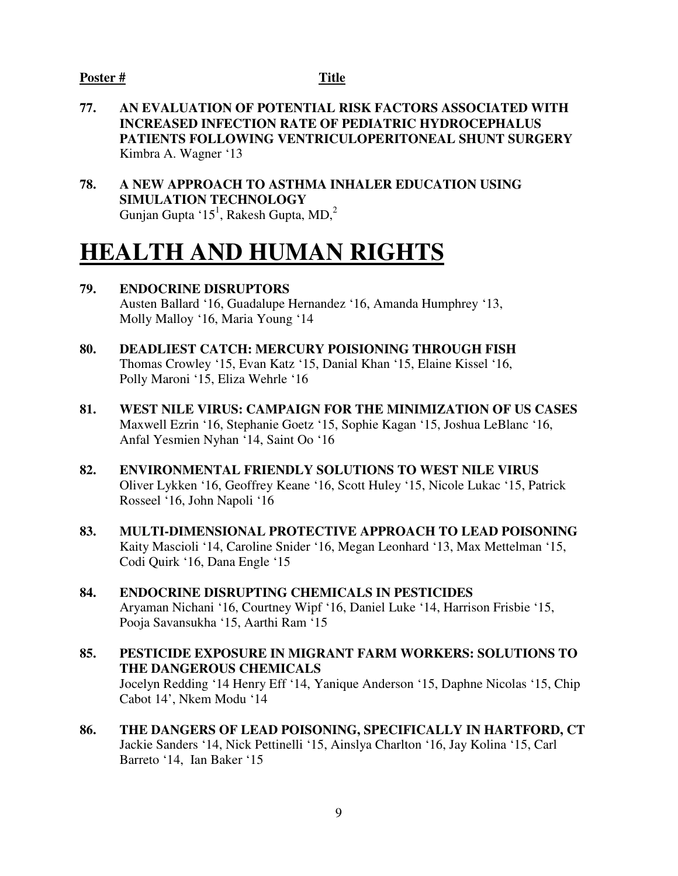- **77. AN EVALUATION OF POTENTIAL RISK FACTORS ASSOCIATED WITH INCREASED INFECTION RATE OF PEDIATRIC HYDROCEPHALUS PATIENTS FOLLOWING VENTRICULOPERITONEAL SHUNT SURGERY**  Kimbra A. Wagner '13
- **78. A NEW APPROACH TO ASTHMA INHALER EDUCATION USING SIMULATION TECHNOLOGY**  Gunjan Gupta ' $15^1$ , Rakesh Gupta, MD,<sup>2</sup>

## **HEALTH AND HUMAN RIGHTS**

- **79. ENDOCRINE DISRUPTORS**  Austen Ballard '16, Guadalupe Hernandez '16, Amanda Humphrey '13, Molly Malloy '16, Maria Young '14
- **80. DEADLIEST CATCH: MERCURY POISIONING THROUGH FISH**  Thomas Crowley '15, Evan Katz '15, Danial Khan '15, Elaine Kissel '16, Polly Maroni '15, Eliza Wehrle '16
- **81. WEST NILE VIRUS: CAMPAIGN FOR THE MINIMIZATION OF US CASES**  Maxwell Ezrin '16, Stephanie Goetz '15, Sophie Kagan '15, Joshua LeBlanc '16, Anfal Yesmien Nyhan '14, Saint Oo '16
- **82. ENVIRONMENTAL FRIENDLY SOLUTIONS TO WEST NILE VIRUS**  Oliver Lykken '16, Geoffrey Keane '16, Scott Huley '15, Nicole Lukac '15, Patrick Rosseel '16, John Napoli '16
- **83. MULTI-DIMENSIONAL PROTECTIVE APPROACH TO LEAD POISONING**  Kaity Mascioli '14, Caroline Snider '16, Megan Leonhard '13, Max Mettelman '15, Codi Quirk '16, Dana Engle '15
- **84. ENDOCRINE DISRUPTING CHEMICALS IN PESTICIDES**  Aryaman Nichani '16, Courtney Wipf '16, Daniel Luke '14, Harrison Frisbie '15, Pooja Savansukha '15, Aarthi Ram '15
- **85. PESTICIDE EXPOSURE IN MIGRANT FARM WORKERS: SOLUTIONS TO THE DANGEROUS CHEMICALS**  Jocelyn Redding '14 Henry Eff '14, Yanique Anderson '15, Daphne Nicolas '15, Chip Cabot 14', Nkem Modu '14
- **86. THE DANGERS OF LEAD POISONING, SPECIFICALLY IN HARTFORD, CT**  Jackie Sanders '14, Nick Pettinelli '15, Ainslya Charlton '16, Jay Kolina '15, Carl Barreto '14, Ian Baker '15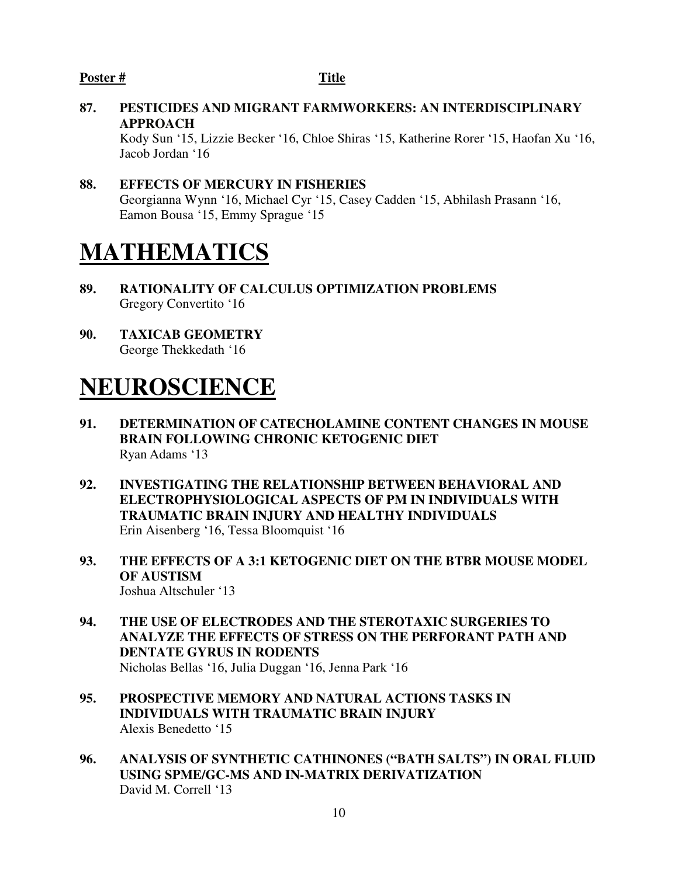**87. PESTICIDES AND MIGRANT FARMWORKERS: AN INTERDISCIPLINARY APPROACH** 

Kody Sun '15, Lizzie Becker '16, Chloe Shiras '15, Katherine Rorer '15, Haofan Xu '16, Jacob Jordan '16

**88. EFFECTS OF MERCURY IN FISHERIES**  Georgianna Wynn '16, Michael Cyr '15, Casey Cadden '15, Abhilash Prasann '16, Eamon Bousa '15, Emmy Sprague '15

## **MATHEMATICS**

- **89. RATIONALITY OF CALCULUS OPTIMIZATION PROBLEMS**  Gregory Convertito '16
- **90. TAXICAB GEOMETRY**  George Thekkedath '16

## **NEUROSCIENCE**

- **91. DETERMINATION OF CATECHOLAMINE CONTENT CHANGES IN MOUSE BRAIN FOLLOWING CHRONIC KETOGENIC DIET**  Ryan Adams '13
- **92. INVESTIGATING THE RELATIONSHIP BETWEEN BEHAVIORAL AND ELECTROPHYSIOLOGICAL ASPECTS OF PM IN INDIVIDUALS WITH TRAUMATIC BRAIN INJURY AND HEALTHY INDIVIDUALS**  Erin Aisenberg '16, Tessa Bloomquist '16
- **93. THE EFFECTS OF A 3:1 KETOGENIC DIET ON THE BTBR MOUSE MODEL OF AUSTISM**  Joshua Altschuler '13
- **94. THE USE OF ELECTRODES AND THE STEROTAXIC SURGERIES TO ANALYZE THE EFFECTS OF STRESS ON THE PERFORANT PATH AND DENTATE GYRUS IN RODENTS**  Nicholas Bellas '16, Julia Duggan '16, Jenna Park '16
- **95. PROSPECTIVE MEMORY AND NATURAL ACTIONS TASKS IN INDIVIDUALS WITH TRAUMATIC BRAIN INJURY**  Alexis Benedetto '15
- **96. ANALYSIS OF SYNTHETIC CATHINONES ("BATH SALTS") IN ORAL FLUID USING SPME/GC-MS AND IN-MATRIX DERIVATIZATION**  David M. Correll '13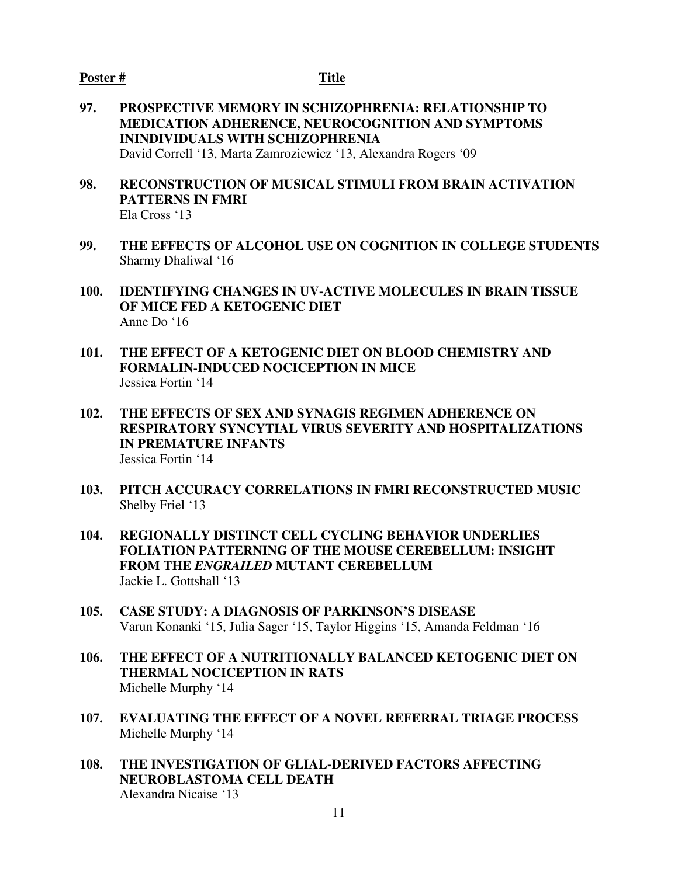- **97. PROSPECTIVE MEMORY IN SCHIZOPHRENIA: RELATIONSHIP TO MEDICATION ADHERENCE, NEUROCOGNITION AND SYMPTOMS ININDIVIDUALS WITH SCHIZOPHRENIA**  David Correll '13, Marta Zamroziewicz '13, Alexandra Rogers '09
- **98. RECONSTRUCTION OF MUSICAL STIMULI FROM BRAIN ACTIVATION PATTERNS IN FMRI**  Ela Cross '13
- **99. THE EFFECTS OF ALCOHOL USE ON COGNITION IN COLLEGE STUDENTS**  Sharmy Dhaliwal '16
- **100. IDENTIFYING CHANGES IN UV-ACTIVE MOLECULES IN BRAIN TISSUE OF MICE FED A KETOGENIC DIET** Anne Do '16
- **101. THE EFFECT OF A KETOGENIC DIET ON BLOOD CHEMISTRY AND FORMALIN-INDUCED NOCICEPTION IN MICE**  Jessica Fortin '14
- **102. THE EFFECTS OF SEX AND SYNAGIS REGIMEN ADHERENCE ON RESPIRATORY SYNCYTIAL VIRUS SEVERITY AND HOSPITALIZATIONS IN PREMATURE INFANTS**  Jessica Fortin '14
- **103. PITCH ACCURACY CORRELATIONS IN FMRI RECONSTRUCTED MUSIC**  Shelby Friel '13
- **104. REGIONALLY DISTINCT CELL CYCLING BEHAVIOR UNDERLIES FOLIATION PATTERNING OF THE MOUSE CEREBELLUM: INSIGHT FROM THE** *ENGRAILED* **MUTANT CEREBELLUM**  Jackie L. Gottshall '13
- **105. CASE STUDY: A DIAGNOSIS OF PARKINSON'S DISEASE** Varun Konanki '15, Julia Sager '15, Taylor Higgins '15, Amanda Feldman '16
- **106. THE EFFECT OF A NUTRITIONALLY BALANCED KETOGENIC DIET ON THERMAL NOCICEPTION IN RATS**  Michelle Murphy '14
- **107. EVALUATING THE EFFECT OF A NOVEL REFERRAL TRIAGE PROCESS**  Michelle Murphy '14
- **108. THE INVESTIGATION OF GLIAL-DERIVED FACTORS AFFECTING NEUROBLASTOMA CELL DEATH**  Alexandra Nicaise '13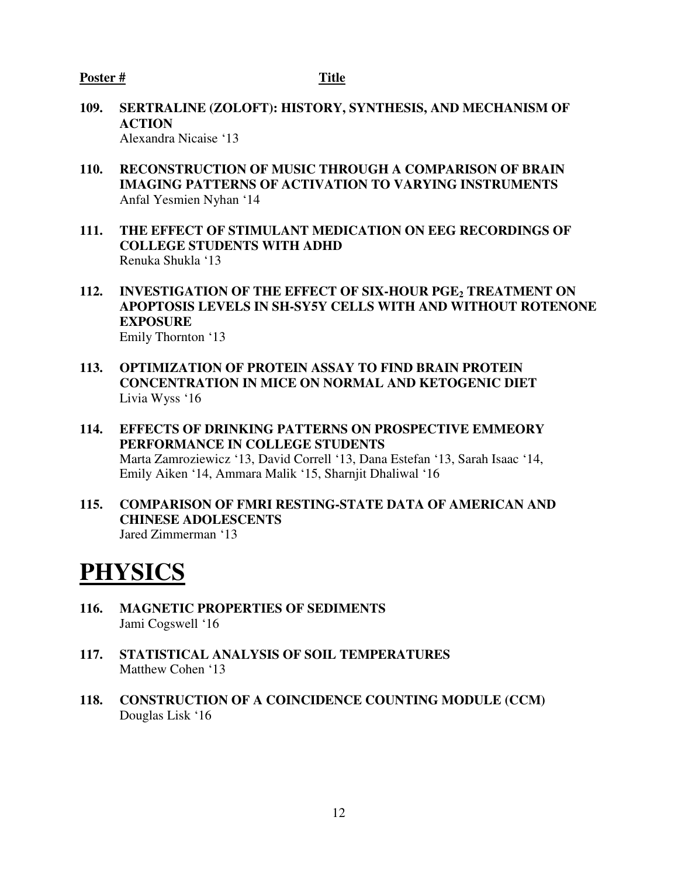- **109. SERTRALINE (ZOLOFT): HISTORY, SYNTHESIS, AND MECHANISM OF ACTION**  Alexandra Nicaise '13
- **110. RECONSTRUCTION OF MUSIC THROUGH A COMPARISON OF BRAIN IMAGING PATTERNS OF ACTIVATION TO VARYING INSTRUMENTS**  Anfal Yesmien Nyhan '14
- **111. THE EFFECT OF STIMULANT MEDICATION ON EEG RECORDINGS OF COLLEGE STUDENTS WITH ADHD**  Renuka Shukla '13
- **112. INVESTIGATION OF THE EFFECT OF SIX-HOUR PGE2 TREATMENT ON APOPTOSIS LEVELS IN SH-SY5Y CELLS WITH AND WITHOUT ROTENONE EXPOSURE** Emily Thornton '13
- **113. OPTIMIZATION OF PROTEIN ASSAY TO FIND BRAIN PROTEIN CONCENTRATION IN MICE ON NORMAL AND KETOGENIC DIET**  Livia Wyss '16
- **114. EFFECTS OF DRINKING PATTERNS ON PROSPECTIVE EMMEORY PERFORMANCE IN COLLEGE STUDENTS**  Marta Zamroziewicz '13, David Correll '13, Dana Estefan '13, Sarah Isaac '14, Emily Aiken '14, Ammara Malik '15, Sharnjit Dhaliwal '16
- **115. COMPARISON OF FMRI RESTING-STATE DATA OF AMERICAN AND CHINESE ADOLESCENTS**  Jared Zimmerman '13

## **PHYSICS**

- **116. MAGNETIC PROPERTIES OF SEDIMENTS**  Jami Cogswell '16
- **117. STATISTICAL ANALYSIS OF SOIL TEMPERATURES** Matthew Cohen '13
- **118. CONSTRUCTION OF A COINCIDENCE COUNTING MODULE (CCM)**  Douglas Lisk '16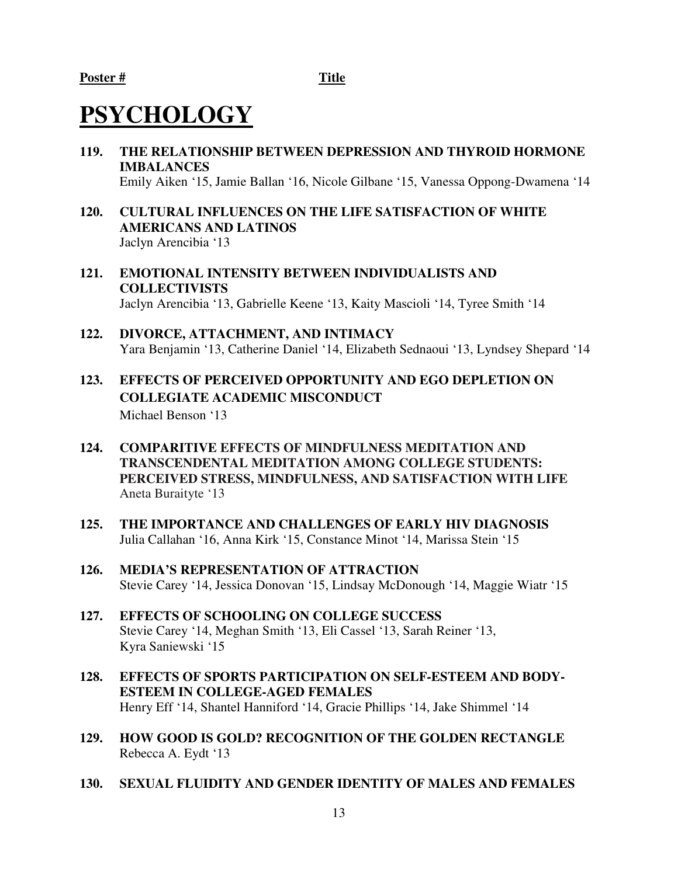# **PSYCHOLOGY**

- **119. THE RELATIONSHIP BETWEEN DEPRESSION AND THYROID HORMONE IMBALANCES**  Emily Aiken '15, Jamie Ballan '16, Nicole Gilbane '15, Vanessa Oppong-Dwamena '14
- **120. CULTURAL INFLUENCES ON THE LIFE SATISFACTION OF WHITE AMERICANS AND LATINOS**  Jaclyn Arencibia '13
- **121. EMOTIONAL INTENSITY BETWEEN INDIVIDUALISTS AND COLLECTIVISTS** Jaclyn Arencibia '13, Gabrielle Keene '13, Kaity Mascioli '14, Tyree Smith '14
- **122. DIVORCE, ATTACHMENT, AND INTIMACY**  Yara Benjamin '13, Catherine Daniel '14, Elizabeth Sednaoui '13, Lyndsey Shepard '14
- **123. EFFECTS OF PERCEIVED OPPORTUNITY AND EGO DEPLETION ON COLLEGIATE ACADEMIC MISCONDUCT**  Michael Benson '13
- **124. COMPARITIVE EFFECTS OF MINDFULNESS MEDITATION AND TRANSCENDENTAL MEDITATION AMONG COLLEGE STUDENTS: PERCEIVED STRESS, MINDFULNESS, AND SATISFACTION WITH LIFE** Aneta Buraityte '13
- **125. THE IMPORTANCE AND CHALLENGES OF EARLY HIV DIAGNOSIS**  Julia Callahan '16, Anna Kirk '15, Constance Minot '14, Marissa Stein '15
- **126. MEDIA'S REPRESENTATION OF ATTRACTION**  Stevie Carey '14, Jessica Donovan '15, Lindsay McDonough '14, Maggie Wiatr '15
- **127. EFFECTS OF SCHOOLING ON COLLEGE SUCCESS**  Stevie Carey '14, Meghan Smith '13, Eli Cassel '13, Sarah Reiner '13, Kyra Saniewski '15
- **128. EFFECTS OF SPORTS PARTICIPATION ON SELF-ESTEEM AND BODY-ESTEEM IN COLLEGE-AGED FEMALES**  Henry Eff '14, Shantel Hanniford '14, Gracie Phillips '14, Jake Shimmel '14
- **129. HOW GOOD IS GOLD? RECOGNITION OF THE GOLDEN RECTANGLE**  Rebecca A. Eydt '13
- **130. SEXUAL FLUIDITY AND GENDER IDENTITY OF MALES AND FEMALES**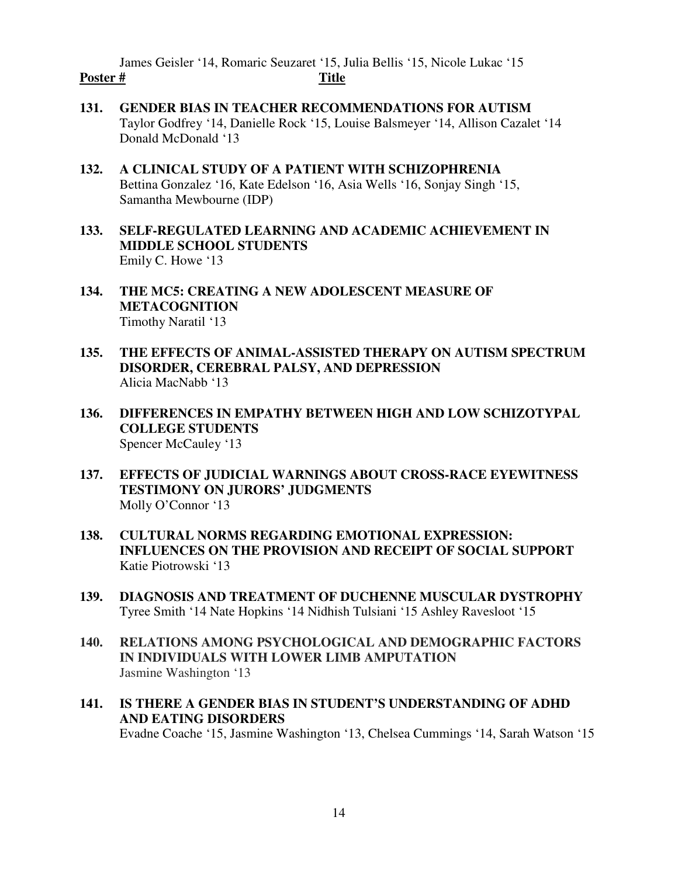James Geisler '14, Romaric Seuzaret '15, Julia Bellis '15, Nicole Lukac '15 Poster # Title

- **131. GENDER BIAS IN TEACHER RECOMMENDATIONS FOR AUTISM**  Taylor Godfrey '14, Danielle Rock '15, Louise Balsmeyer '14, Allison Cazalet '14 Donald McDonald '13
- **132. A CLINICAL STUDY OF A PATIENT WITH SCHIZOPHRENIA** Bettina Gonzalez '16, Kate Edelson '16, Asia Wells '16, Sonjay Singh '15, Samantha Mewbourne (IDP)
- **133. SELF-REGULATED LEARNING AND ACADEMIC ACHIEVEMENT IN MIDDLE SCHOOL STUDENTS**  Emily C. Howe '13
- **134. THE MC5: CREATING A NEW ADOLESCENT MEASURE OF METACOGNITION**  Timothy Naratil '13
- **135. THE EFFECTS OF ANIMAL-ASSISTED THERAPY ON AUTISM SPECTRUM DISORDER, CEREBRAL PALSY, AND DEPRESSION**  Alicia MacNabb '13
- **136. DIFFERENCES IN EMPATHY BETWEEN HIGH AND LOW SCHIZOTYPAL COLLEGE STUDENTS**  Spencer McCauley '13
- **137. EFFECTS OF JUDICIAL WARNINGS ABOUT CROSS-RACE EYEWITNESS TESTIMONY ON JURORS' JUDGMENTS**  Molly O'Connor '13
- **138. CULTURAL NORMS REGARDING EMOTIONAL EXPRESSION: INFLUENCES ON THE PROVISION AND RECEIPT OF SOCIAL SUPPORT** Katie Piotrowski '13
- **139. DIAGNOSIS AND TREATMENT OF DUCHENNE MUSCULAR DYSTROPHY**  Tyree Smith '14 Nate Hopkins '14 Nidhish Tulsiani '15 Ashley Ravesloot '15
- **140. RELATIONS AMONG PSYCHOLOGICAL AND DEMOGRAPHIC FACTORS IN INDIVIDUALS WITH LOWER LIMB AMPUTATION**  Jasmine Washington '13
- **141. IS THERE A GENDER BIAS IN STUDENT'S UNDERSTANDING OF ADHD AND EATING DISORDERS**

Evadne Coache '15, Jasmine Washington '13, Chelsea Cummings '14, Sarah Watson '15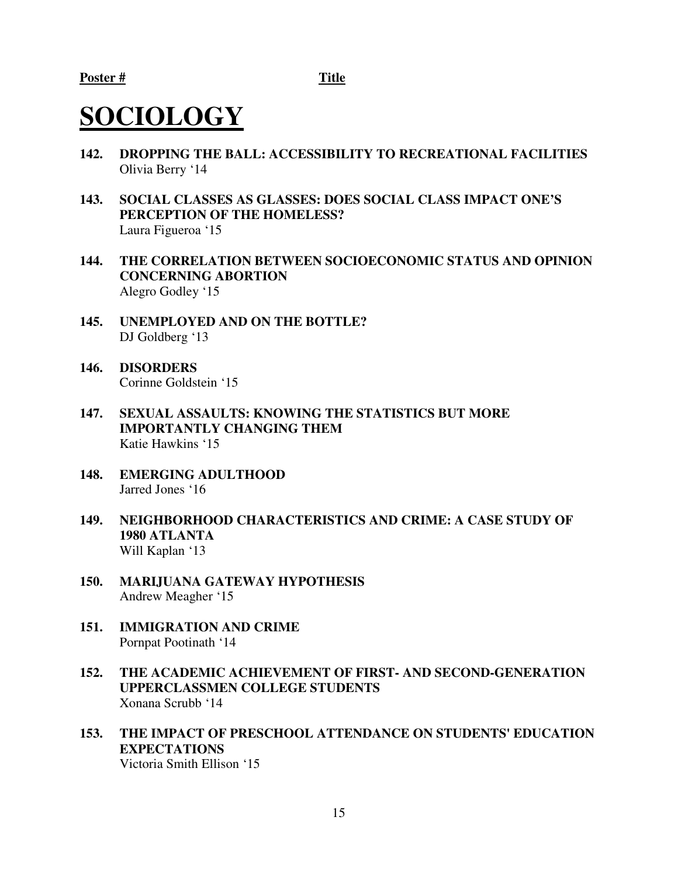# **SOCIOLOGY**

- **142. DROPPING THE BALL: ACCESSIBILITY TO RECREATIONAL FACILITIES**  Olivia Berry '14
- **143. SOCIAL CLASSES AS GLASSES: DOES SOCIAL CLASS IMPACT ONE'S PERCEPTION OF THE HOMELESS?**  Laura Figueroa '15
- **144. THE CORRELATION BETWEEN SOCIOECONOMIC STATUS AND OPINION CONCERNING ABORTION**  Alegro Godley '15
- **145. UNEMPLOYED AND ON THE BOTTLE?**  DJ Goldberg '13
- **146. DISORDERS**  Corinne Goldstein '15
- **147. SEXUAL ASSAULTS: KNOWING THE STATISTICS BUT MORE IMPORTANTLY CHANGING THEM** Katie Hawkins '15
- **148. EMERGING ADULTHOOD**  Jarred Jones '16
- **149. NEIGHBORHOOD CHARACTERISTICS AND CRIME: A CASE STUDY OF 1980 ATLANTA**  Will Kaplan '13
- **150. MARIJUANA GATEWAY HYPOTHESIS** Andrew Meagher '15
- **151. IMMIGRATION AND CRIME**  Pornpat Pootinath '14
- **152. THE ACADEMIC ACHIEVEMENT OF FIRST- AND SECOND-GENERATION UPPERCLASSMEN COLLEGE STUDENTS** Xonana Scrubb '14
- **153. THE IMPACT OF PRESCHOOL ATTENDANCE ON STUDENTS' EDUCATION EXPECTATIONS** Victoria Smith Ellison '15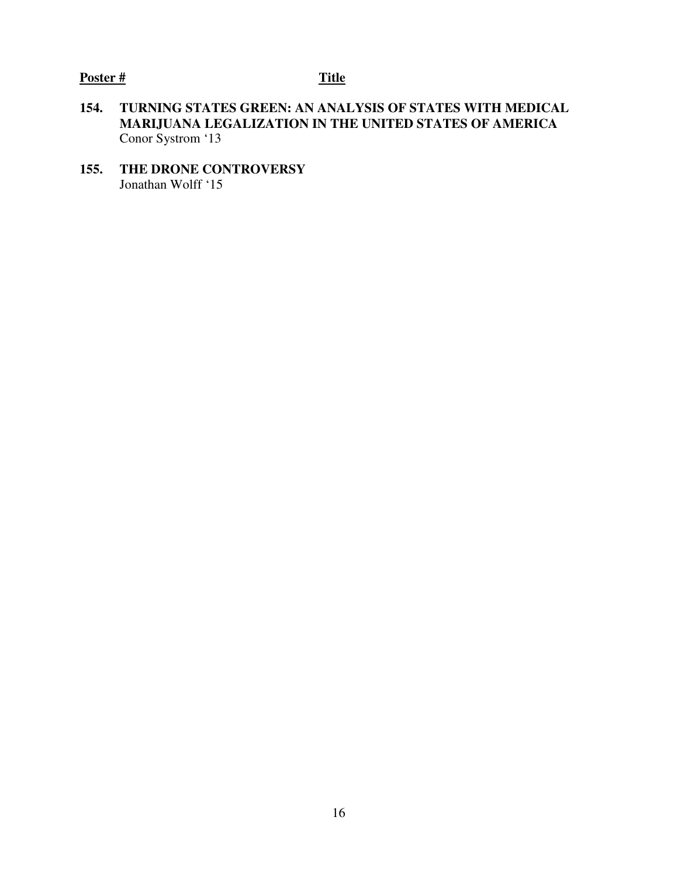- **154. TURNING STATES GREEN: AN ANALYSIS OF STATES WITH MEDICAL MARIJUANA LEGALIZATION IN THE UNITED STATES OF AMERICA**  Conor Systrom '13
- **155. THE DRONE CONTROVERSY**  Jonathan Wolff '15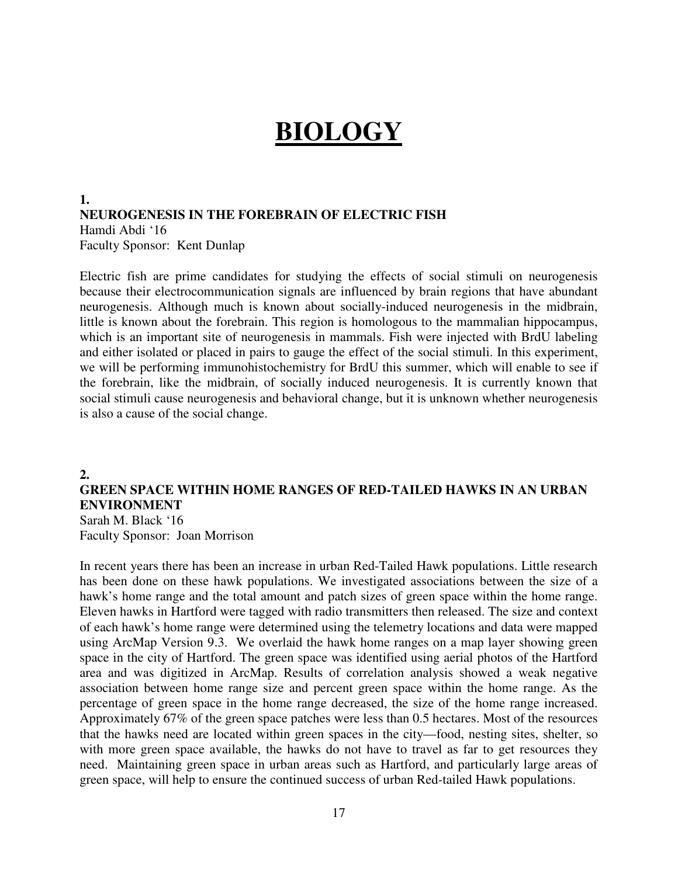# **BIOLOGY**

**1. NEUROGENESIS IN THE FOREBRAIN OF ELECTRIC FISH** Hamdi Abdi '16 Faculty Sponsor: Kent Dunlap

Electric fish are prime candidates for studying the effects of social stimuli on neurogenesis because their electrocommunication signals are influenced by brain regions that have abundant neurogenesis. Although much is known about socially-induced neurogenesis in the midbrain, little is known about the forebrain. This region is homologous to the mammalian hippocampus, which is an important site of neurogenesis in mammals. Fish were injected with BrdU labeling and either isolated or placed in pairs to gauge the effect of the social stimuli. In this experiment, we will be performing immunohistochemistry for BrdU this summer, which will enable to see if the forebrain, like the midbrain, of socially induced neurogenesis. It is currently known that social stimuli cause neurogenesis and behavioral change, but it is unknown whether neurogenesis is also a cause of the social change.

#### **2.**

### **GREEN SPACE WITHIN HOME RANGES OF RED-TAILED HAWKS IN AN URBAN ENVIRONMENT**

Sarah M. Black '16 Faculty Sponsor: Joan Morrison

In recent years there has been an increase in urban Red-Tailed Hawk populations. Little research has been done on these hawk populations. We investigated associations between the size of a hawk's home range and the total amount and patch sizes of green space within the home range. Eleven hawks in Hartford were tagged with radio transmitters then released. The size and context of each hawk's home range were determined using the telemetry locations and data were mapped using ArcMap Version 9.3. We overlaid the hawk home ranges on a map layer showing green space in the city of Hartford. The green space was identified using aerial photos of the Hartford area and was digitized in ArcMap. Results of correlation analysis showed a weak negative association between home range size and percent green space within the home range. As the percentage of green space in the home range decreased, the size of the home range increased. Approximately 67% of the green space patches were less than 0.5 hectares. Most of the resources that the hawks need are located within green spaces in the city—food, nesting sites, shelter, so with more green space available, the hawks do not have to travel as far to get resources they need. Maintaining green space in urban areas such as Hartford, and particularly large areas of green space, will help to ensure the continued success of urban Red-tailed Hawk populations.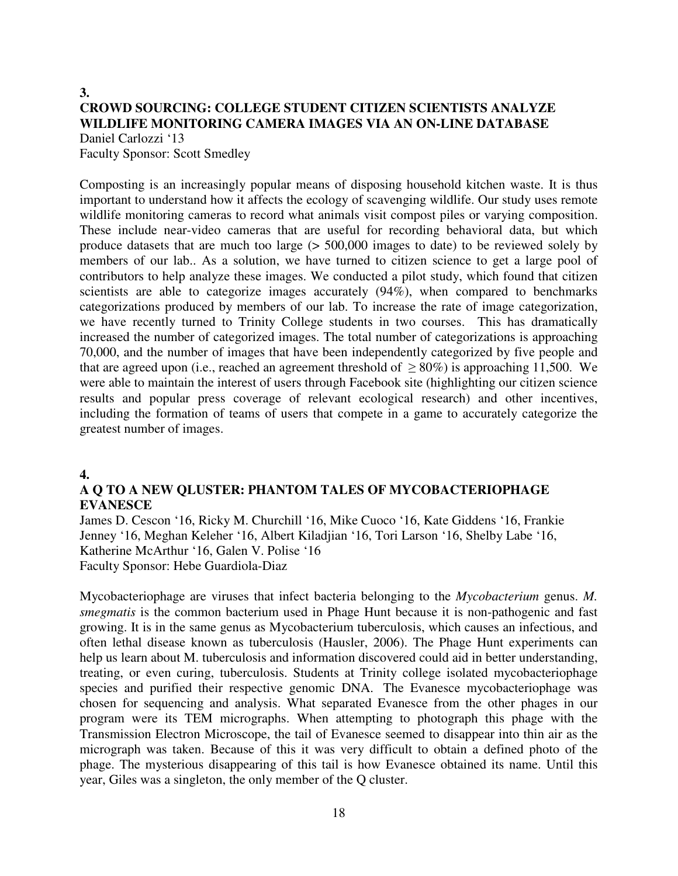#### **3. CROWD SOURCING: COLLEGE STUDENT CITIZEN SCIENTISTS ANALYZE WILDLIFE MONITORING CAMERA IMAGES VIA AN ON-LINE DATABASE** Daniel Carlozzi '13

Faculty Sponsor: Scott Smedley

Composting is an increasingly popular means of disposing household kitchen waste. It is thus important to understand how it affects the ecology of scavenging wildlife. Our study uses remote wildlife monitoring cameras to record what animals visit compost piles or varying composition. These include near-video cameras that are useful for recording behavioral data, but which produce datasets that are much too large (> 500,000 images to date) to be reviewed solely by members of our lab.. As a solution, we have turned to citizen science to get a large pool of contributors to help analyze these images. We conducted a pilot study, which found that citizen scientists are able to categorize images accurately (94%), when compared to benchmarks categorizations produced by members of our lab. To increase the rate of image categorization, we have recently turned to Trinity College students in two courses. This has dramatically increased the number of categorized images. The total number of categorizations is approaching 70,000, and the number of images that have been independently categorized by five people and that are agreed upon (i.e., reached an agreement threshold of  $\geq 80\%$ ) is approaching 11,500. We were able to maintain the interest of users through Facebook site (highlighting our citizen science results and popular press coverage of relevant ecological research) and other incentives, including the formation of teams of users that compete in a game to accurately categorize the greatest number of images.

#### **4.**

#### **A Q TO A NEW QLUSTER: PHANTOM TALES OF MYCOBACTERIOPHAGE EVANESCE**

James D. Cescon '16, Ricky M. Churchill '16, Mike Cuoco '16, Kate Giddens '16, Frankie Jenney '16, Meghan Keleher '16, Albert Kiladjian '16, Tori Larson '16, Shelby Labe '16, Katherine McArthur '16, Galen V. Polise '16 Faculty Sponsor: Hebe Guardiola-Diaz

Mycobacteriophage are viruses that infect bacteria belonging to the *Mycobacterium* genus. *M. smegmatis* is the common bacterium used in Phage Hunt because it is non-pathogenic and fast growing. It is in the same genus as Mycobacterium tuberculosis, which causes an infectious, and often lethal disease known as tuberculosis (Hausler, 2006). The Phage Hunt experiments can help us learn about M. tuberculosis and information discovered could aid in better understanding, treating, or even curing, tuberculosis. Students at Trinity college isolated mycobacteriophage species and purified their respective genomic DNA. The Evanesce mycobacteriophage was chosen for sequencing and analysis. What separated Evanesce from the other phages in our program were its TEM micrographs. When attempting to photograph this phage with the Transmission Electron Microscope, the tail of Evanesce seemed to disappear into thin air as the micrograph was taken. Because of this it was very difficult to obtain a defined photo of the phage. The mysterious disappearing of this tail is how Evanesce obtained its name. Until this year, Giles was a singleton, the only member of the Q cluster.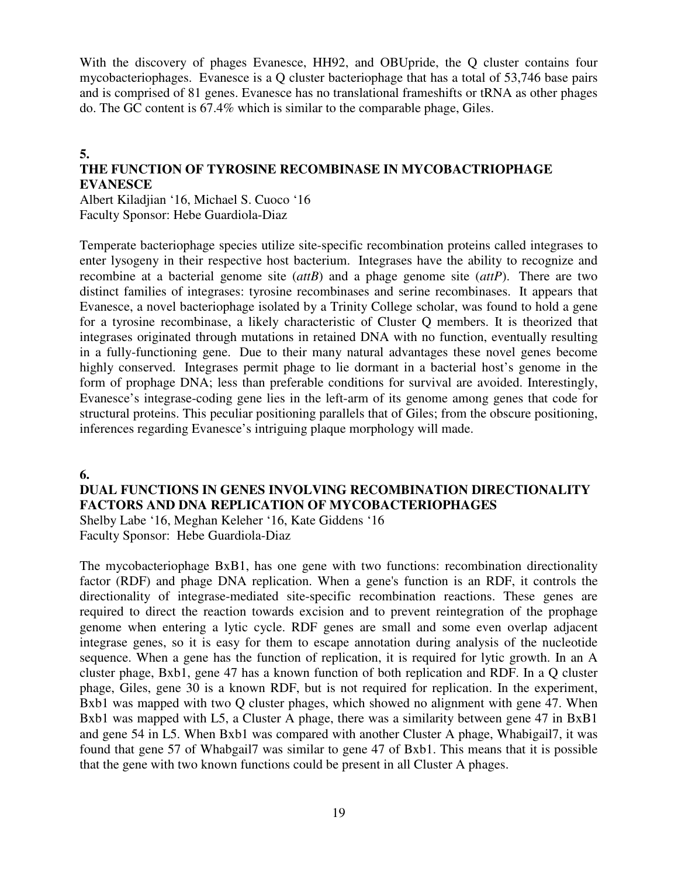With the discovery of phages Evanesce, HH92, and OBUpride, the O cluster contains four mycobacteriophages. Evanesce is a Q cluster bacteriophage that has a total of 53,746 base pairs and is comprised of 81 genes. Evanesce has no translational frameshifts or tRNA as other phages do. The GC content is 67.4% which is similar to the comparable phage, Giles.

#### **5. THE FUNCTION OF TYROSINE RECOMBINASE IN MYCOBACTRIOPHAGE EVANESCE**

Albert Kiladjian '16, Michael S. Cuoco '16 Faculty Sponsor: Hebe Guardiola-Diaz

Temperate bacteriophage species utilize site-specific recombination proteins called integrases to enter lysogeny in their respective host bacterium. Integrases have the ability to recognize and recombine at a bacterial genome site (*attB*) and a phage genome site (*attP*). There are two distinct families of integrases: tyrosine recombinases and serine recombinases. It appears that Evanesce, a novel bacteriophage isolated by a Trinity College scholar, was found to hold a gene for a tyrosine recombinase, a likely characteristic of Cluster Q members. It is theorized that integrases originated through mutations in retained DNA with no function, eventually resulting in a fully-functioning gene. Due to their many natural advantages these novel genes become highly conserved. Integrases permit phage to lie dormant in a bacterial host's genome in the form of prophage DNA; less than preferable conditions for survival are avoided. Interestingly, Evanesce's integrase-coding gene lies in the left-arm of its genome among genes that code for structural proteins. This peculiar positioning parallels that of Giles; from the obscure positioning, inferences regarding Evanesce's intriguing plaque morphology will made.

#### **6.**

**DUAL FUNCTIONS IN GENES INVOLVING RECOMBINATION DIRECTIONALITY FACTORS AND DNA REPLICATION OF MYCOBACTERIOPHAGES** Shelby Labe '16, Meghan Keleher '16, Kate Giddens '16

Faculty Sponsor: Hebe Guardiola-Diaz

The mycobacteriophage BxB1, has one gene with two functions: recombination directionality factor (RDF) and phage DNA replication. When a gene's function is an RDF, it controls the directionality of integrase-mediated site-specific recombination reactions. These genes are required to direct the reaction towards excision and to prevent reintegration of the prophage genome when entering a lytic cycle. RDF genes are small and some even overlap adjacent integrase genes, so it is easy for them to escape annotation during analysis of the nucleotide sequence. When a gene has the function of replication, it is required for lytic growth. In an A cluster phage, Bxb1, gene 47 has a known function of both replication and RDF. In a Q cluster phage, Giles, gene 30 is a known RDF, but is not required for replication. In the experiment, Bxb1 was mapped with two Q cluster phages, which showed no alignment with gene 47. When Bxb1 was mapped with L5, a Cluster A phage, there was a similarity between gene 47 in BxB1 and gene 54 in L5. When Bxb1 was compared with another Cluster A phage, Whabigail7, it was found that gene 57 of Whabgail7 was similar to gene 47 of Bxb1. This means that it is possible that the gene with two known functions could be present in all Cluster A phages.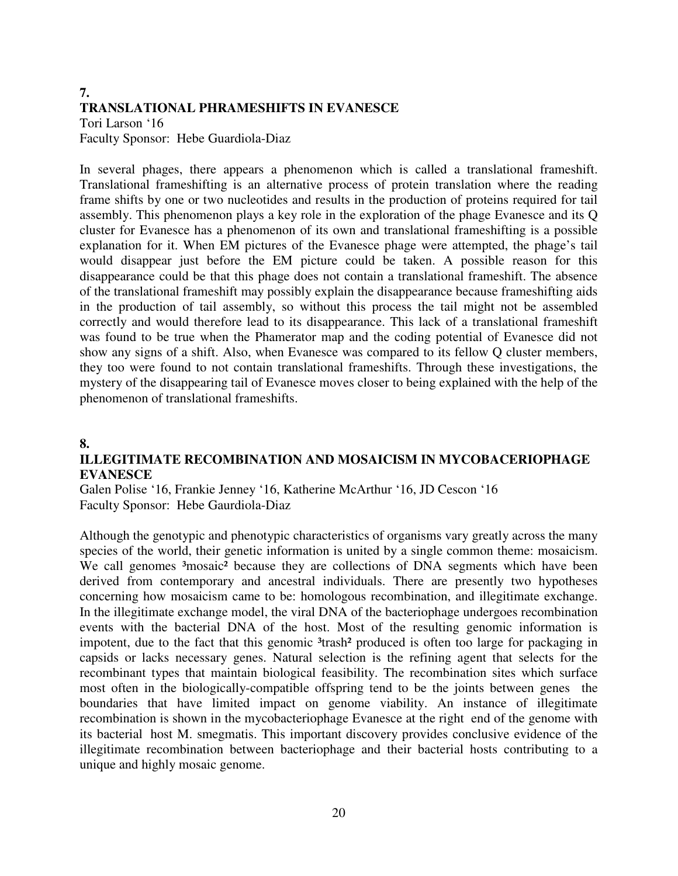#### **7. TRANSLATIONAL PHRAMESHIFTS IN EVANESCE**

Tori Larson '16 Faculty Sponsor: Hebe Guardiola-Diaz

In several phages, there appears a phenomenon which is called a translational frameshift. Translational frameshifting is an alternative process of protein translation where the reading frame shifts by one or two nucleotides and results in the production of proteins required for tail assembly. This phenomenon plays a key role in the exploration of the phage Evanesce and its Q cluster for Evanesce has a phenomenon of its own and translational frameshifting is a possible explanation for it. When EM pictures of the Evanesce phage were attempted, the phage's tail would disappear just before the EM picture could be taken. A possible reason for this disappearance could be that this phage does not contain a translational frameshift. The absence of the translational frameshift may possibly explain the disappearance because frameshifting aids in the production of tail assembly, so without this process the tail might not be assembled correctly and would therefore lead to its disappearance. This lack of a translational frameshift was found to be true when the Phamerator map and the coding potential of Evanesce did not show any signs of a shift. Also, when Evanesce was compared to its fellow Q cluster members, they too were found to not contain translational frameshifts. Through these investigations, the mystery of the disappearing tail of Evanesce moves closer to being explained with the help of the phenomenon of translational frameshifts.

### **8.**

### **ILLEGITIMATE RECOMBINATION AND MOSAICISM IN MYCOBACERIOPHAGE EVANESCE**

Galen Polise '16, Frankie Jenney '16, Katherine McArthur '16, JD Cescon '16 Faculty Sponsor: Hebe Gaurdiola-Diaz

Although the genotypic and phenotypic characteristics of organisms vary greatly across the many species of the world, their genetic information is united by a single common theme: mosaicism. We call genomes <sup>3</sup>mosaic<sup>2</sup> because they are collections of DNA segments which have been derived from contemporary and ancestral individuals. There are presently two hypotheses concerning how mosaicism came to be: homologous recombination, and illegitimate exchange. In the illegitimate exchange model, the viral DNA of the bacteriophage undergoes recombination events with the bacterial DNA of the host. Most of the resulting genomic information is impotent, due to the fact that this genomic <sup>3</sup>trash<sup>2</sup> produced is often too large for packaging in capsids or lacks necessary genes. Natural selection is the refining agent that selects for the recombinant types that maintain biological feasibility. The recombination sites which surface most often in the biologically-compatible offspring tend to be the joints between genes the boundaries that have limited impact on genome viability. An instance of illegitimate recombination is shown in the mycobacteriophage Evanesce at the right end of the genome with its bacterial host M. smegmatis. This important discovery provides conclusive evidence of the illegitimate recombination between bacteriophage and their bacterial hosts contributing to a unique and highly mosaic genome.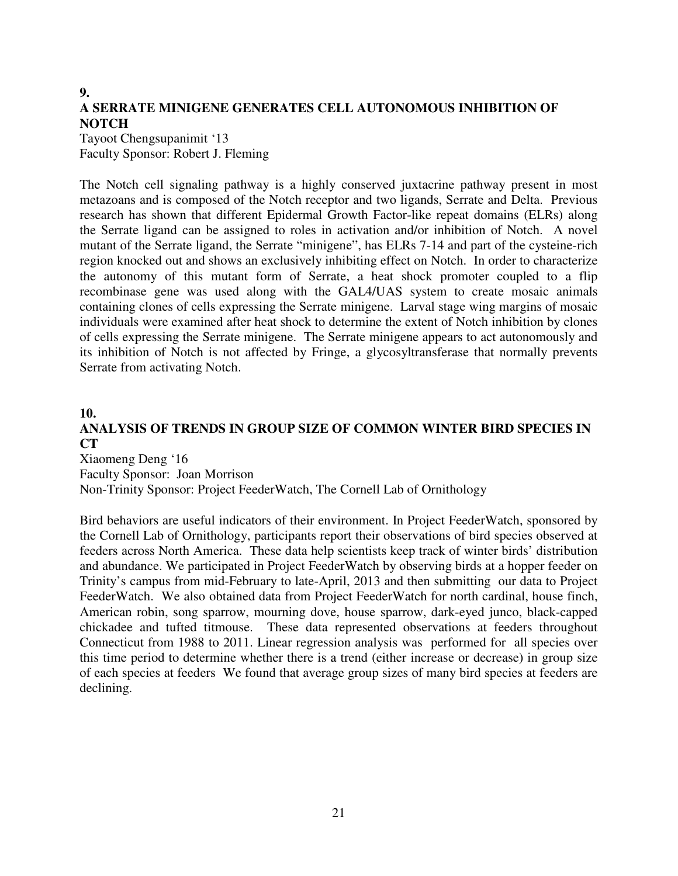### **9. A SERRATE MINIGENE GENERATES CELL AUTONOMOUS INHIBITION OF NOTCH**

Tayoot Chengsupanimit '13 Faculty Sponsor: Robert J. Fleming

The Notch cell signaling pathway is a highly conserved juxtacrine pathway present in most metazoans and is composed of the Notch receptor and two ligands, Serrate and Delta. Previous research has shown that different Epidermal Growth Factor-like repeat domains (ELRs) along the Serrate ligand can be assigned to roles in activation and/or inhibition of Notch. A novel mutant of the Serrate ligand, the Serrate "minigene", has ELRs 7-14 and part of the cysteine-rich region knocked out and shows an exclusively inhibiting effect on Notch. In order to characterize the autonomy of this mutant form of Serrate, a heat shock promoter coupled to a flip recombinase gene was used along with the GAL4/UAS system to create mosaic animals containing clones of cells expressing the Serrate minigene. Larval stage wing margins of mosaic individuals were examined after heat shock to determine the extent of Notch inhibition by clones of cells expressing the Serrate minigene. The Serrate minigene appears to act autonomously and its inhibition of Notch is not affected by Fringe, a glycosyltransferase that normally prevents Serrate from activating Notch.

#### **10.**

### **ANALYSIS OF TRENDS IN GROUP SIZE OF COMMON WINTER BIRD SPECIES IN CT**

Xiaomeng Deng '16 Faculty Sponsor: Joan Morrison Non-Trinity Sponsor: Project FeederWatch, The Cornell Lab of Ornithology

Bird behaviors are useful indicators of their environment. In Project FeederWatch, sponsored by the Cornell Lab of Ornithology, participants report their observations of bird species observed at feeders across North America. These data help scientists keep track of winter birds' distribution and abundance. We participated in Project FeederWatch by observing birds at a hopper feeder on Trinity's campus from mid-February to late-April, 2013 and then submitting our data to Project FeederWatch. We also obtained data from Project FeederWatch for north cardinal, house finch, American robin, song sparrow, mourning dove, house sparrow, dark-eyed junco, black-capped chickadee and tufted titmouse. These data represented observations at feeders throughout Connecticut from 1988 to 2011. Linear regression analysis was performed for all species over this time period to determine whether there is a trend (either increase or decrease) in group size of each species at feeders We found that average group sizes of many bird species at feeders are declining.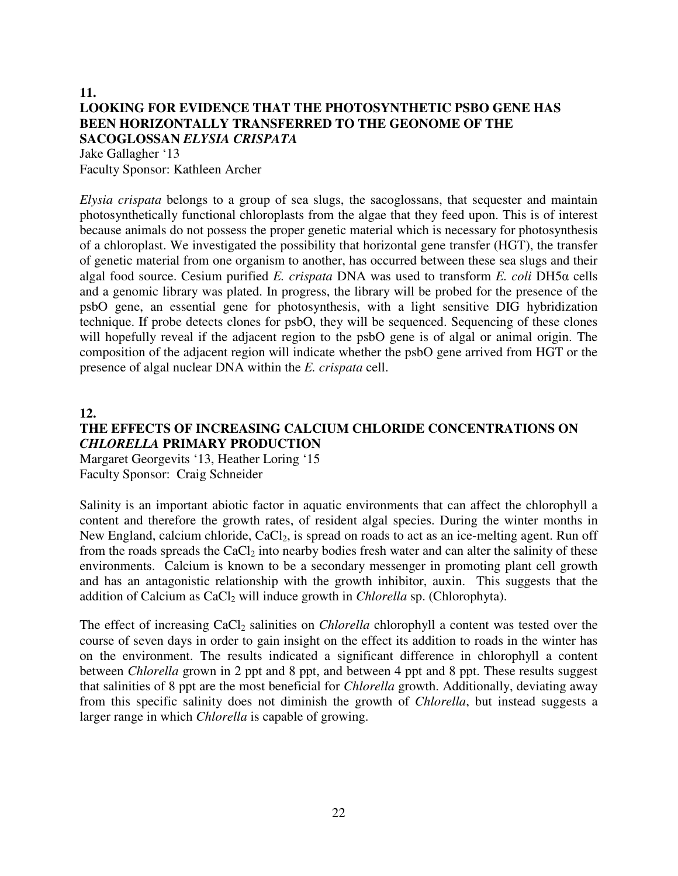### **11. LOOKING FOR EVIDENCE THAT THE PHOTOSYNTHETIC PSBO GENE HAS BEEN HORIZONTALLY TRANSFERRED TO THE GEONOME OF THE SACOGLOSSAN** *ELYSIA CRISPATA*

Jake Gallagher '13 Faculty Sponsor: Kathleen Archer

*Elysia crispata* belongs to a group of sea slugs, the sacoglossans, that sequester and maintain photosynthetically functional chloroplasts from the algae that they feed upon. This is of interest because animals do not possess the proper genetic material which is necessary for photosynthesis of a chloroplast. We investigated the possibility that horizontal gene transfer (HGT), the transfer of genetic material from one organism to another, has occurred between these sea slugs and their algal food source. Cesium purified *E. crispata* DNA was used to transform *E. coli* DH5α cells and a genomic library was plated. In progress, the library will be probed for the presence of the psbO gene, an essential gene for photosynthesis, with a light sensitive DIG hybridization technique. If probe detects clones for psbO, they will be sequenced. Sequencing of these clones will hopefully reveal if the adjacent region to the psbO gene is of algal or animal origin. The composition of the adjacent region will indicate whether the psbO gene arrived from HGT or the presence of algal nuclear DNA within the *E. crispata* cell.

**12.** 

### **THE EFFECTS OF INCREASING CALCIUM CHLORIDE CONCENTRATIONS ON**  *CHLORELLA* **PRIMARY PRODUCTION**

Margaret Georgevits '13, Heather Loring '15 Faculty Sponsor: Craig Schneider

Salinity is an important abiotic factor in aquatic environments that can affect the chlorophyll a content and therefore the growth rates, of resident algal species. During the winter months in New England, calcium chloride,  $CaCl<sub>2</sub>$ , is spread on roads to act as an ice-melting agent. Run off from the roads spreads the CaCl<sub>2</sub> into nearby bodies fresh water and can alter the salinity of these environments. Calcium is known to be a secondary messenger in promoting plant cell growth and has an antagonistic relationship with the growth inhibitor, auxin. This suggests that the addition of Calcium as CaCl<sub>2</sub> will induce growth in *Chlorella* sp. (Chlorophyta).

The effect of increasing CaCl<sub>2</sub> salinities on *Chlorella* chlorophyll a content was tested over the course of seven days in order to gain insight on the effect its addition to roads in the winter has on the environment. The results indicated a significant difference in chlorophyll a content between *Chlorella* grown in 2 ppt and 8 ppt, and between 4 ppt and 8 ppt. These results suggest that salinities of 8 ppt are the most beneficial for *Chlorella* growth. Additionally, deviating away from this specific salinity does not diminish the growth of *Chlorella*, but instead suggests a larger range in which *Chlorella* is capable of growing.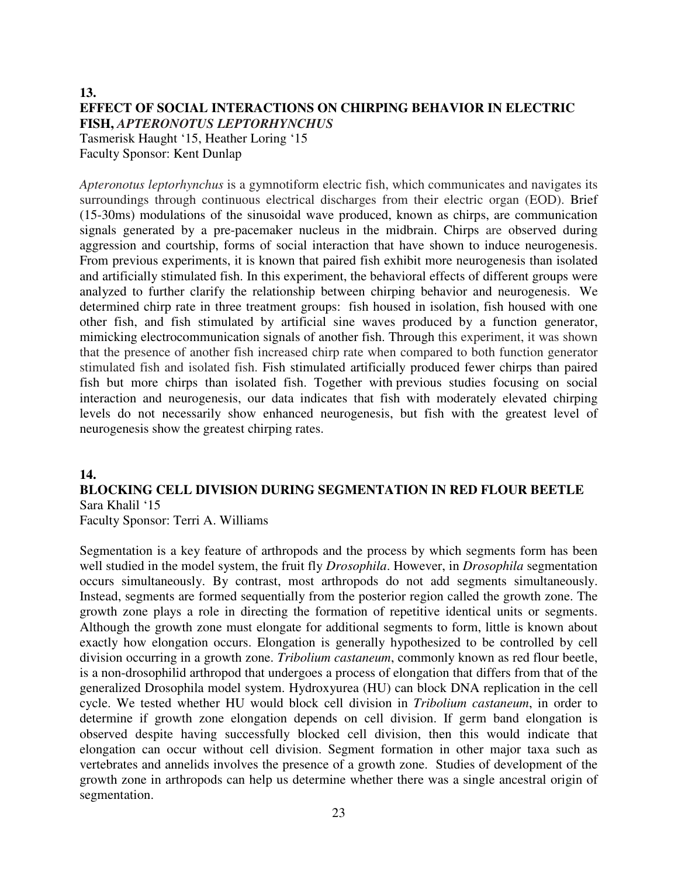#### **13. EFFECT OF SOCIAL INTERACTIONS ON CHIRPING BEHAVIOR IN ELECTRIC FISH,** *APTERONOTUS LEPTORHYNCHUS* Tasmerisk Haught '15, Heather Loring '15 Faculty Sponsor: Kent Dunlap

*Apteronotus leptorhynchus* is a gymnotiform electric fish, which communicates and navigates its surroundings through continuous electrical discharges from their electric organ (EOD). Brief (15-30ms) modulations of the sinusoidal wave produced, known as chirps, are communication signals generated by a pre-pacemaker nucleus in the midbrain. Chirps are observed during aggression and courtship, forms of social interaction that have shown to induce neurogenesis. From previous experiments, it is known that paired fish exhibit more neurogenesis than isolated and artificially stimulated fish. In this experiment, the behavioral effects of different groups were analyzed to further clarify the relationship between chirping behavior and neurogenesis. We determined chirp rate in three treatment groups: fish housed in isolation, fish housed with one other fish, and fish stimulated by artificial sine waves produced by a function generator, mimicking electrocommunication signals of another fish. Through this experiment, it was shown that the presence of another fish increased chirp rate when compared to both function generator stimulated fish and isolated fish. Fish stimulated artificially produced fewer chirps than paired fish but more chirps than isolated fish. Together with previous studies focusing on social interaction and neurogenesis, our data indicates that fish with moderately elevated chirping levels do not necessarily show enhanced neurogenesis, but fish with the greatest level of neurogenesis show the greatest chirping rates.

### **14.**

### **BLOCKING CELL DIVISION DURING SEGMENTATION IN RED FLOUR BEETLE**  Sara Khalil '15

Faculty Sponsor: Terri A. Williams

Segmentation is a key feature of arthropods and the process by which segments form has been well studied in the model system, the fruit fly *Drosophila*. However, in *Drosophila* segmentation occurs simultaneously. By contrast, most arthropods do not add segments simultaneously. Instead, segments are formed sequentially from the posterior region called the growth zone. The growth zone plays a role in directing the formation of repetitive identical units or segments. Although the growth zone must elongate for additional segments to form, little is known about exactly how elongation occurs. Elongation is generally hypothesized to be controlled by cell division occurring in a growth zone. *Tribolium castaneum*, commonly known as red flour beetle, is a non-drosophilid arthropod that undergoes a process of elongation that differs from that of the generalized Drosophila model system. Hydroxyurea (HU) can block DNA replication in the cell cycle. We tested whether HU would block cell division in *Tribolium castaneum*, in order to determine if growth zone elongation depends on cell division. If germ band elongation is observed despite having successfully blocked cell division, then this would indicate that elongation can occur without cell division. Segment formation in other major taxa such as vertebrates and annelids involves the presence of a growth zone. Studies of development of the growth zone in arthropods can help us determine whether there was a single ancestral origin of segmentation.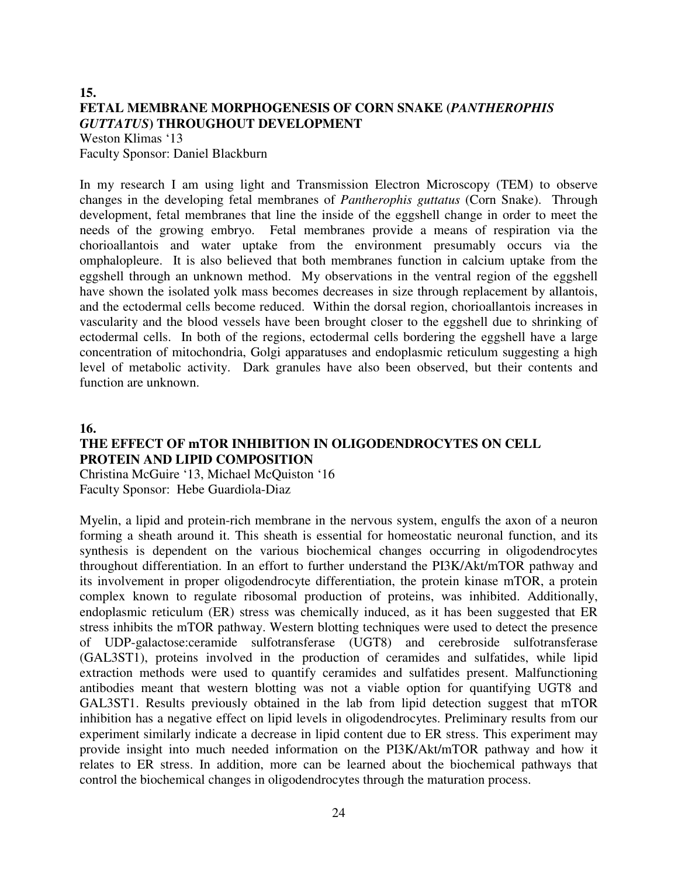#### **15. FETAL MEMBRANE MORPHOGENESIS OF CORN SNAKE (***PANTHEROPHIS GUTTATUS***) THROUGHOUT DEVELOPMENT**  Weston Klimas '13

Faculty Sponsor: Daniel Blackburn

In my research I am using light and Transmission Electron Microscopy (TEM) to observe changes in the developing fetal membranes of *Pantherophis guttatus* (Corn Snake). Through development, fetal membranes that line the inside of the eggshell change in order to meet the needs of the growing embryo. Fetal membranes provide a means of respiration via the chorioallantois and water uptake from the environment presumably occurs via the omphalopleure. It is also believed that both membranes function in calcium uptake from the eggshell through an unknown method. My observations in the ventral region of the eggshell have shown the isolated yolk mass becomes decreases in size through replacement by allantois, and the ectodermal cells become reduced. Within the dorsal region, chorioallantois increases in vascularity and the blood vessels have been brought closer to the eggshell due to shrinking of ectodermal cells. In both of the regions, ectodermal cells bordering the eggshell have a large concentration of mitochondria, Golgi apparatuses and endoplasmic reticulum suggesting a high level of metabolic activity. Dark granules have also been observed, but their contents and function are unknown.

#### **16.**

### **THE EFFECT OF mTOR INHIBITION IN OLIGODENDROCYTES ON CELL PROTEIN AND LIPID COMPOSITION**

Christina McGuire '13, Michael McQuiston '16 Faculty Sponsor: Hebe Guardiola-Diaz

Myelin, a lipid and protein-rich membrane in the nervous system, engulfs the axon of a neuron forming a sheath around it. This sheath is essential for homeostatic neuronal function, and its synthesis is dependent on the various biochemical changes occurring in oligodendrocytes throughout differentiation. In an effort to further understand the PI3K/Akt/mTOR pathway and its involvement in proper oligodendrocyte differentiation, the protein kinase mTOR, a protein complex known to regulate ribosomal production of proteins, was inhibited. Additionally, endoplasmic reticulum (ER) stress was chemically induced, as it has been suggested that ER stress inhibits the mTOR pathway. Western blotting techniques were used to detect the presence of UDP-galactose:ceramide sulfotransferase (UGT8) and cerebroside sulfotransferase (GAL3ST1), proteins involved in the production of ceramides and sulfatides, while lipid extraction methods were used to quantify ceramides and sulfatides present. Malfunctioning antibodies meant that western blotting was not a viable option for quantifying UGT8 and GAL3ST1. Results previously obtained in the lab from lipid detection suggest that mTOR inhibition has a negative effect on lipid levels in oligodendrocytes. Preliminary results from our experiment similarly indicate a decrease in lipid content due to ER stress. This experiment may provide insight into much needed information on the PI3K/Akt/mTOR pathway and how it relates to ER stress. In addition, more can be learned about the biochemical pathways that control the biochemical changes in oligodendrocytes through the maturation process.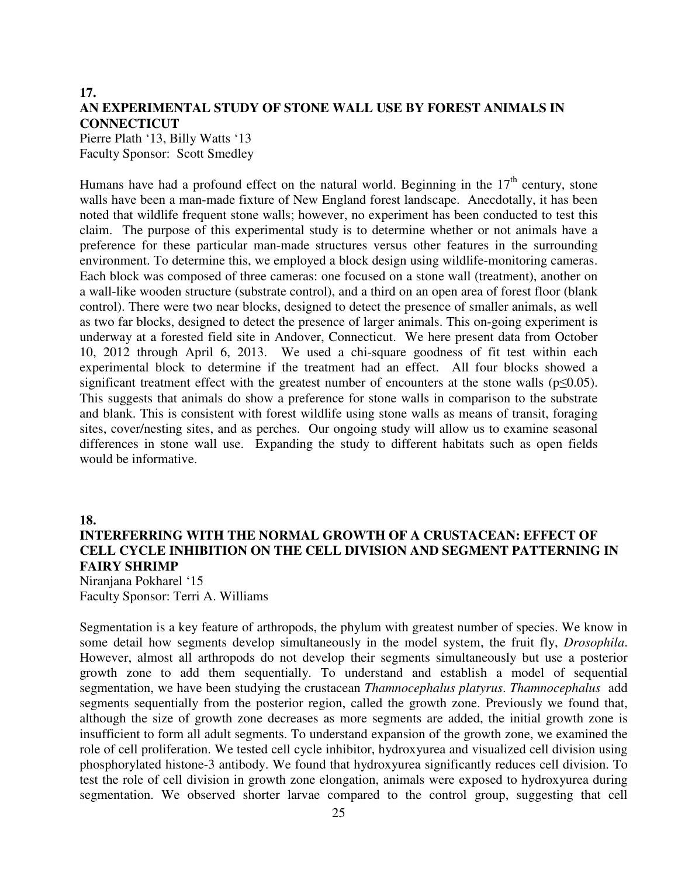### **17. AN EXPERIMENTAL STUDY OF STONE WALL USE BY FOREST ANIMALS IN CONNECTICUT**

Pierre Plath '13, Billy Watts '13 Faculty Sponsor: Scott Smedley

Humans have had a profound effect on the natural world. Beginning in the  $17<sup>th</sup>$  century, stone walls have been a man-made fixture of New England forest landscape. Anecdotally, it has been noted that wildlife frequent stone walls; however, no experiment has been conducted to test this claim. The purpose of this experimental study is to determine whether or not animals have a preference for these particular man-made structures versus other features in the surrounding environment. To determine this, we employed a block design using wildlife-monitoring cameras. Each block was composed of three cameras: one focused on a stone wall (treatment), another on a wall-like wooden structure (substrate control), and a third on an open area of forest floor (blank control). There were two near blocks, designed to detect the presence of smaller animals, as well as two far blocks, designed to detect the presence of larger animals. This on-going experiment is underway at a forested field site in Andover, Connecticut. We here present data from October 10, 2012 through April 6, 2013. We used a chi-square goodness of fit test within each experimental block to determine if the treatment had an effect. All four blocks showed a significant treatment effect with the greatest number of encounters at the stone walls ( $p \le 0.05$ ). This suggests that animals do show a preference for stone walls in comparison to the substrate and blank. This is consistent with forest wildlife using stone walls as means of transit, foraging sites, cover/nesting sites, and as perches. Our ongoing study will allow us to examine seasonal differences in stone wall use. Expanding the study to different habitats such as open fields would be informative.

#### **18.**

### **INTERFERRING WITH THE NORMAL GROWTH OF A CRUSTACEAN: EFFECT OF CELL CYCLE INHIBITION ON THE CELL DIVISION AND SEGMENT PATTERNING IN FAIRY SHRIMP**

Niranjana Pokharel '15 Faculty Sponsor: Terri A. Williams

Segmentation is a key feature of arthropods, the phylum with greatest number of species. We know in some detail how segments develop simultaneously in the model system, the fruit fly, *Drosophila*. However, almost all arthropods do not develop their segments simultaneously but use a posterior growth zone to add them sequentially. To understand and establish a model of sequential segmentation, we have been studying the crustacean *Thamnocephalus platyrus*. *Thamnocephalus* add segments sequentially from the posterior region, called the growth zone. Previously we found that, although the size of growth zone decreases as more segments are added, the initial growth zone is insufficient to form all adult segments. To understand expansion of the growth zone, we examined the role of cell proliferation. We tested cell cycle inhibitor, hydroxyurea and visualized cell division using phosphorylated histone-3 antibody. We found that hydroxyurea significantly reduces cell division. To test the role of cell division in growth zone elongation, animals were exposed to hydroxyurea during segmentation. We observed shorter larvae compared to the control group, suggesting that cell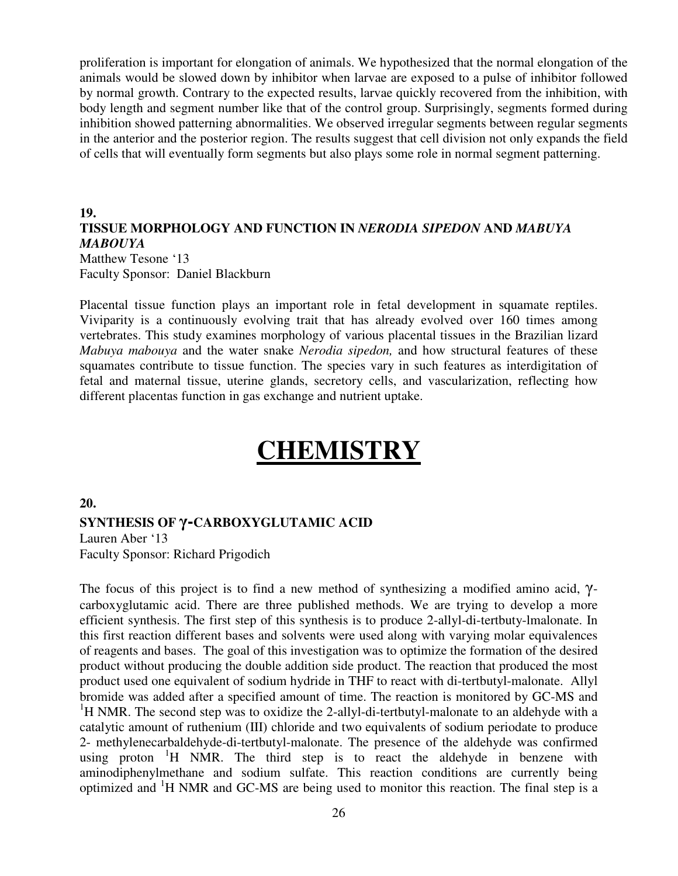proliferation is important for elongation of animals. We hypothesized that the normal elongation of the animals would be slowed down by inhibitor when larvae are exposed to a pulse of inhibitor followed by normal growth. Contrary to the expected results, larvae quickly recovered from the inhibition, with body length and segment number like that of the control group. Surprisingly, segments formed during inhibition showed patterning abnormalities. We observed irregular segments between regular segments in the anterior and the posterior region. The results suggest that cell division not only expands the field of cells that will eventually form segments but also plays some role in normal segment patterning.

#### **19. TISSUE MORPHOLOGY AND FUNCTION IN** *NERODIA SIPEDON* **AND** *MABUYA MABOUYA*

Matthew Tesone '13 Faculty Sponsor: Daniel Blackburn

Placental tissue function plays an important role in fetal development in squamate reptiles. Viviparity is a continuously evolving trait that has already evolved over 160 times among vertebrates. This study examines morphology of various placental tissues in the Brazilian lizard *Mabuya mabouya* and the water snake *Nerodia sipedon,* and how structural features of these squamates contribute to tissue function. The species vary in such features as interdigitation of fetal and maternal tissue, uterine glands, secretory cells, and vascularization, reflecting how different placentas function in gas exchange and nutrient uptake.

# **CHEMISTRY**

#### **20.**

#### **SYNTHESIS OF** γ**-CARBOXYGLUTAMIC ACID**

Lauren Aber '13 Faculty Sponsor: Richard Prigodich

The focus of this project is to find a new method of synthesizing a modified amino acid, γcarboxyglutamic acid. There are three published methods. We are trying to develop a more efficient synthesis. The first step of this synthesis is to produce 2-allyl-di-tertbuty-lmalonate. In this first reaction different bases and solvents were used along with varying molar equivalences of reagents and bases. The goal of this investigation was to optimize the formation of the desired product without producing the double addition side product. The reaction that produced the most product used one equivalent of sodium hydride in THF to react with di-tertbutyl-malonate. Allyl bromide was added after a specified amount of time. The reaction is monitored by GC-MS and <sup>1</sup>H NMR. The second step was to oxidize the 2-allyl-di-tertbutyl-malonate to an aldehyde with a catalytic amount of ruthenium (III) chloride and two equivalents of sodium periodate to produce 2- methylenecarbaldehyde-di-tertbutyl-malonate. The presence of the aldehyde was confirmed using proton  $H$  NMR. The third step is to react the aldehyde in benzene with aminodiphenylmethane and sodium sulfate. This reaction conditions are currently being optimized and <sup>1</sup>H NMR and GC-MS are being used to monitor this reaction. The final step is a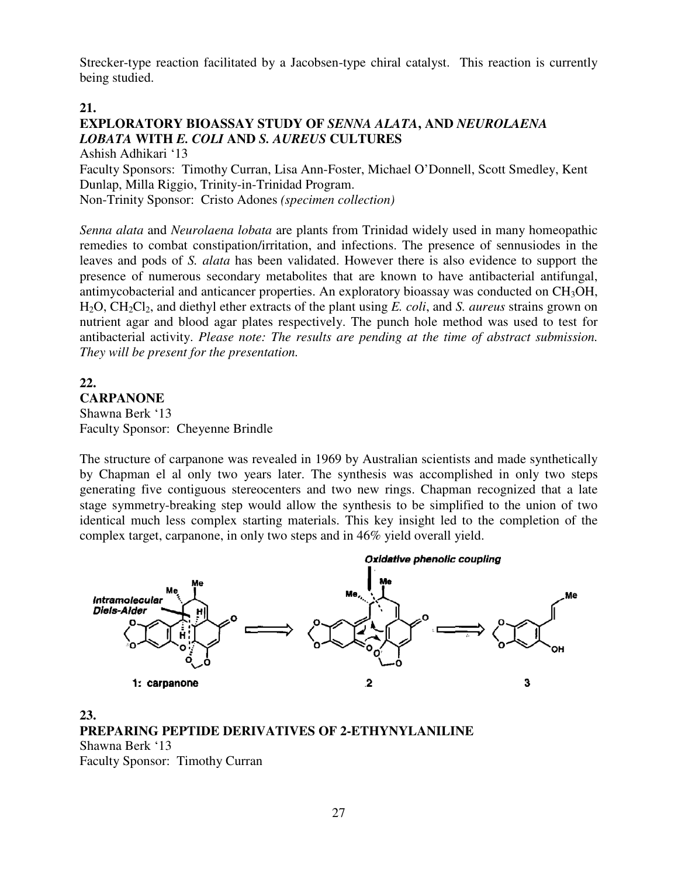Strecker-type reaction facilitated by a Jacobsen-type chiral catalyst. This reaction is currently being studied.

#### **21.**

### **EXPLORATORY BIOASSAY STUDY OF** *SENNA ALATA***, AND** *NEUROLAENA LOBATA* **WITH** *E. COLI* **AND** *S. AUREUS* **CULTURES**

Ashish Adhikari '13

Faculty Sponsors: Timothy Curran, Lisa Ann-Foster, Michael O'Donnell, Scott Smedley, Kent Dunlap, Milla Riggio, Trinity-in-Trinidad Program. Non-Trinity Sponsor: Cristo Adones *(specimen collection)*

*Senna alata* and *Neurolaena lobata* are plants from Trinidad widely used in many homeopathic remedies to combat constipation/irritation, and infections. The presence of sennusiodes in the leaves and pods of *S. alata* has been validated. However there is also evidence to support the presence of numerous secondary metabolites that are known to have antibacterial antifungal, antimycobacterial and anticancer properties. An exploratory bioassay was conducted on CH<sub>3</sub>OH, H2O, CH2Cl2, and diethyl ether extracts of the plant using *E. coli*, and *S. aureus* strains grown on nutrient agar and blood agar plates respectively. The punch hole method was used to test for antibacterial activity. *Please note: The results are pending at the time of abstract submission. They will be present for the presentation.* 

### **22. CARPANONE**  Shawna Berk '13 Faculty Sponsor: Cheyenne Brindle

The structure of carpanone was revealed in 1969 by Australian scientists and made synthetically by Chapman el al only two years later. The synthesis was accomplished in only two steps generating five contiguous stereocenters and two new rings. Chapman recognized that a late stage symmetry-breaking step would allow the synthesis to be simplified to the union of two identical much less complex starting materials. This key insight led to the completion of the complex target, carpanone, in only two steps and in 46% yield overall yield.



### **23. PREPARING PEPTIDE DERIVATIVES OF 2-ETHYNYLANILINE**  Shawna Berk '13

Faculty Sponsor: Timothy Curran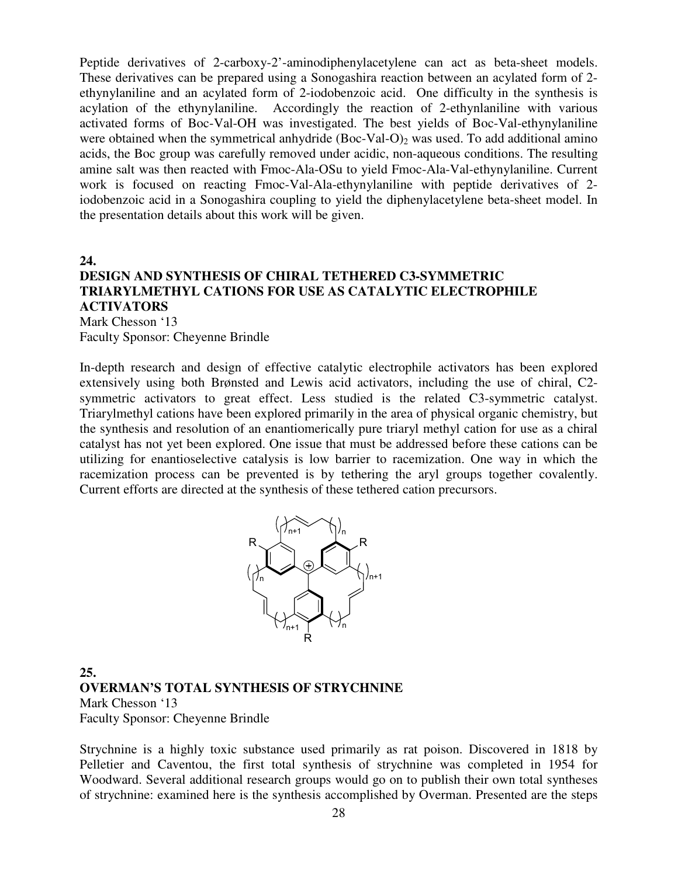Peptide derivatives of 2-carboxy-2'-aminodiphenylacetylene can act as beta-sheet models. These derivatives can be prepared using a Sonogashira reaction between an acylated form of 2 ethynylaniline and an acylated form of 2-iodobenzoic acid. One difficulty in the synthesis is acylation of the ethynylaniline. Accordingly the reaction of 2-ethynlaniline with various activated forms of Boc-Val-OH was investigated. The best yields of Boc-Val-ethynylaniline were obtained when the symmetrical anhydride  $(Boc-Val-O)_2$  was used. To add additional amino acids, the Boc group was carefully removed under acidic, non-aqueous conditions. The resulting amine salt was then reacted with Fmoc-Ala-OSu to yield Fmoc-Ala-Val-ethynylaniline. Current work is focused on reacting Fmoc-Val-Ala-ethynylaniline with peptide derivatives of 2 iodobenzoic acid in a Sonogashira coupling to yield the diphenylacetylene beta-sheet model. In the presentation details about this work will be given.

**24.** 

#### **DESIGN AND SYNTHESIS OF CHIRAL TETHERED C3-SYMMETRIC TRIARYLMETHYL CATIONS FOR USE AS CATALYTIC ELECTROPHILE ACTIVATORS**  Mark Chesson '13

Faculty Sponsor: Cheyenne Brindle

In-depth research and design of effective catalytic electrophile activators has been explored extensively using both Brønsted and Lewis acid activators, including the use of chiral, C2 symmetric activators to great effect. Less studied is the related C3-symmetric catalyst. Triarylmethyl cations have been explored primarily in the area of physical organic chemistry, but the synthesis and resolution of an enantiomerically pure triaryl methyl cation for use as a chiral catalyst has not yet been explored. One issue that must be addressed before these cations can be utilizing for enantioselective catalysis is low barrier to racemization. One way in which the racemization process can be prevented is by tethering the aryl groups together covalently. Current efforts are directed at the synthesis of these tethered cation precursors.



### **25. OVERMAN'S TOTAL SYNTHESIS OF STRYCHNINE**  Mark Chesson '13 Faculty Sponsor: Cheyenne Brindle

Strychnine is a highly toxic substance used primarily as rat poison. Discovered in 1818 by Pelletier and Caventou, the first total synthesis of strychnine was completed in 1954 for Woodward. Several additional research groups would go on to publish their own total syntheses of strychnine: examined here is the synthesis accomplished by Overman. Presented are the steps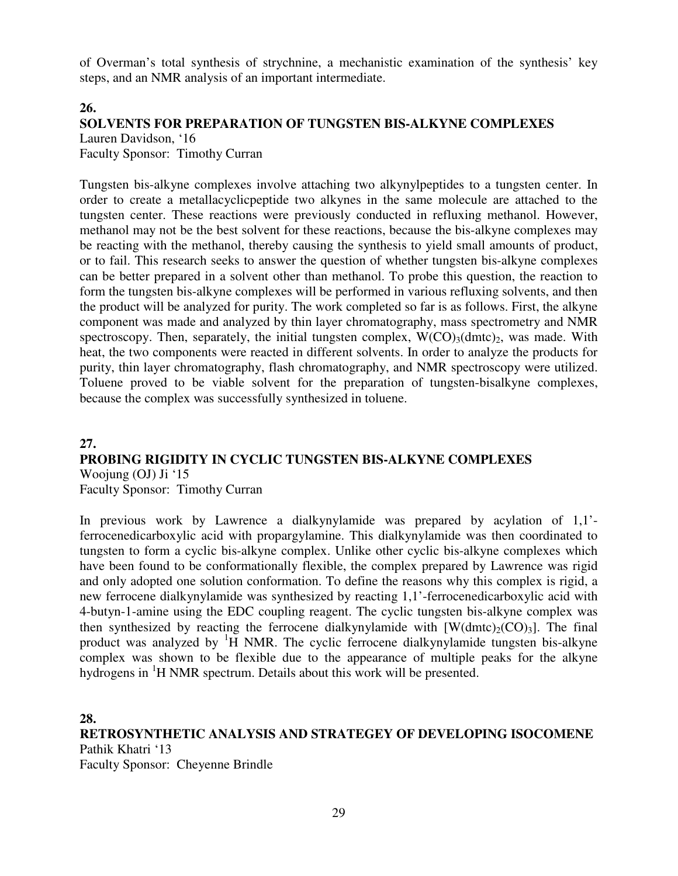of Overman's total synthesis of strychnine, a mechanistic examination of the synthesis' key steps, and an NMR analysis of an important intermediate.

#### **26.**

#### **SOLVENTS FOR PREPARATION OF TUNGSTEN BIS-ALKYNE COMPLEXES** Lauren Davidson, '16

Faculty Sponsor: Timothy Curran

Tungsten bis-alkyne complexes involve attaching two alkynylpeptides to a tungsten center. In order to create a metallacyclicpeptide two alkynes in the same molecule are attached to the tungsten center. These reactions were previously conducted in refluxing methanol. However, methanol may not be the best solvent for these reactions, because the bis-alkyne complexes may be reacting with the methanol, thereby causing the synthesis to yield small amounts of product, or to fail. This research seeks to answer the question of whether tungsten bis-alkyne complexes can be better prepared in a solvent other than methanol. To probe this question, the reaction to form the tungsten bis-alkyne complexes will be performed in various refluxing solvents, and then the product will be analyzed for purity. The work completed so far is as follows. First, the alkyne component was made and analyzed by thin layer chromatography, mass spectrometry and NMR spectroscopy. Then, separately, the initial tungsten complex,  $W(CO)_{3}(dmc)_{2}$ , was made. With heat, the two components were reacted in different solvents. In order to analyze the products for purity, thin layer chromatography, flash chromatography, and NMR spectroscopy were utilized. Toluene proved to be viable solvent for the preparation of tungsten-bisalkyne complexes, because the complex was successfully synthesized in toluene.

**27.** 

#### **PROBING RIGIDITY IN CYCLIC TUNGSTEN BIS-ALKYNE COMPLEXES** Woojung (OJ) Ji '15

Faculty Sponsor: Timothy Curran

In previous work by Lawrence a dialkynylamide was prepared by acylation of 1,1' ferrocenedicarboxylic acid with propargylamine. This dialkynylamide was then coordinated to tungsten to form a cyclic bis-alkyne complex. Unlike other cyclic bis-alkyne complexes which have been found to be conformationally flexible, the complex prepared by Lawrence was rigid and only adopted one solution conformation. To define the reasons why this complex is rigid, a new ferrocene dialkynylamide was synthesized by reacting 1,1'-ferrocenedicarboxylic acid with 4-butyn-1-amine using the EDC coupling reagent. The cyclic tungsten bis-alkyne complex was then synthesized by reacting the ferrocene dialkynylamide with  $[W(dmtc)_{2}(CO)_{3}]$ . The final product was analyzed by  ${}^{1}H$  NMR. The cyclic ferrocene dialkynylamide tungsten bis-alkyne complex was shown to be flexible due to the appearance of multiple peaks for the alkyne hydrogens in <sup>1</sup>H NMR spectrum. Details about this work will be presented.

**28.** 

**RETROSYNTHETIC ANALYSIS AND STRATEGEY OF DEVELOPING ISOCOMENE** Pathik Khatri '13 Faculty Sponsor: Cheyenne Brindle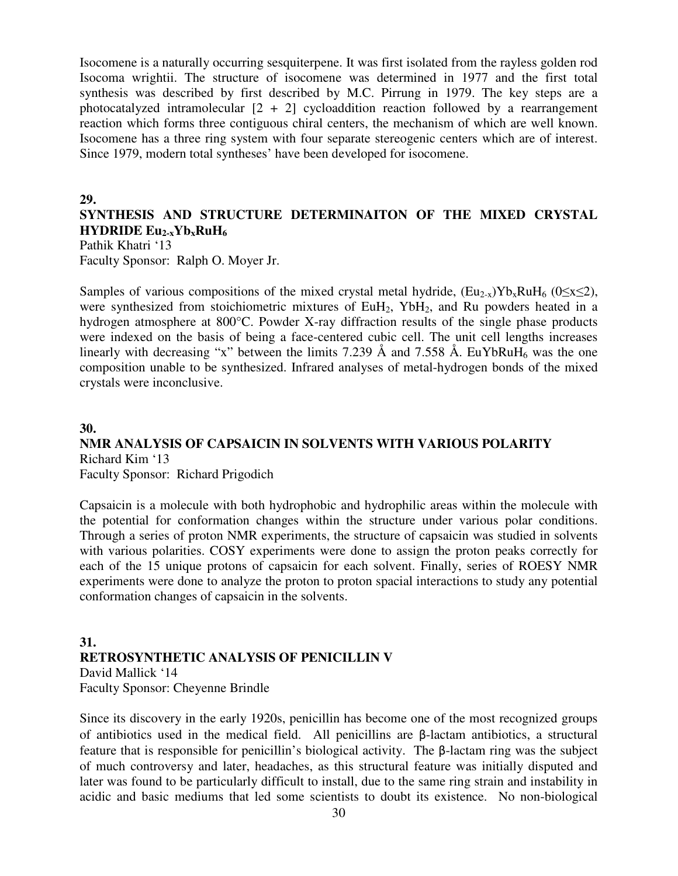Isocomene is a naturally occurring sesquiterpene. It was first isolated from the rayless golden rod Isocoma wrightii. The structure of isocomene was determined in 1977 and the first total synthesis was described by first described by M.C. Pirrung in 1979. The key steps are a photocatalyzed intramolecular  $[2 + 2]$  cycloaddition reaction followed by a rearrangement reaction which forms three contiguous chiral centers, the mechanism of which are well known. Isocomene has a three ring system with four separate stereogenic centers which are of interest. Since 1979, modern total syntheses' have been developed for isocomene.

#### **29.**

### **SYNTHESIS AND STRUCTURE DETERMINAITON OF THE MIXED CRYSTAL HYDRIDE**  $Eu_{2-x}Yb_xRuH_6$

Pathik Khatri '13 Faculty Sponsor: Ralph O. Moyer Jr.

Samples of various compositions of the mixed crystal metal hydride,  $(Eu_{2-x})Yb_xRuH_6$  ( $0\leq x \leq 2$ ), were synthesized from stoichiometric mixtures of  $EuH_2$ ,  $YbH_2$ , and Ru powders heated in a hydrogen atmosphere at 800°C. Powder X-ray diffraction results of the single phase products were indexed on the basis of being a face-centered cubic cell. The unit cell lengths increases linearly with decreasing "x" between the limits 7.239 Å and 7.558 Å. EuYbRuH<sub>6</sub> was the one composition unable to be synthesized. Infrared analyses of metal-hydrogen bonds of the mixed crystals were inconclusive.

#### **30.**

#### **NMR ANALYSIS OF CAPSAICIN IN SOLVENTS WITH VARIOUS POLARITY** Richard Kim '13

Faculty Sponsor: Richard Prigodich

Capsaicin is a molecule with both hydrophobic and hydrophilic areas within the molecule with the potential for conformation changes within the structure under various polar conditions. Through a series of proton NMR experiments, the structure of capsaicin was studied in solvents with various polarities. COSY experiments were done to assign the proton peaks correctly for each of the 15 unique protons of capsaicin for each solvent. Finally, series of ROESY NMR experiments were done to analyze the proton to proton spacial interactions to study any potential conformation changes of capsaicin in the solvents.

#### **31. RETROSYNTHETIC ANALYSIS OF PENICILLIN V** David Mallick '14 Faculty Sponsor: Cheyenne Brindle

Since its discovery in the early 1920s, penicillin has become one of the most recognized groups of antibiotics used in the medical field. All penicillins are β-lactam antibiotics, a structural feature that is responsible for penicillin's biological activity. The β-lactam ring was the subject of much controversy and later, headaches, as this structural feature was initially disputed and later was found to be particularly difficult to install, due to the same ring strain and instability in acidic and basic mediums that led some scientists to doubt its existence. No non-biological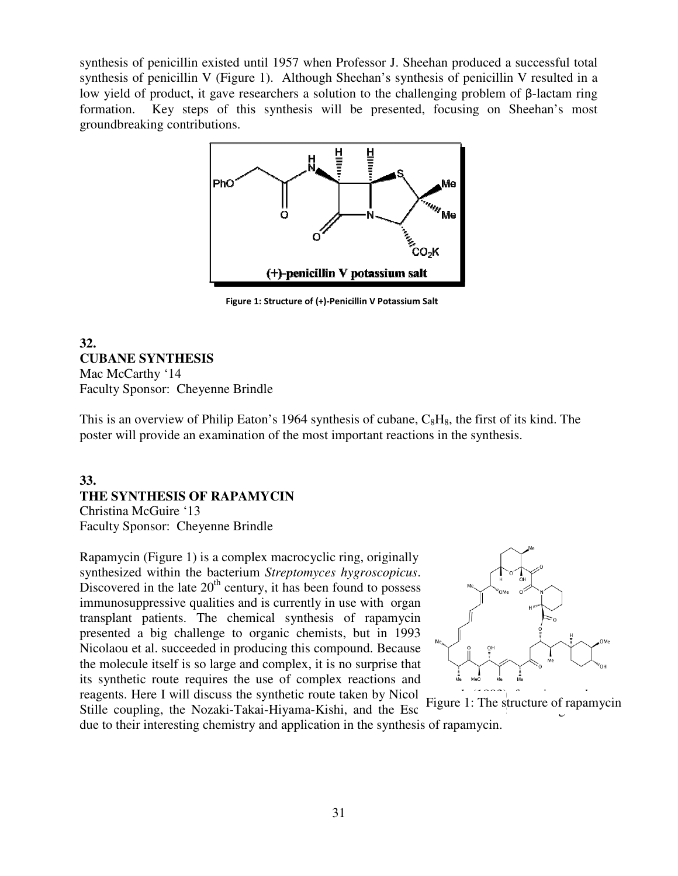synthesis of penicillin existed until 1957 when Professor J. Sheehan produced a successful total synthesis of penicillin V (Figure 1). Although Sheehan's synthesis of penicillin V resulted in a low yield of product, it gave researchers a solution to the challenging problem of β-lactam ring formation. Key steps of this synthesis will be presented, focusing on Sheehan's most groundbreaking contributions.



Figure 1: Structure of (+)-Penicillin V Potassium Salt

#### **32. CUBANE SYNTHESIS** Mac McCarthy '14 Faculty Sponsor: Cheyenne Brindle

This is an overview of Philip Eaton's 1964 synthesis of cubane,  $C_8H_8$ , the first of its kind. The poster will provide an examination of the most important reactions in the synthesis.

### **33. THE SYNTHESIS OF RAPAMYCIN THE SYNTHESIS RAPAMYCIN**Christina McGuire '13

Faculty Sponsor: Cheyenne Brindle

Rapamycin (Figure 1) is a complex macrocyclic ring, originally Rapamycin (Figure 1) is a complex macrocyclic ring, originally synthesized within the bacterium *Streptomyces hygroscopicus*. Discovered in the late  $20<sup>th</sup>$  century, it has been found to possess Discovered in the late  $20^{\text{th}}$  century, it has been found to possess immunosuppressive qualities and is currently in use with organ transplant patients. The chemical synthesis of rapamycin presented a big challenge to organic chemists, but in 1993 Nicolaou et al. succeeded in producing this compound. Because the molecule itself is so large and complex, it is no surprise that its synthetic route requires the use of complex reactions and reagents. Here I will discuss the synthetic route taken by Nicolaou et al. The structure of magnetic patients. The chemical synthesis of rapamycin<br>a big challenge to organic chemists, but in 1993<br>t al. succeeded in producing this compound. Because the molecule itself is so large and complex, it is no surprise that<br>its synthetic route requires the use of complex reactions and<br>reagents. Here I will discuss the synthetic route taken by Nicol<br>Stille coupling, the Nozak



Stille coupling, the Nozaki-Takai-Hiyama-Kishi, and the Esc due to their interesting chemistry and application in the synthesis of rapamycin. Figure 1: The structure of rapamycin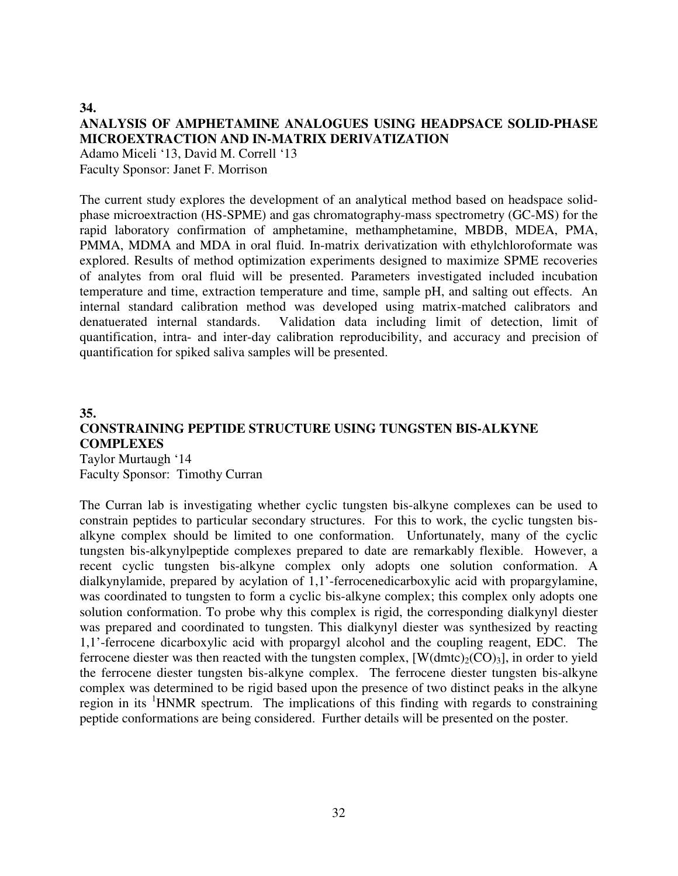#### **34. ANALYSIS OF AMPHETAMINE ANALOGUES USING HEADPSACE SOLID-PHASE MICROEXTRACTION AND IN-MATRIX DERIVATIZATION**

Adamo Miceli '13, David M. Correll '13 Faculty Sponsor: Janet F. Morrison

The current study explores the development of an analytical method based on headspace solidphase microextraction (HS-SPME) and gas chromatography-mass spectrometry (GC-MS) for the rapid laboratory confirmation of amphetamine, methamphetamine, MBDB, MDEA, PMA, PMMA, MDMA and MDA in oral fluid. In-matrix derivatization with ethylchloroformate was explored. Results of method optimization experiments designed to maximize SPME recoveries of analytes from oral fluid will be presented. Parameters investigated included incubation temperature and time, extraction temperature and time, sample pH, and salting out effects. An internal standard calibration method was developed using matrix-matched calibrators and denatuerated internal standards. Validation data including limit of detection, limit of quantification, intra- and inter-day calibration reproducibility, and accuracy and precision of quantification for spiked saliva samples will be presented.

#### **35. CONSTRAINING PEPTIDE STRUCTURE USING TUNGSTEN BIS-ALKYNE COMPLEXES**  Taylor Murtaugh '14

Faculty Sponsor: Timothy Curran

The Curran lab is investigating whether cyclic tungsten bis-alkyne complexes can be used to constrain peptides to particular secondary structures. For this to work, the cyclic tungsten bisalkyne complex should be limited to one conformation. Unfortunately, many of the cyclic tungsten bis-alkynylpeptide complexes prepared to date are remarkably flexible. However, a recent cyclic tungsten bis-alkyne complex only adopts one solution conformation. A dialkynylamide, prepared by acylation of 1,1'-ferrocenedicarboxylic acid with propargylamine, was coordinated to tungsten to form a cyclic bis-alkyne complex; this complex only adopts one solution conformation. To probe why this complex is rigid, the corresponding dialkynyl diester was prepared and coordinated to tungsten. This dialkynyl diester was synthesized by reacting 1,1'-ferrocene dicarboxylic acid with propargyl alcohol and the coupling reagent, EDC. The ferrocene diester was then reacted with the tungsten complex,  $[W(dmtc)_{2}(CO)_{3}]$ , in order to yield the ferrocene diester tungsten bis-alkyne complex. The ferrocene diester tungsten bis-alkyne complex was determined to be rigid based upon the presence of two distinct peaks in the alkyne region in its <sup>1</sup>HNMR spectrum. The implications of this finding with regards to constraining peptide conformations are being considered. Further details will be presented on the poster.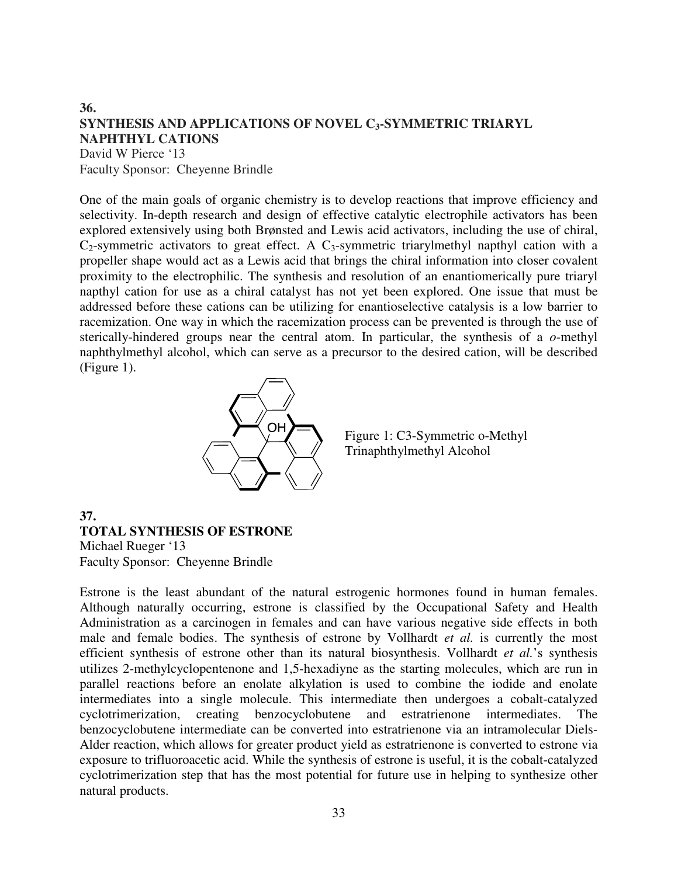#### **36. SYNTHESIS AND APPLICATIONS OF NOVEL C3-SYMMETRIC TRIARYL NAPHTHYL CATIONS** David W Pierce '13

Faculty Sponsor: Cheyenne Brindle

One of the main goals of organic chemistry is to develop reactions that improve efficiency and selectivity. In-depth research and design of effective catalytic electrophile activators has been explored extensively using both Brønsted and Lewis acid activators, including the use of chiral,  $C_2$ -symmetric activators to great effect. A  $C_3$ -symmetric triarylmethyl napthyl cation with a propeller shape would act as a Lewis acid that brings the chiral information into closer covalent proximity to the electrophilic. The synthesis and resolution of an enantiomerically pure triaryl napthyl cation for use as a chiral catalyst has not yet been explored. One issue that must be addressed before these cations can be utilizing for enantioselective catalysis is a low barrier to racemization. One way in which the racemization process can be prevented is through the use of sterically-hindered groups near the central atom. In particular, the synthesis of a *o*-methyl naphthylmethyl alcohol, which can serve as a precursor to the desired cation, will be described (Figure 1).



Figure 1: C3-Symmetric o-Methyl Trinaphthylmethyl Alcohol

#### **37.**

### **TOTAL SYNTHESIS OF ESTRONE**

Michael Rueger '13 Faculty Sponsor: Cheyenne Brindle

Estrone is the least abundant of the natural estrogenic hormones found in human females. Although naturally occurring, estrone is classified by the Occupational Safety and Health Administration as a carcinogen in females and can have various negative side effects in both male and female bodies. The synthesis of estrone by Vollhardt *et al.* is currently the most efficient synthesis of estrone other than its natural biosynthesis. Vollhardt *et al.*'s synthesis utilizes 2-methylcyclopentenone and 1,5-hexadiyne as the starting molecules, which are run in parallel reactions before an enolate alkylation is used to combine the iodide and enolate intermediates into a single molecule. This intermediate then undergoes a cobalt-catalyzed cyclotrimerization, creating benzocyclobutene and estratrienone intermediates. The benzocyclobutene intermediate can be converted into estratrienone via an intramolecular Diels-Alder reaction, which allows for greater product yield as estratrienone is converted to estrone via exposure to trifluoroacetic acid. While the synthesis of estrone is useful, it is the cobalt-catalyzed cyclotrimerization step that has the most potential for future use in helping to synthesize other natural products.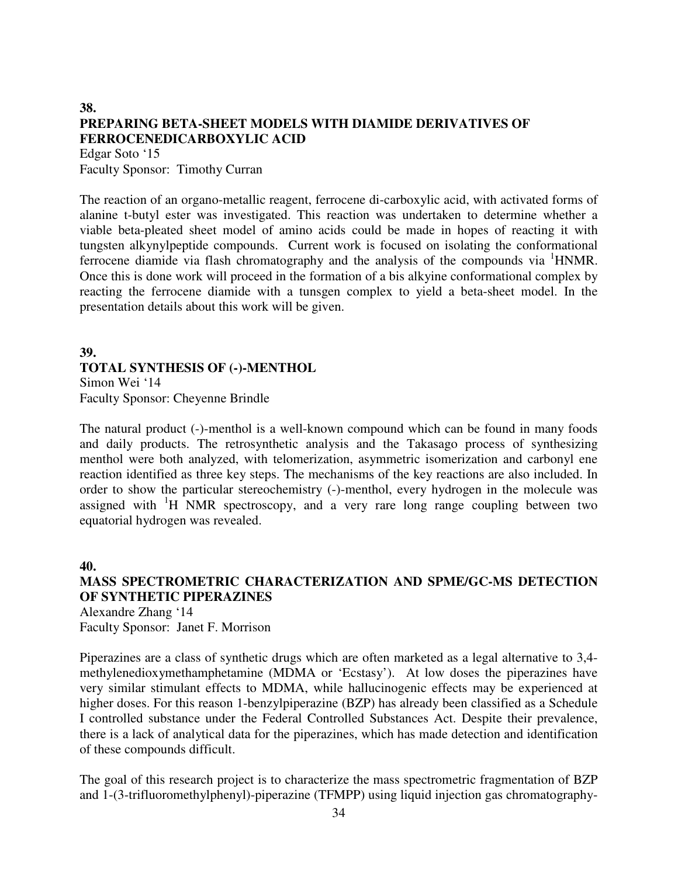### **38. PREPARING BETA-SHEET MODELS WITH DIAMIDE DERIVATIVES OF FERROCENEDICARBOXYLIC ACID**

Edgar Soto '15 Faculty Sponsor: Timothy Curran

The reaction of an organo-metallic reagent, ferrocene di-carboxylic acid, with activated forms of alanine t-butyl ester was investigated. This reaction was undertaken to determine whether a viable beta-pleated sheet model of amino acids could be made in hopes of reacting it with tungsten alkynylpeptide compounds. Current work is focused on isolating the conformational ferrocene diamide via flash chromatography and the analysis of the compounds via <sup>1</sup>HNMR. Once this is done work will proceed in the formation of a bis alkyine conformational complex by reacting the ferrocene diamide with a tunsgen complex to yield a beta-sheet model. In the presentation details about this work will be given.

### **39. TOTAL SYNTHESIS OF (-)-MENTHOL**  Simon Wei '14

Faculty Sponsor: Cheyenne Brindle

The natural product (-)-menthol is a well-known compound which can be found in many foods and daily products. The retrosynthetic analysis and the Takasago process of synthesizing menthol were both analyzed, with telomerization, asymmetric isomerization and carbonyl ene reaction identified as three key steps. The mechanisms of the key reactions are also included. In order to show the particular stereochemistry (-)-menthol, every hydrogen in the molecule was assigned with  $H$  NMR spectroscopy, and a very rare long range coupling between two equatorial hydrogen was revealed.

#### **40.**

### **MASS SPECTROMETRIC CHARACTERIZATION AND SPME/GC-MS DETECTION OF SYNTHETIC PIPERAZINES**

Alexandre Zhang '14 Faculty Sponsor: Janet F. Morrison

Piperazines are a class of synthetic drugs which are often marketed as a legal alternative to 3,4 methylenedioxymethamphetamine (MDMA or 'Ecstasy'). At low doses the piperazines have very similar stimulant effects to MDMA, while hallucinogenic effects may be experienced at higher doses. For this reason 1-benzylpiperazine (BZP) has already been classified as a Schedule I controlled substance under the Federal Controlled Substances Act. Despite their prevalence, there is a lack of analytical data for the piperazines, which has made detection and identification of these compounds difficult.

The goal of this research project is to characterize the mass spectrometric fragmentation of BZP and 1-(3-trifluoromethylphenyl)-piperazine (TFMPP) using liquid injection gas chromatography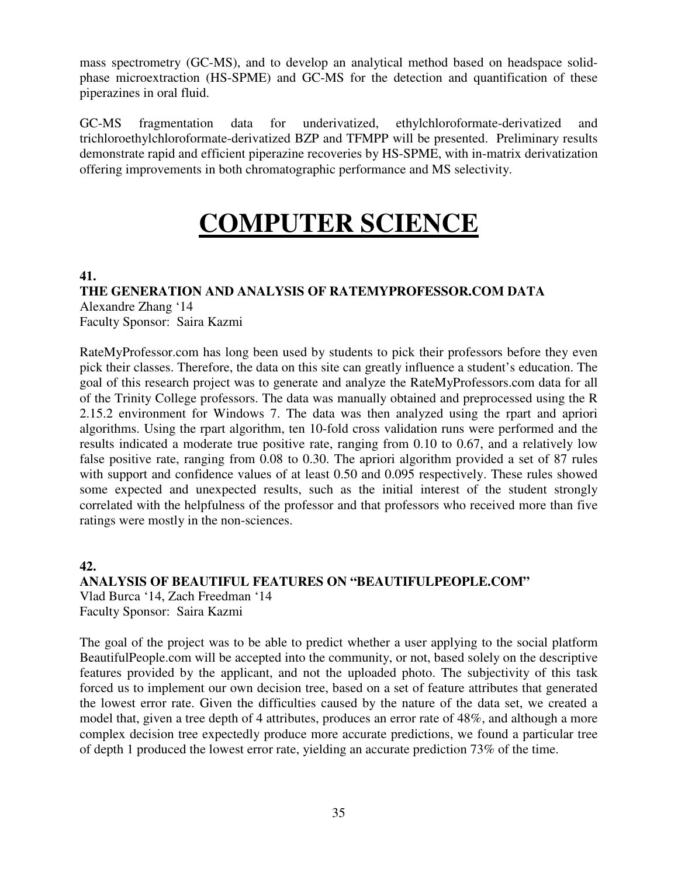mass spectrometry (GC-MS), and to develop an analytical method based on headspace solidphase microextraction (HS-SPME) and GC-MS for the detection and quantification of these piperazines in oral fluid.

GC-MS fragmentation data for underivatized, ethylchloroformate-derivatized and trichloroethylchloroformate-derivatized BZP and TFMPP will be presented. Preliminary results demonstrate rapid and efficient piperazine recoveries by HS-SPME, with in-matrix derivatization offering improvements in both chromatographic performance and MS selectivity.

# **COMPUTER SCIENCE**

### **41.**

**THE GENERATION AND ANALYSIS OF RATEMYPROFESSOR.COM DATA**  Alexandre Zhang '14 Faculty Sponsor: Saira Kazmi

RateMyProfessor.com has long been used by students to pick their professors before they even pick their classes. Therefore, the data on this site can greatly influence a student's education. The goal of this research project was to generate and analyze the RateMyProfessors.com data for all of the Trinity College professors. The data was manually obtained and preprocessed using the R 2.15.2 environment for Windows 7. The data was then analyzed using the rpart and apriori algorithms. Using the rpart algorithm, ten 10-fold cross validation runs were performed and the results indicated a moderate true positive rate, ranging from 0.10 to 0.67, and a relatively low false positive rate, ranging from 0.08 to 0.30. The apriori algorithm provided a set of 87 rules with support and confidence values of at least 0.50 and 0.095 respectively. These rules showed some expected and unexpected results, such as the initial interest of the student strongly correlated with the helpfulness of the professor and that professors who received more than five ratings were mostly in the non-sciences.

### **42.**

**ANALYSIS OF BEAUTIFUL FEATURES ON "BEAUTIFULPEOPLE.COM"**  Vlad Burca '14, Zach Freedman '14 Faculty Sponsor: Saira Kazmi

The goal of the project was to be able to predict whether a user applying to the social platform BeautifulPeople.com will be accepted into the community, or not, based solely on the descriptive features provided by the applicant, and not the uploaded photo. The subjectivity of this task forced us to implement our own decision tree, based on a set of feature attributes that generated the lowest error rate. Given the difficulties caused by the nature of the data set, we created a model that, given a tree depth of 4 attributes, produces an error rate of 48%, and although a more complex decision tree expectedly produce more accurate predictions, we found a particular tree of depth 1 produced the lowest error rate, yielding an accurate prediction 73% of the time.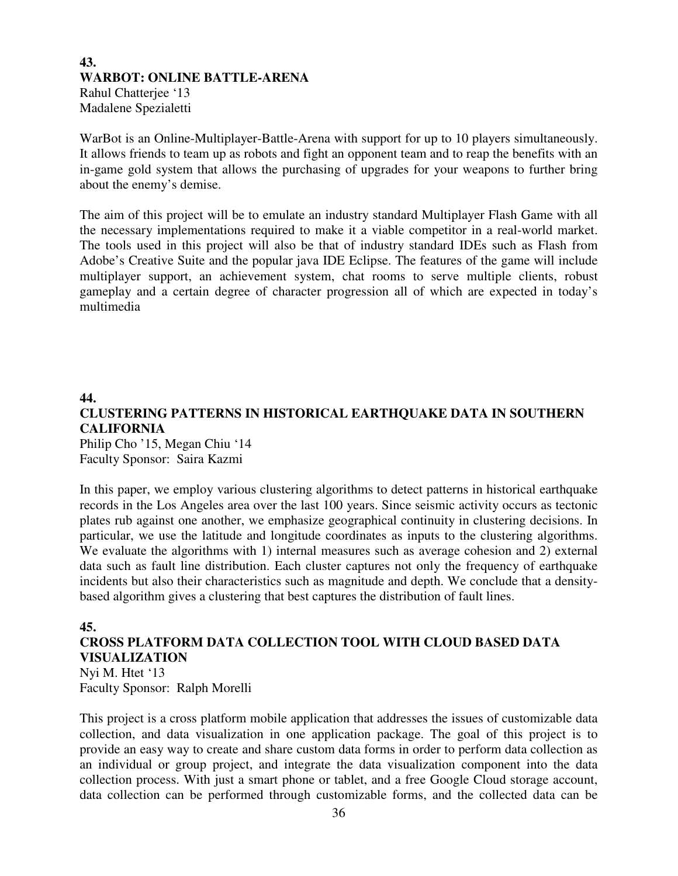## **43. WARBOT: ONLINE BATTLE-ARENA**  Rahul Chatterjee '13 Madalene Spezialetti

WarBot is an Online-Multiplayer-Battle-Arena with support for up to 10 players simultaneously. It allows friends to team up as robots and fight an opponent team and to reap the benefits with an in-game gold system that allows the purchasing of upgrades for your weapons to further bring about the enemy's demise.

The aim of this project will be to emulate an industry standard Multiplayer Flash Game with all the necessary implementations required to make it a viable competitor in a real-world market. The tools used in this project will also be that of industry standard IDEs such as Flash from Adobe's Creative Suite and the popular java IDE Eclipse. The features of the game will include multiplayer support, an achievement system, chat rooms to serve multiple clients, robust gameplay and a certain degree of character progression all of which are expected in today's multimedia

# **44. CLUSTERING PATTERNS IN HISTORICAL EARTHQUAKE DATA IN SOUTHERN CALIFORNIA**

Philip Cho '15, Megan Chiu '14 Faculty Sponsor: Saira Kazmi

In this paper, we employ various clustering algorithms to detect patterns in historical earthquake records in the Los Angeles area over the last 100 years. Since seismic activity occurs as tectonic plates rub against one another, we emphasize geographical continuity in clustering decisions. In particular, we use the latitude and longitude coordinates as inputs to the clustering algorithms. We evaluate the algorithms with 1) internal measures such as average cohesion and 2) external data such as fault line distribution. Each cluster captures not only the frequency of earthquake incidents but also their characteristics such as magnitude and depth. We conclude that a densitybased algorithm gives a clustering that best captures the distribution of fault lines.

#### **45.**

## **CROSS PLATFORM DATA COLLECTION TOOL WITH CLOUD BASED DATA VISUALIZATION**

Nyi M. Htet '13 Faculty Sponsor: Ralph Morelli

This project is a cross platform mobile application that addresses the issues of customizable data collection, and data visualization in one application package. The goal of this project is to provide an easy way to create and share custom data forms in order to perform data collection as an individual or group project, and integrate the data visualization component into the data collection process. With just a smart phone or tablet, and a free Google Cloud storage account, data collection can be performed through customizable forms, and the collected data can be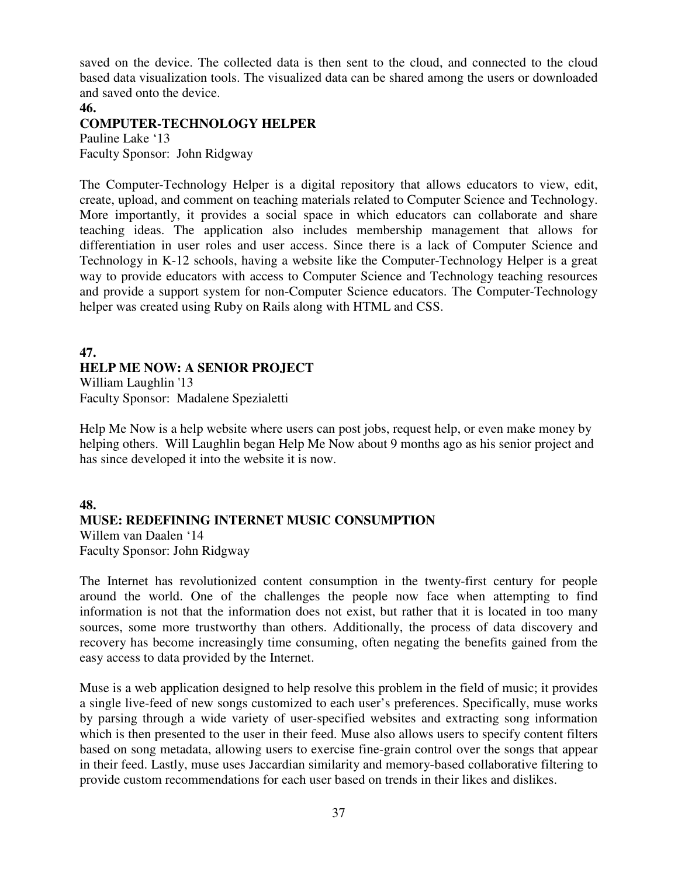saved on the device. The collected data is then sent to the cloud, and connected to the cloud based data visualization tools. The visualized data can be shared among the users or downloaded and saved onto the device.

## **46.**

## **COMPUTER-TECHNOLOGY HELPER**

Pauline Lake '13 Faculty Sponsor: John Ridgway

The Computer-Technology Helper is a digital repository that allows educators to view, edit, create, upload, and comment on teaching materials related to Computer Science and Technology. More importantly, it provides a social space in which educators can collaborate and share teaching ideas. The application also includes membership management that allows for differentiation in user roles and user access. Since there is a lack of Computer Science and Technology in K-12 schools, having a website like the Computer-Technology Helper is a great way to provide educators with access to Computer Science and Technology teaching resources and provide a support system for non-Computer Science educators. The Computer-Technology helper was created using Ruby on Rails along with HTML and CSS.

## **47. HELP ME NOW: A SENIOR PROJECT**  William Laughlin '13

Faculty Sponsor: Madalene Spezialetti

Help Me Now is a help website where users can post jobs, request help, or even make money by helping others. Will Laughlin began Help Me Now about 9 months ago as his senior project and has since developed it into the website it is now.

## **48. MUSE: REDEFINING INTERNET MUSIC CONSUMPTION**

Willem van Daalen '14 Faculty Sponsor: John Ridgway

The Internet has revolutionized content consumption in the twenty-first century for people around the world. One of the challenges the people now face when attempting to find information is not that the information does not exist, but rather that it is located in too many sources, some more trustworthy than others. Additionally, the process of data discovery and recovery has become increasingly time consuming, often negating the benefits gained from the easy access to data provided by the Internet.

Muse is a web application designed to help resolve this problem in the field of music; it provides a single live-feed of new songs customized to each user's preferences. Specifically, muse works by parsing through a wide variety of user-specified websites and extracting song information which is then presented to the user in their feed. Muse also allows users to specify content filters based on song metadata, allowing users to exercise fine-grain control over the songs that appear in their feed. Lastly, muse uses Jaccardian similarity and memory-based collaborative filtering to provide custom recommendations for each user based on trends in their likes and dislikes.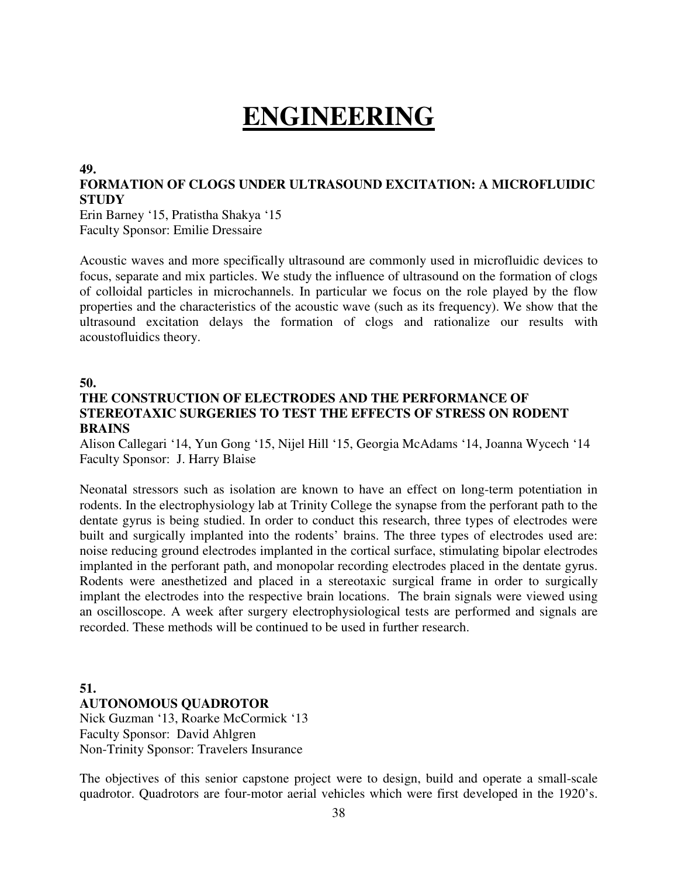# **ENGINEERING**

#### **49.**

## **FORMATION OF CLOGS UNDER ULTRASOUND EXCITATION: A MICROFLUIDIC STUDY**

Erin Barney '15, Pratistha Shakya '15 Faculty Sponsor: Emilie Dressaire

Acoustic waves and more specifically ultrasound are commonly used in microfluidic devices to focus, separate and mix particles. We study the influence of ultrasound on the formation of clogs of colloidal particles in microchannels. In particular we focus on the role played by the flow properties and the characteristics of the acoustic wave (such as its frequency). We show that the ultrasound excitation delays the formation of clogs and rationalize our results with acoustofluidics theory.

#### **50.**

## **THE CONSTRUCTION OF ELECTRODES AND THE PERFORMANCE OF STEREOTAXIC SURGERIES TO TEST THE EFFECTS OF STRESS ON RODENT BRAINS**

Alison Callegari '14, Yun Gong '15, Nijel Hill '15, Georgia McAdams '14, Joanna Wycech '14 Faculty Sponsor: J. Harry Blaise

Neonatal stressors such as isolation are known to have an effect on long-term potentiation in rodents. In the electrophysiology lab at Trinity College the synapse from the perforant path to the dentate gyrus is being studied. In order to conduct this research, three types of electrodes were built and surgically implanted into the rodents' brains. The three types of electrodes used are: noise reducing ground electrodes implanted in the cortical surface, stimulating bipolar electrodes implanted in the perforant path, and monopolar recording electrodes placed in the dentate gyrus. Rodents were anesthetized and placed in a stereotaxic surgical frame in order to surgically implant the electrodes into the respective brain locations. The brain signals were viewed using an oscilloscope. A week after surgery electrophysiological tests are performed and signals are recorded. These methods will be continued to be used in further research.

## **51. AUTONOMOUS QUADROTOR**

Nick Guzman '13, Roarke McCormick '13 Faculty Sponsor: David Ahlgren Non-Trinity Sponsor: Travelers Insurance

The objectives of this senior capstone project were to design, build and operate a small-scale quadrotor. Quadrotors are four-motor aerial vehicles which were first developed in the 1920's.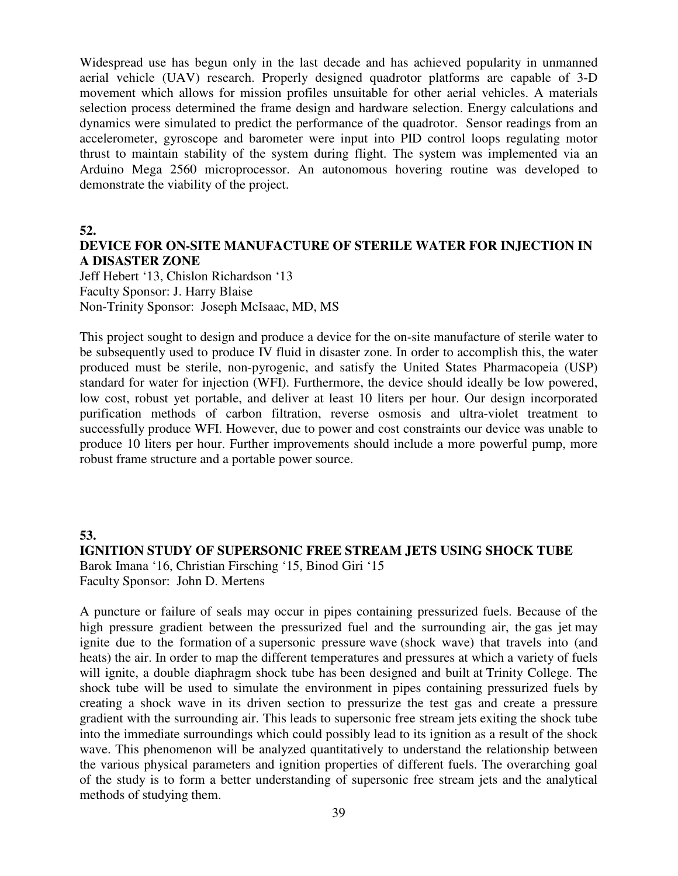Widespread use has begun only in the last decade and has achieved popularity in unmanned aerial vehicle (UAV) research. Properly designed quadrotor platforms are capable of 3-D movement which allows for mission profiles unsuitable for other aerial vehicles. A materials selection process determined the frame design and hardware selection. Energy calculations and dynamics were simulated to predict the performance of the quadrotor. Sensor readings from an accelerometer, gyroscope and barometer were input into PID control loops regulating motor thrust to maintain stability of the system during flight. The system was implemented via an Arduino Mega 2560 microprocessor. An autonomous hovering routine was developed to demonstrate the viability of the project.

**52.** 

## **DEVICE FOR ON-SITE MANUFACTURE OF STERILE WATER FOR INJECTION IN A DISASTER ZONE**

Jeff Hebert '13, Chislon Richardson '13 Faculty Sponsor: J. Harry Blaise Non-Trinity Sponsor: Joseph McIsaac, MD, MS

This project sought to design and produce a device for the on-site manufacture of sterile water to be subsequently used to produce IV fluid in disaster zone. In order to accomplish this, the water produced must be sterile, non-pyrogenic, and satisfy the United States Pharmacopeia (USP) standard for water for injection (WFI). Furthermore, the device should ideally be low powered, low cost, robust yet portable, and deliver at least 10 liters per hour. Our design incorporated purification methods of carbon filtration, reverse osmosis and ultra-violet treatment to successfully produce WFI. However, due to power and cost constraints our device was unable to produce 10 liters per hour. Further improvements should include a more powerful pump, more robust frame structure and a portable power source.

## **53. IGNITION STUDY OF SUPERSONIC FREE STREAM JETS USING SHOCK TUBE** Barok Imana '16, Christian Firsching '15, Binod Giri '15 Faculty Sponsor: John D. Mertens

A puncture or failure of seals may occur in pipes containing pressurized fuels. Because of the high pressure gradient between the pressurized fuel and the surrounding air, the gas jet may ignite due to the formation of a supersonic pressure wave (shock wave) that travels into (and heats) the air. In order to map the different temperatures and pressures at which a variety of fuels will ignite, a double diaphragm shock tube has been designed and built at Trinity College. The shock tube will be used to simulate the environment in pipes containing pressurized fuels by creating a shock wave in its driven section to pressurize the test gas and create a pressure gradient with the surrounding air. This leads to supersonic free stream jets exiting the shock tube into the immediate surroundings which could possibly lead to its ignition as a result of the shock wave. This phenomenon will be analyzed quantitatively to understand the relationship between the various physical parameters and ignition properties of different fuels. The overarching goal of the study is to form a better understanding of supersonic free stream jets and the analytical methods of studying them.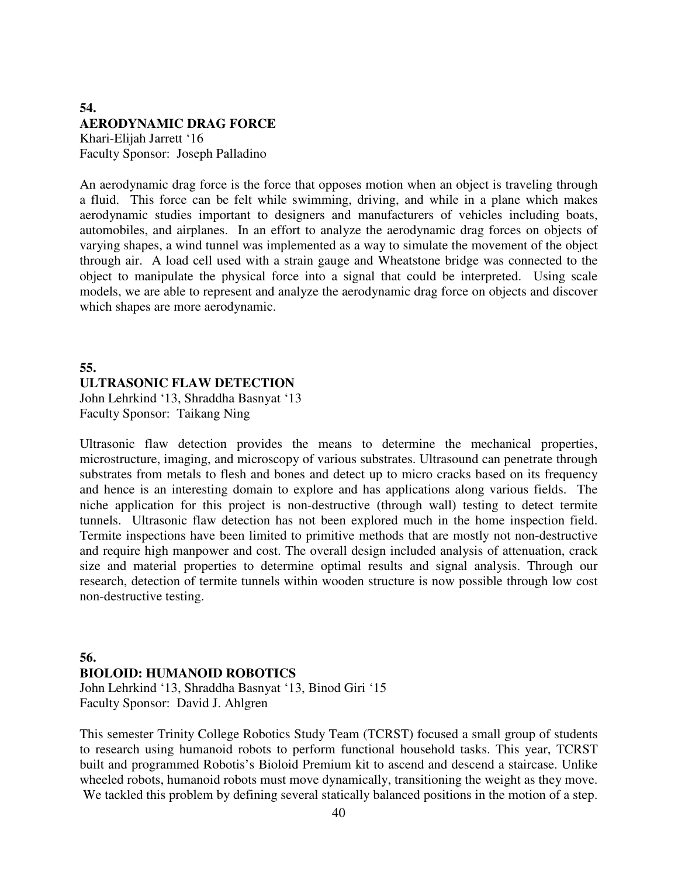## **54. AERODYNAMIC DRAG FORCE**  Khari-Elijah Jarrett '16

Faculty Sponsor: Joseph Palladino

An aerodynamic drag force is the force that opposes motion when an object is traveling through a fluid. This force can be felt while swimming, driving, and while in a plane which makes aerodynamic studies important to designers and manufacturers of vehicles including boats, automobiles, and airplanes. In an effort to analyze the aerodynamic drag forces on objects of varying shapes, a wind tunnel was implemented as a way to simulate the movement of the object through air. A load cell used with a strain gauge and Wheatstone bridge was connected to the object to manipulate the physical force into a signal that could be interpreted. Using scale models, we are able to represent and analyze the aerodynamic drag force on objects and discover which shapes are more aerodynamic.

## **55. ULTRASONIC FLAW DETECTION**  John Lehrkind '13, Shraddha Basnyat '13

Faculty Sponsor: Taikang Ning

Ultrasonic flaw detection provides the means to determine the mechanical properties, microstructure, imaging, and microscopy of various substrates. Ultrasound can penetrate through substrates from metals to flesh and bones and detect up to micro cracks based on its frequency and hence is an interesting domain to explore and has applications along various fields. The niche application for this project is non-destructive (through wall) testing to detect termite tunnels. Ultrasonic flaw detection has not been explored much in the home inspection field. Termite inspections have been limited to primitive methods that are mostly not non-destructive and require high manpower and cost. The overall design included analysis of attenuation, crack size and material properties to determine optimal results and signal analysis. Through our research, detection of termite tunnels within wooden structure is now possible through low cost non-destructive testing.

# **56.**

## **BIOLOID: HUMANOID ROBOTICS**

John Lehrkind '13, Shraddha Basnyat '13, Binod Giri '15 Faculty Sponsor: David J. Ahlgren

This semester Trinity College Robotics Study Team (TCRST) focused a small group of students to research using humanoid robots to perform functional household tasks. This year, TCRST built and programmed Robotis's Bioloid Premium kit to ascend and descend a staircase. Unlike wheeled robots, humanoid robots must move dynamically, transitioning the weight as they move. We tackled this problem by defining several statically balanced positions in the motion of a step.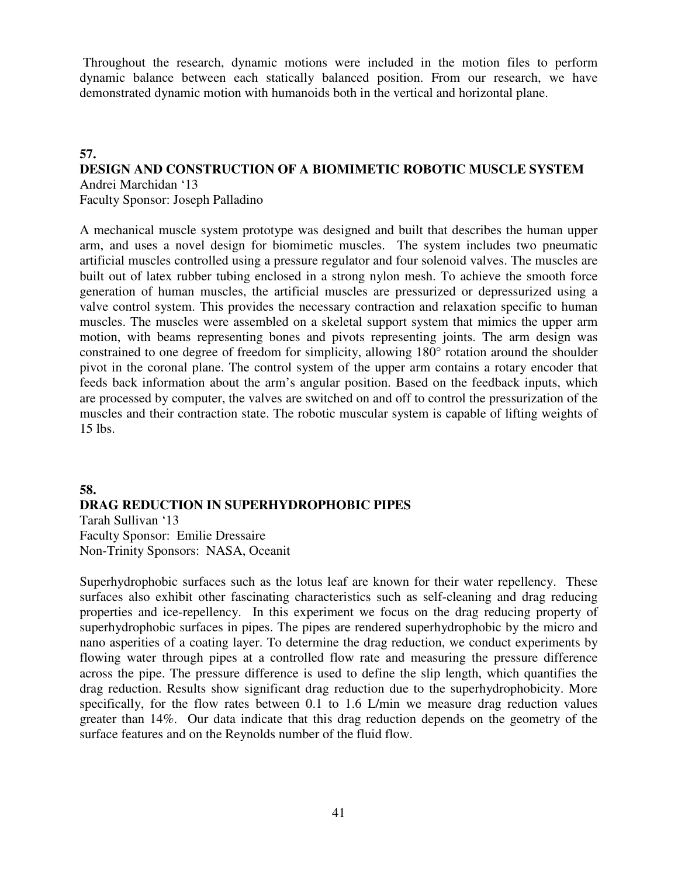Throughout the research, dynamic motions were included in the motion files to perform dynamic balance between each statically balanced position. From our research, we have demonstrated dynamic motion with humanoids both in the vertical and horizontal plane.

#### **57. DESIGN AND CONSTRUCTION OF A BIOMIMETIC ROBOTIC MUSCLE SYSTEM**  Andrei Marchidan '13

Faculty Sponsor: Joseph Palladino

A mechanical muscle system prototype was designed and built that describes the human upper arm, and uses a novel design for biomimetic muscles. The system includes two pneumatic artificial muscles controlled using a pressure regulator and four solenoid valves. The muscles are built out of latex rubber tubing enclosed in a strong nylon mesh. To achieve the smooth force generation of human muscles, the artificial muscles are pressurized or depressurized using a valve control system. This provides the necessary contraction and relaxation specific to human muscles. The muscles were assembled on a skeletal support system that mimics the upper arm motion, with beams representing bones and pivots representing joints. The arm design was constrained to one degree of freedom for simplicity, allowing 180° rotation around the shoulder pivot in the coronal plane. The control system of the upper arm contains a rotary encoder that feeds back information about the arm's angular position. Based on the feedback inputs, which are processed by computer, the valves are switched on and off to control the pressurization of the muscles and their contraction state. The robotic muscular system is capable of lifting weights of 15 lbs.

## **58. DRAG REDUCTION IN SUPERHYDROPHOBIC PIPES**  Tarah Sullivan '13

Faculty Sponsor: Emilie Dressaire Non-Trinity Sponsors: NASA, Oceanit

Superhydrophobic surfaces such as the lotus leaf are known for their water repellency. These surfaces also exhibit other fascinating characteristics such as self-cleaning and drag reducing properties and ice-repellency. In this experiment we focus on the drag reducing property of superhydrophobic surfaces in pipes. The pipes are rendered superhydrophobic by the micro and nano asperities of a coating layer. To determine the drag reduction, we conduct experiments by flowing water through pipes at a controlled flow rate and measuring the pressure difference across the pipe. The pressure difference is used to define the slip length, which quantifies the drag reduction. Results show significant drag reduction due to the superhydrophobicity. More specifically, for the flow rates between 0.1 to 1.6 L/min we measure drag reduction values greater than 14%. Our data indicate that this drag reduction depends on the geometry of the surface features and on the Reynolds number of the fluid flow.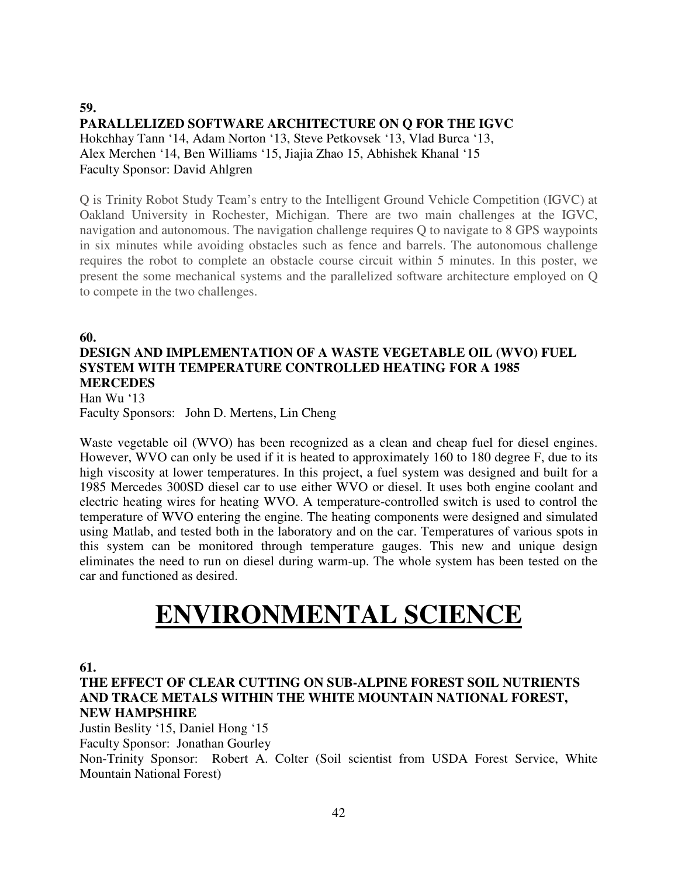## **59. PARALLELIZED SOFTWARE ARCHITECTURE ON Q FOR THE IGVC** Hokchhay Tann '14, Adam Norton '13, Steve Petkovsek '13, Vlad Burca '13, Alex Merchen '14, Ben Williams '15, Jiajia Zhao 15, Abhishek Khanal '15 Faculty Sponsor: David Ahlgren

Q is Trinity Robot Study Team's entry to the Intelligent Ground Vehicle Competition (IGVC) at Oakland University in Rochester, Michigan. There are two main challenges at the IGVC, navigation and autonomous. The navigation challenge requires Q to navigate to 8 GPS waypoints in six minutes while avoiding obstacles such as fence and barrels. The autonomous challenge requires the robot to complete an obstacle course circuit within 5 minutes. In this poster, we present the some mechanical systems and the parallelized software architecture employed on Q to compete in the two challenges.

**60.** 

## **DESIGN AND IMPLEMENTATION OF A WASTE VEGETABLE OIL (WVO) FUEL SYSTEM WITH TEMPERATURE CONTROLLED HEATING FOR A 1985 MERCEDES**  Han Wu '13

Faculty Sponsors: John D. Mertens, Lin Cheng

Waste vegetable oil (WVO) has been recognized as a clean and cheap fuel for diesel engines. However, WVO can only be used if it is heated to approximately 160 to 180 degree F, due to its high viscosity at lower temperatures. In this project, a fuel system was designed and built for a 1985 Mercedes 300SD diesel car to use either WVO or diesel. It uses both engine coolant and electric heating wires for heating WVO. A temperature-controlled switch is used to control the temperature of WVO entering the engine. The heating components were designed and simulated using Matlab, and tested both in the laboratory and on the car. Temperatures of various spots in this system can be monitored through temperature gauges. This new and unique design eliminates the need to run on diesel during warm-up. The whole system has been tested on the car and functioned as desired.

# **ENVIRONMENTAL SCIENCE**

**61.** 

**THE EFFECT OF CLEAR CUTTING ON SUB-ALPINE FOREST SOIL NUTRIENTS AND TRACE METALS WITHIN THE WHITE MOUNTAIN NATIONAL FOREST, NEW HAMPSHIRE** 

Justin Beslity '15, Daniel Hong '15

Faculty Sponsor: Jonathan Gourley

Non-Trinity Sponsor: Robert A. Colter (Soil scientist from USDA Forest Service, White Mountain National Forest)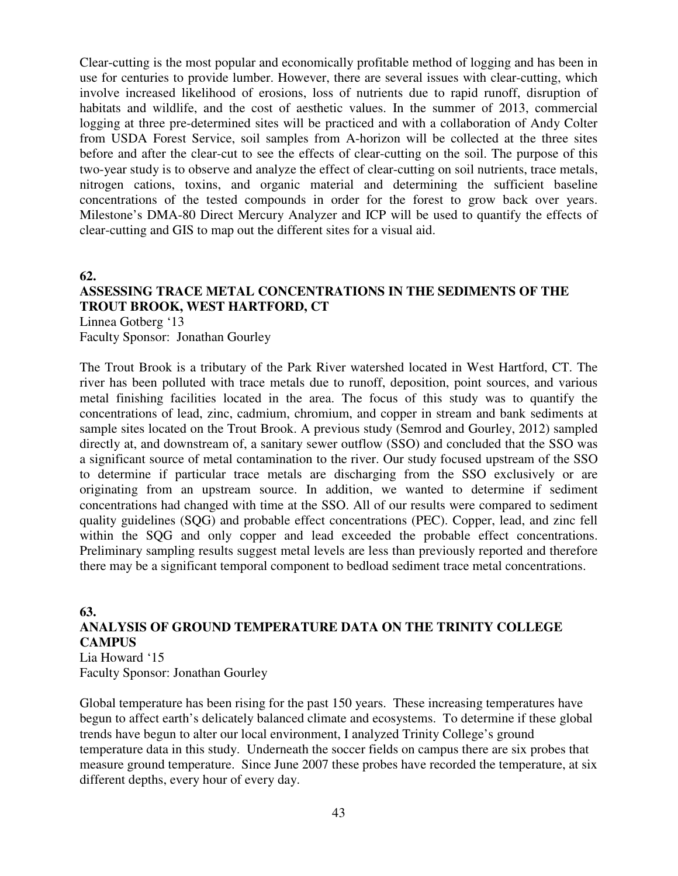Clear-cutting is the most popular and economically profitable method of logging and has been in use for centuries to provide lumber. However, there are several issues with clear-cutting, which involve increased likelihood of erosions, loss of nutrients due to rapid runoff, disruption of habitats and wildlife, and the cost of aesthetic values. In the summer of 2013, commercial logging at three pre-determined sites will be practiced and with a collaboration of Andy Colter from USDA Forest Service, soil samples from A-horizon will be collected at the three sites before and after the clear-cut to see the effects of clear-cutting on the soil. The purpose of this two-year study is to observe and analyze the effect of clear-cutting on soil nutrients, trace metals, nitrogen cations, toxins, and organic material and determining the sufficient baseline concentrations of the tested compounds in order for the forest to grow back over years. Milestone's DMA-80 Direct Mercury Analyzer and ICP will be used to quantify the effects of clear-cutting and GIS to map out the different sites for a visual aid.

**62.** 

# **ASSESSING TRACE METAL CONCENTRATIONS IN THE SEDIMENTS OF THE TROUT BROOK, WEST HARTFORD, CT**

Linnea Gotberg '13 Faculty Sponsor: Jonathan Gourley

The Trout Brook is a tributary of the Park River watershed located in West Hartford, CT. The river has been polluted with trace metals due to runoff, deposition, point sources, and various metal finishing facilities located in the area. The focus of this study was to quantify the concentrations of lead, zinc, cadmium, chromium, and copper in stream and bank sediments at sample sites located on the Trout Brook. A previous study (Semrod and Gourley, 2012) sampled directly at, and downstream of, a sanitary sewer outflow (SSO) and concluded that the SSO was a significant source of metal contamination to the river. Our study focused upstream of the SSO to determine if particular trace metals are discharging from the SSO exclusively or are originating from an upstream source. In addition, we wanted to determine if sediment concentrations had changed with time at the SSO. All of our results were compared to sediment quality guidelines (SQG) and probable effect concentrations (PEC). Copper, lead, and zinc fell within the SQG and only copper and lead exceeded the probable effect concentrations. Preliminary sampling results suggest metal levels are less than previously reported and therefore there may be a significant temporal component to bedload sediment trace metal concentrations.

## **63. ANALYSIS OF GROUND TEMPERATURE DATA ON THE TRINITY COLLEGE CAMPUS**

Lia Howard '15 Faculty Sponsor: Jonathan Gourley

Global temperature has been rising for the past 150 years. These increasing temperatures have begun to affect earth's delicately balanced climate and ecosystems. To determine if these global trends have begun to alter our local environment, I analyzed Trinity College's ground temperature data in this study. Underneath the soccer fields on campus there are six probes that measure ground temperature. Since June 2007 these probes have recorded the temperature, at six different depths, every hour of every day.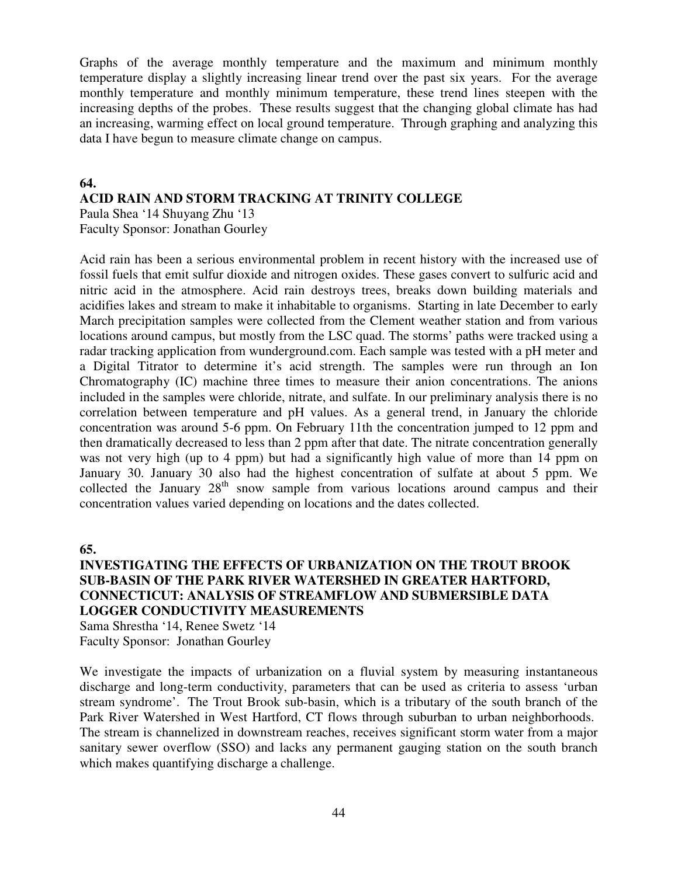Graphs of the average monthly temperature and the maximum and minimum monthly temperature display a slightly increasing linear trend over the past six years. For the average monthly temperature and monthly minimum temperature, these trend lines steepen with the increasing depths of the probes. These results suggest that the changing global climate has had an increasing, warming effect on local ground temperature. Through graphing and analyzing this data I have begun to measure climate change on campus.

## **64.**

## **ACID RAIN AND STORM TRACKING AT TRINITY COLLEGE**

Paula Shea '14 Shuyang Zhu '13 Faculty Sponsor: Jonathan Gourley

Acid rain has been a serious environmental problem in recent history with the increased use of fossil fuels that emit sulfur dioxide and nitrogen oxides. These gases convert to sulfuric acid and nitric acid in the atmosphere. Acid rain destroys trees, breaks down building materials and acidifies lakes and stream to make it inhabitable to organisms. Starting in late December to early March precipitation samples were collected from the Clement weather station and from various locations around campus, but mostly from the LSC quad. The storms' paths were tracked using a radar tracking application from wunderground.com. Each sample was tested with a pH meter and a Digital Titrator to determine it's acid strength. The samples were run through an Ion Chromatography (IC) machine three times to measure their anion concentrations. The anions included in the samples were chloride, nitrate, and sulfate. In our preliminary analysis there is no correlation between temperature and pH values. As a general trend, in January the chloride concentration was around 5-6 ppm. On February 11th the concentration jumped to 12 ppm and then dramatically decreased to less than 2 ppm after that date. The nitrate concentration generally was not very high (up to 4 ppm) but had a significantly high value of more than 14 ppm on January 30. January 30 also had the highest concentration of sulfate at about 5 ppm. We collected the January  $28<sup>th</sup>$  snow sample from various locations around campus and their concentration values varied depending on locations and the dates collected.

**65.** 

## **INVESTIGATING THE EFFECTS OF URBANIZATION ON THE TROUT BROOK SUB-BASIN OF THE PARK RIVER WATERSHED IN GREATER HARTFORD, CONNECTICUT: ANALYSIS OF STREAMFLOW AND SUBMERSIBLE DATA LOGGER CONDUCTIVITY MEASUREMENTS**

Sama Shrestha '14, Renee Swetz '14 Faculty Sponsor: Jonathan Gourley

We investigate the impacts of urbanization on a fluvial system by measuring instantaneous discharge and long-term conductivity, parameters that can be used as criteria to assess 'urban stream syndrome'. The Trout Brook sub-basin, which is a tributary of the south branch of the Park River Watershed in West Hartford, CT flows through suburban to urban neighborhoods. The stream is channelized in downstream reaches, receives significant storm water from a major sanitary sewer overflow (SSO) and lacks any permanent gauging station on the south branch which makes quantifying discharge a challenge.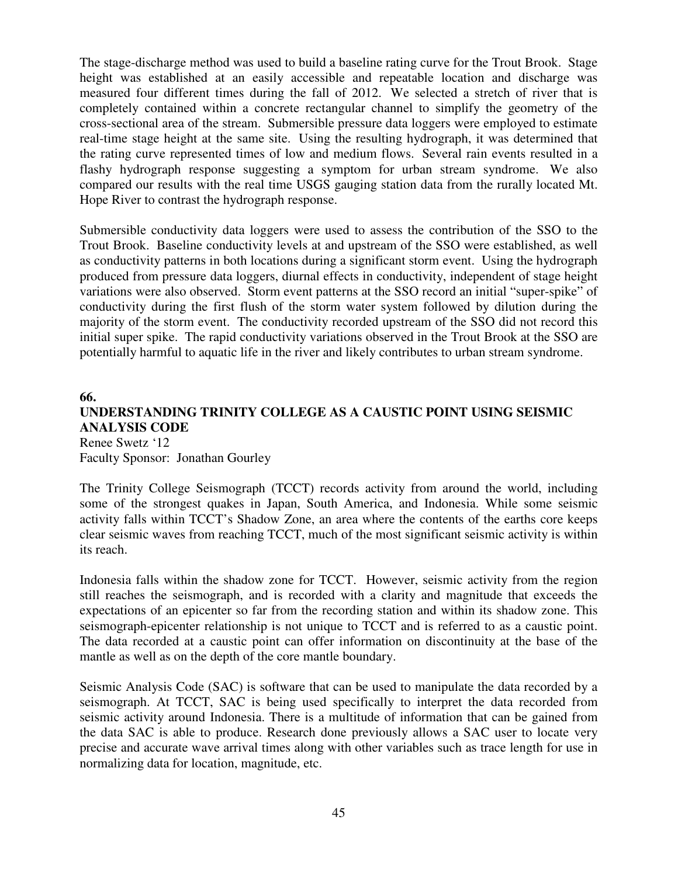The stage-discharge method was used to build a baseline rating curve for the Trout Brook. Stage height was established at an easily accessible and repeatable location and discharge was measured four different times during the fall of 2012. We selected a stretch of river that is completely contained within a concrete rectangular channel to simplify the geometry of the cross-sectional area of the stream. Submersible pressure data loggers were employed to estimate real-time stage height at the same site. Using the resulting hydrograph, it was determined that the rating curve represented times of low and medium flows. Several rain events resulted in a flashy hydrograph response suggesting a symptom for urban stream syndrome. We also compared our results with the real time USGS gauging station data from the rurally located Mt. Hope River to contrast the hydrograph response.

Submersible conductivity data loggers were used to assess the contribution of the SSO to the Trout Brook. Baseline conductivity levels at and upstream of the SSO were established, as well as conductivity patterns in both locations during a significant storm event. Using the hydrograph produced from pressure data loggers, diurnal effects in conductivity, independent of stage height variations were also observed. Storm event patterns at the SSO record an initial "super-spike" of conductivity during the first flush of the storm water system followed by dilution during the majority of the storm event. The conductivity recorded upstream of the SSO did not record this initial super spike. The rapid conductivity variations observed in the Trout Brook at the SSO are potentially harmful to aquatic life in the river and likely contributes to urban stream syndrome.

## **66. UNDERSTANDING TRINITY COLLEGE AS A CAUSTIC POINT USING SEISMIC ANALYSIS CODE**  Renee Swetz '12 Faculty Sponsor: Jonathan Gourley

The Trinity College Seismograph (TCCT) records activity from around the world, including some of the strongest quakes in Japan, South America, and Indonesia. While some seismic activity falls within TCCT's Shadow Zone, an area where the contents of the earths core keeps clear seismic waves from reaching TCCT, much of the most significant seismic activity is within its reach.

Indonesia falls within the shadow zone for TCCT. However, seismic activity from the region still reaches the seismograph, and is recorded with a clarity and magnitude that exceeds the expectations of an epicenter so far from the recording station and within its shadow zone. This seismograph-epicenter relationship is not unique to TCCT and is referred to as a caustic point. The data recorded at a caustic point can offer information on discontinuity at the base of the mantle as well as on the depth of the core mantle boundary.

Seismic Analysis Code (SAC) is software that can be used to manipulate the data recorded by a seismograph. At TCCT, SAC is being used specifically to interpret the data recorded from seismic activity around Indonesia. There is a multitude of information that can be gained from the data SAC is able to produce. Research done previously allows a SAC user to locate very precise and accurate wave arrival times along with other variables such as trace length for use in normalizing data for location, magnitude, etc.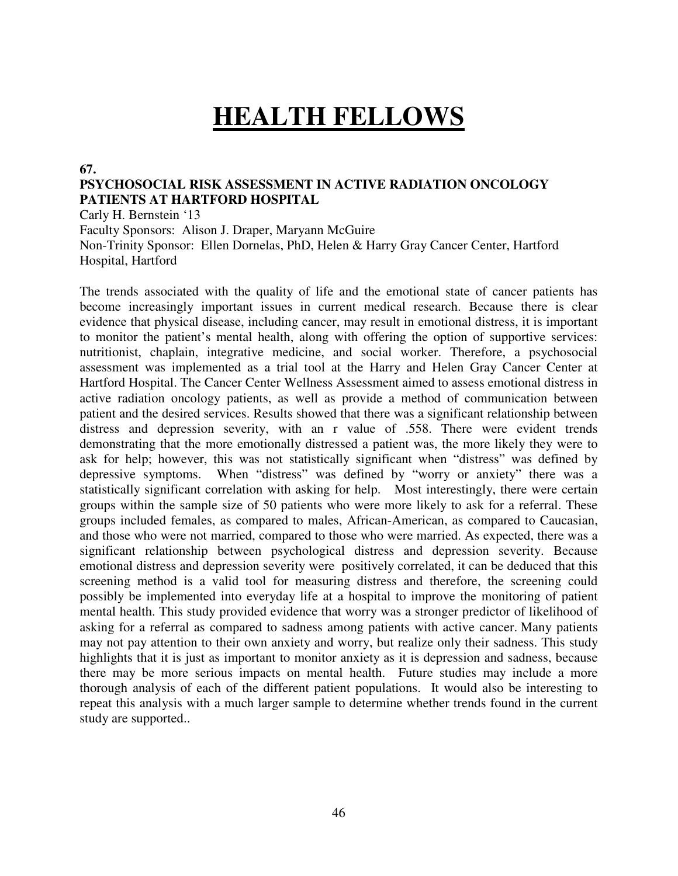# **HEALTH FELLOWS**

#### **67.**

## **PSYCHOSOCIAL RISK ASSESSMENT IN ACTIVE RADIATION ONCOLOGY PATIENTS AT HARTFORD HOSPITAL**

Carly H. Bernstein '13

Faculty Sponsors: Alison J. Draper, Maryann McGuire Non-Trinity Sponsor: Ellen Dornelas, PhD, Helen & Harry Gray Cancer Center, Hartford Hospital, Hartford

The trends associated with the quality of life and the emotional state of cancer patients has become increasingly important issues in current medical research. Because there is clear evidence that physical disease, including cancer, may result in emotional distress, it is important to monitor the patient's mental health, along with offering the option of supportive services: nutritionist, chaplain, integrative medicine, and social worker. Therefore, a psychosocial assessment was implemented as a trial tool at the Harry and Helen Gray Cancer Center at Hartford Hospital. The Cancer Center Wellness Assessment aimed to assess emotional distress in active radiation oncology patients, as well as provide a method of communication between patient and the desired services. Results showed that there was a significant relationship between distress and depression severity, with an r value of .558. There were evident trends demonstrating that the more emotionally distressed a patient was, the more likely they were to ask for help; however, this was not statistically significant when "distress" was defined by depressive symptoms. When "distress" was defined by "worry or anxiety" there was a statistically significant correlation with asking for help. Most interestingly, there were certain groups within the sample size of 50 patients who were more likely to ask for a referral. These groups included females, as compared to males, African-American, as compared to Caucasian, and those who were not married, compared to those who were married. As expected, there was a significant relationship between psychological distress and depression severity. Because emotional distress and depression severity were positively correlated, it can be deduced that this screening method is a valid tool for measuring distress and therefore, the screening could possibly be implemented into everyday life at a hospital to improve the monitoring of patient mental health. This study provided evidence that worry was a stronger predictor of likelihood of asking for a referral as compared to sadness among patients with active cancer. Many patients may not pay attention to their own anxiety and worry, but realize only their sadness. This study highlights that it is just as important to monitor anxiety as it is depression and sadness, because there may be more serious impacts on mental health. Future studies may include a more thorough analysis of each of the different patient populations. It would also be interesting to repeat this analysis with a much larger sample to determine whether trends found in the current study are supported..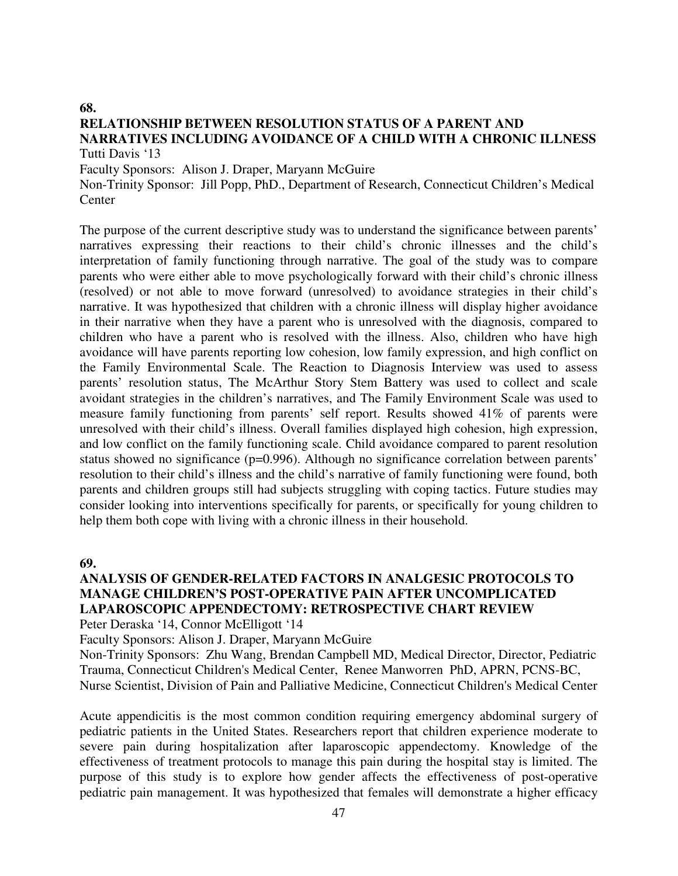#### **68. RELATIONSHIP BETWEEN RESOLUTION STATUS OF A PARENT AND NARRATIVES INCLUDING AVOIDANCE OF A CHILD WITH A CHRONIC ILLNESS**  Tutti Davis '13

Faculty Sponsors: Alison J. Draper, Maryann McGuire

Non-Trinity Sponsor: Jill Popp, PhD., Department of Research, Connecticut Children's Medical **Center** 

The purpose of the current descriptive study was to understand the significance between parents' narratives expressing their reactions to their child's chronic illnesses and the child's interpretation of family functioning through narrative. The goal of the study was to compare parents who were either able to move psychologically forward with their child's chronic illness (resolved) or not able to move forward (unresolved) to avoidance strategies in their child's narrative. It was hypothesized that children with a chronic illness will display higher avoidance in their narrative when they have a parent who is unresolved with the diagnosis, compared to children who have a parent who is resolved with the illness. Also, children who have high avoidance will have parents reporting low cohesion, low family expression, and high conflict on the Family Environmental Scale. The Reaction to Diagnosis Interview was used to assess parents' resolution status, The McArthur Story Stem Battery was used to collect and scale avoidant strategies in the children's narratives, and The Family Environment Scale was used to measure family functioning from parents' self report. Results showed 41% of parents were unresolved with their child's illness. Overall families displayed high cohesion, high expression, and low conflict on the family functioning scale. Child avoidance compared to parent resolution status showed no significance (p=0.996). Although no significance correlation between parents' resolution to their child's illness and the child's narrative of family functioning were found, both parents and children groups still had subjects struggling with coping tactics. Future studies may consider looking into interventions specifically for parents, or specifically for young children to help them both cope with living with a chronic illness in their household.

#### **69.**

## **ANALYSIS OF GENDER-RELATED FACTORS IN ANALGESIC PROTOCOLS TO MANAGE CHILDREN'S POST-OPERATIVE PAIN AFTER UNCOMPLICATED LAPAROSCOPIC APPENDECTOMY: RETROSPECTIVE CHART REVIEW**

Peter Deraska '14, Connor McElligott '14

Faculty Sponsors: Alison J. Draper, Maryann McGuire

Non-Trinity Sponsors: Zhu Wang, Brendan Campbell MD, Medical Director, Director, Pediatric Trauma, Connecticut Children's Medical Center, Renee Manworren PhD, APRN, PCNS-BC, Nurse Scientist, Division of Pain and Palliative Medicine, Connecticut Children's Medical Center

Acute appendicitis is the most common condition requiring emergency abdominal surgery of pediatric patients in the United States. Researchers report that children experience moderate to severe pain during hospitalization after laparoscopic appendectomy. Knowledge of the effectiveness of treatment protocols to manage this pain during the hospital stay is limited. The purpose of this study is to explore how gender affects the effectiveness of post-operative pediatric pain management. It was hypothesized that females will demonstrate a higher efficacy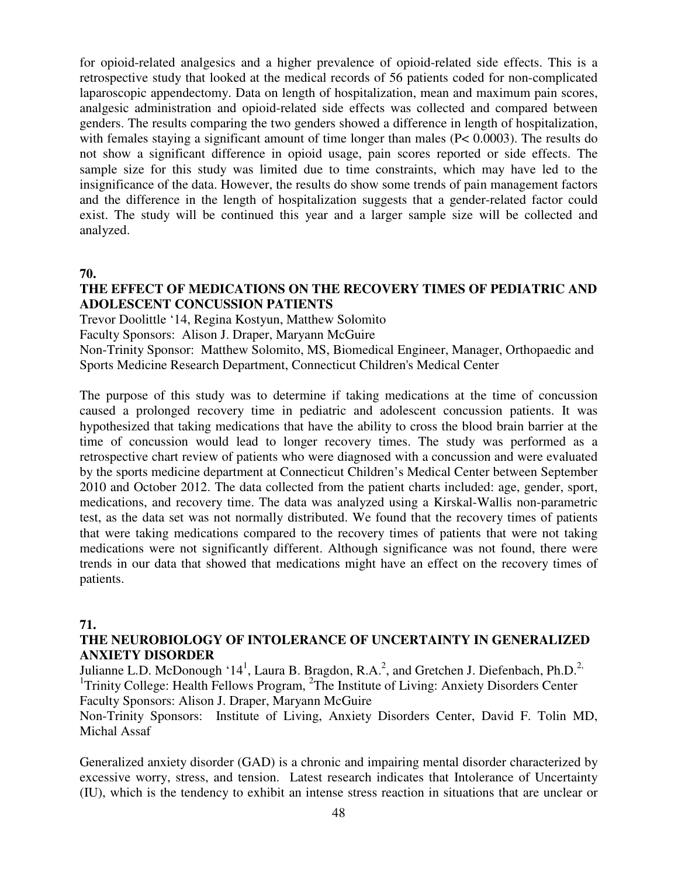for opioid-related analgesics and a higher prevalence of opioid-related side effects. This is a retrospective study that looked at the medical records of 56 patients coded for non-complicated laparoscopic appendectomy. Data on length of hospitalization, mean and maximum pain scores, analgesic administration and opioid-related side effects was collected and compared between genders. The results comparing the two genders showed a difference in length of hospitalization, with females staying a significant amount of time longer than males (P< 0.0003). The results do not show a significant difference in opioid usage, pain scores reported or side effects. The sample size for this study was limited due to time constraints, which may have led to the insignificance of the data. However, the results do show some trends of pain management factors and the difference in the length of hospitalization suggests that a gender-related factor could exist. The study will be continued this year and a larger sample size will be collected and analyzed.

**70.** 

## **THE EFFECT OF MEDICATIONS ON THE RECOVERY TIMES OF PEDIATRIC AND ADOLESCENT CONCUSSION PATIENTS**

Trevor Doolittle '14, Regina Kostyun, Matthew Solomito

Faculty Sponsors: Alison J. Draper, Maryann McGuire

Non-Trinity Sponsor: Matthew Solomito, MS, Biomedical Engineer, Manager, Orthopaedic and Sports Medicine Research Department, Connecticut Children's Medical Center

The purpose of this study was to determine if taking medications at the time of concussion caused a prolonged recovery time in pediatric and adolescent concussion patients. It was hypothesized that taking medications that have the ability to cross the blood brain barrier at the time of concussion would lead to longer recovery times. The study was performed as a retrospective chart review of patients who were diagnosed with a concussion and were evaluated by the sports medicine department at Connecticut Children's Medical Center between September 2010 and October 2012. The data collected from the patient charts included: age, gender, sport, medications, and recovery time. The data was analyzed using a Kirskal-Wallis non-parametric test, as the data set was not normally distributed. We found that the recovery times of patients that were taking medications compared to the recovery times of patients that were not taking medications were not significantly different. Although significance was not found, there were trends in our data that showed that medications might have an effect on the recovery times of patients.

## **71.**

## **THE NEUROBIOLOGY OF INTOLERANCE OF UNCERTAINTY IN GENERALIZED ANXIETY DISORDER**

Julianne L.D. McDonough '14<sup>1</sup>, Laura B. Bragdon, R.A.<sup>2</sup>, and Gretchen J. Diefenbach, Ph.D.<sup>2,</sup> <sup>1</sup>Trinity College: Health Fellows Program, <sup>2</sup>The Institute of Living: Anxiety Disorders Center Faculty Sponsors: Alison J. Draper, Maryann McGuire

Non-Trinity Sponsors: Institute of Living, Anxiety Disorders Center, David F. Tolin MD, Michal Assaf

Generalized anxiety disorder (GAD) is a chronic and impairing mental disorder characterized by excessive worry, stress, and tension. Latest research indicates that Intolerance of Uncertainty (IU), which is the tendency to exhibit an intense stress reaction in situations that are unclear or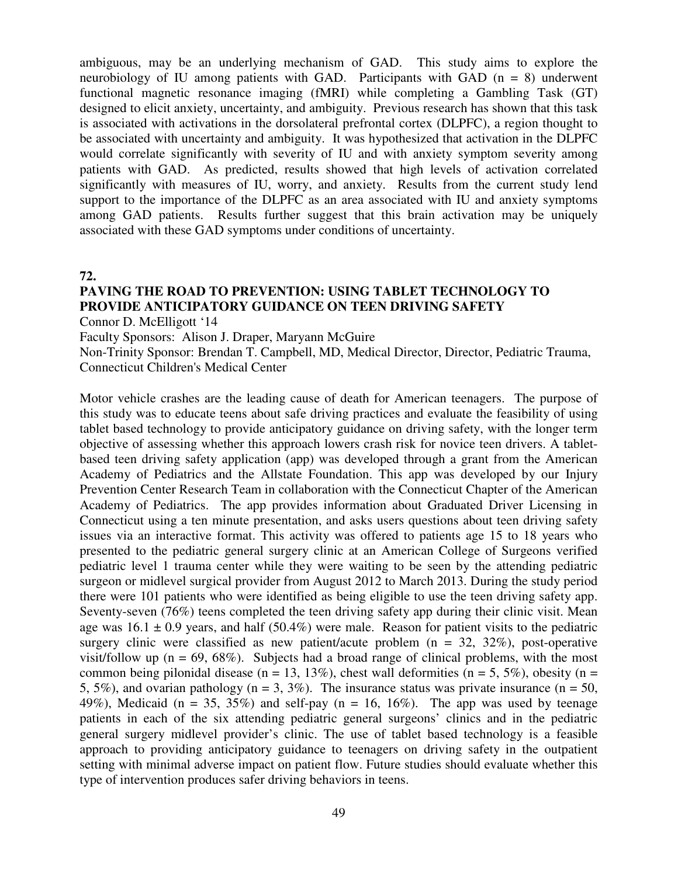ambiguous, may be an underlying mechanism of GAD. This study aims to explore the neurobiology of IU among patients with GAD. Participants with GAD  $(n = 8)$  underwent functional magnetic resonance imaging (fMRI) while completing a Gambling Task (GT) designed to elicit anxiety, uncertainty, and ambiguity. Previous research has shown that this task is associated with activations in the dorsolateral prefrontal cortex (DLPFC), a region thought to be associated with uncertainty and ambiguity. It was hypothesized that activation in the DLPFC would correlate significantly with severity of IU and with anxiety symptom severity among patients with GAD. As predicted, results showed that high levels of activation correlated significantly with measures of IU, worry, and anxiety. Results from the current study lend support to the importance of the DLPFC as an area associated with IU and anxiety symptoms among GAD patients. Results further suggest that this brain activation may be uniquely associated with these GAD symptoms under conditions of uncertainty.

**72.** 

# **PAVING THE ROAD TO PREVENTION: USING TABLET TECHNOLOGY TO PROVIDE ANTICIPATORY GUIDANCE ON TEEN DRIVING SAFETY**

Connor D. McElligott '14

Faculty Sponsors: Alison J. Draper, Maryann McGuire

Non-Trinity Sponsor: Brendan T. Campbell, MD, Medical Director, Director, Pediatric Trauma, Connecticut Children's Medical Center

Motor vehicle crashes are the leading cause of death for American teenagers. The purpose of this study was to educate teens about safe driving practices and evaluate the feasibility of using tablet based technology to provide anticipatory guidance on driving safety, with the longer term objective of assessing whether this approach lowers crash risk for novice teen drivers. A tabletbased teen driving safety application (app) was developed through a grant from the American Academy of Pediatrics and the Allstate Foundation. This app was developed by our Injury Prevention Center Research Team in collaboration with the Connecticut Chapter of the American Academy of Pediatrics. The app provides information about Graduated Driver Licensing in Connecticut using a ten minute presentation, and asks users questions about teen driving safety issues via an interactive format. This activity was offered to patients age 15 to 18 years who presented to the pediatric general surgery clinic at an American College of Surgeons verified pediatric level 1 trauma center while they were waiting to be seen by the attending pediatric surgeon or midlevel surgical provider from August 2012 to March 2013. During the study period there were 101 patients who were identified as being eligible to use the teen driving safety app. Seventy-seven (76%) teens completed the teen driving safety app during their clinic visit. Mean age was  $16.1 \pm 0.9$  years, and half (50.4%) were male. Reason for patient visits to the pediatric surgery clinic were classified as new patient/acute problem ( $n = 32, 32\%$ ), post-operative visit/follow up ( $n = 69, 68\%$ ). Subjects had a broad range of clinical problems, with the most common being pilonidal disease (n = 13, 13%), chest wall deformities (n = 5, 5%), obesity (n = 5, 5%), and ovarian pathology ( $n = 3$ , 3%). The insurance status was private insurance ( $n = 50$ , 49%), Medicaid ( $n = 35, 35\%$ ) and self-pay ( $n = 16, 16\%$ ). The app was used by teenage patients in each of the six attending pediatric general surgeons' clinics and in the pediatric general surgery midlevel provider's clinic. The use of tablet based technology is a feasible approach to providing anticipatory guidance to teenagers on driving safety in the outpatient setting with minimal adverse impact on patient flow. Future studies should evaluate whether this type of intervention produces safer driving behaviors in teens.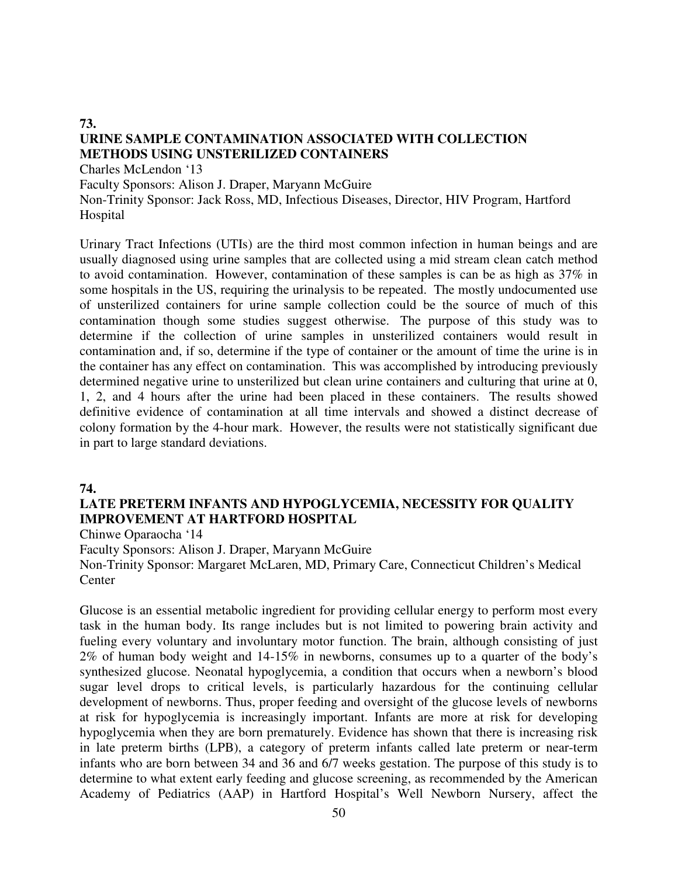# **URINE SAMPLE CONTAMINATION ASSOCIATED WITH COLLECTION METHODS USING UNSTERILIZED CONTAINERS**

Charles McLendon '13

**73.** 

Faculty Sponsors: Alison J. Draper, Maryann McGuire

Non-Trinity Sponsor: Jack Ross, MD, Infectious Diseases, Director, HIV Program, Hartford Hospital

Urinary Tract Infections (UTIs) are the third most common infection in human beings and are usually diagnosed using urine samples that are collected using a mid stream clean catch method to avoid contamination. However, contamination of these samples is can be as high as 37% in some hospitals in the US, requiring the urinalysis to be repeated. The mostly undocumented use of unsterilized containers for urine sample collection could be the source of much of this contamination though some studies suggest otherwise. The purpose of this study was to determine if the collection of urine samples in unsterilized containers would result in contamination and, if so, determine if the type of container or the amount of time the urine is in the container has any effect on contamination. This was accomplished by introducing previously determined negative urine to unsterilized but clean urine containers and culturing that urine at 0, 1, 2, and 4 hours after the urine had been placed in these containers. The results showed definitive evidence of contamination at all time intervals and showed a distinct decrease of colony formation by the 4-hour mark. However, the results were not statistically significant due in part to large standard deviations.

#### **74.**

## **LATE PRETERM INFANTS AND HYPOGLYCEMIA, NECESSITY FOR QUALITY IMPROVEMENT AT HARTFORD HOSPITAL**

Chinwe Oparaocha '14

Faculty Sponsors: Alison J. Draper, Maryann McGuire

Non-Trinity Sponsor: Margaret McLaren, MD, Primary Care, Connecticut Children's Medical **Center** 

Glucose is an essential metabolic ingredient for providing cellular energy to perform most every task in the human body. Its range includes but is not limited to powering brain activity and fueling every voluntary and involuntary motor function. The brain, although consisting of just 2% of human body weight and 14-15% in newborns, consumes up to a quarter of the body's synthesized glucose. Neonatal hypoglycemia, a condition that occurs when a newborn's blood sugar level drops to critical levels, is particularly hazardous for the continuing cellular development of newborns. Thus, proper feeding and oversight of the glucose levels of newborns at risk for hypoglycemia is increasingly important. Infants are more at risk for developing hypoglycemia when they are born prematurely. Evidence has shown that there is increasing risk in late preterm births (LPB), a category of preterm infants called late preterm or near-term infants who are born between 34 and 36 and 6/7 weeks gestation. The purpose of this study is to determine to what extent early feeding and glucose screening, as recommended by the American Academy of Pediatrics (AAP) in Hartford Hospital's Well Newborn Nursery, affect the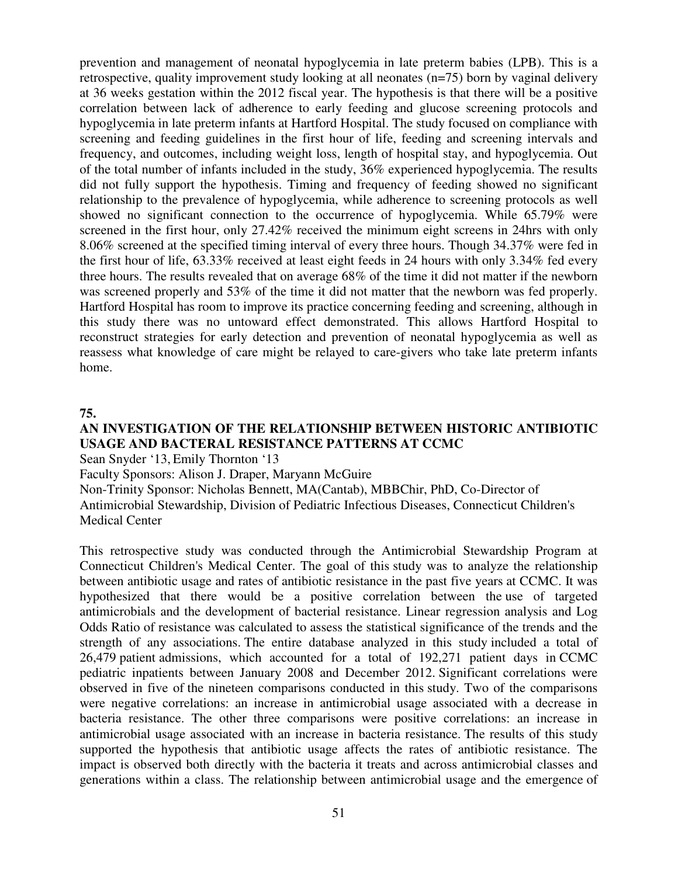prevention and management of neonatal hypoglycemia in late preterm babies (LPB). This is a retrospective, quality improvement study looking at all neonates (n=75) born by vaginal delivery at 36 weeks gestation within the 2012 fiscal year. The hypothesis is that there will be a positive correlation between lack of adherence to early feeding and glucose screening protocols and hypoglycemia in late preterm infants at Hartford Hospital. The study focused on compliance with screening and feeding guidelines in the first hour of life, feeding and screening intervals and frequency, and outcomes, including weight loss, length of hospital stay, and hypoglycemia. Out of the total number of infants included in the study, 36% experienced hypoglycemia. The results did not fully support the hypothesis. Timing and frequency of feeding showed no significant relationship to the prevalence of hypoglycemia, while adherence to screening protocols as well showed no significant connection to the occurrence of hypoglycemia. While 65.79% were screened in the first hour, only 27.42% received the minimum eight screens in 24hrs with only 8.06% screened at the specified timing interval of every three hours. Though 34.37% were fed in the first hour of life, 63.33% received at least eight feeds in 24 hours with only 3.34% fed every three hours. The results revealed that on average 68% of the time it did not matter if the newborn was screened properly and 53% of the time it did not matter that the newborn was fed properly. Hartford Hospital has room to improve its practice concerning feeding and screening, although in this study there was no untoward effect demonstrated. This allows Hartford Hospital to reconstruct strategies for early detection and prevention of neonatal hypoglycemia as well as reassess what knowledge of care might be relayed to care-givers who take late preterm infants home.

#### **75.**

## **AN INVESTIGATION OF THE RELATIONSHIP BETWEEN HISTORIC ANTIBIOTIC USAGE AND BACTERAL RESISTANCE PATTERNS AT CCMC**

Sean Snyder '13, Emily Thornton '13

Faculty Sponsors: Alison J. Draper, Maryann McGuire

Non-Trinity Sponsor: Nicholas Bennett, MA(Cantab), MBBChir, PhD, Co-Director of Antimicrobial Stewardship, Division of Pediatric Infectious Diseases, Connecticut Children's Medical Center

This retrospective study was conducted through the Antimicrobial Stewardship Program at Connecticut Children's Medical Center. The goal of this study was to analyze the relationship between antibiotic usage and rates of antibiotic resistance in the past five years at CCMC. It was hypothesized that there would be a positive correlation between the use of targeted antimicrobials and the development of bacterial resistance. Linear regression analysis and Log Odds Ratio of resistance was calculated to assess the statistical significance of the trends and the strength of any associations. The entire database analyzed in this study included a total of 26,479 patient admissions, which accounted for a total of 192,271 patient days in CCMC pediatric inpatients between January 2008 and December 2012. Significant correlations were observed in five of the nineteen comparisons conducted in this study. Two of the comparisons were negative correlations: an increase in antimicrobial usage associated with a decrease in bacteria resistance. The other three comparisons were positive correlations: an increase in antimicrobial usage associated with an increase in bacteria resistance. The results of this study supported the hypothesis that antibiotic usage affects the rates of antibiotic resistance. The impact is observed both directly with the bacteria it treats and across antimicrobial classes and generations within a class. The relationship between antimicrobial usage and the emergence of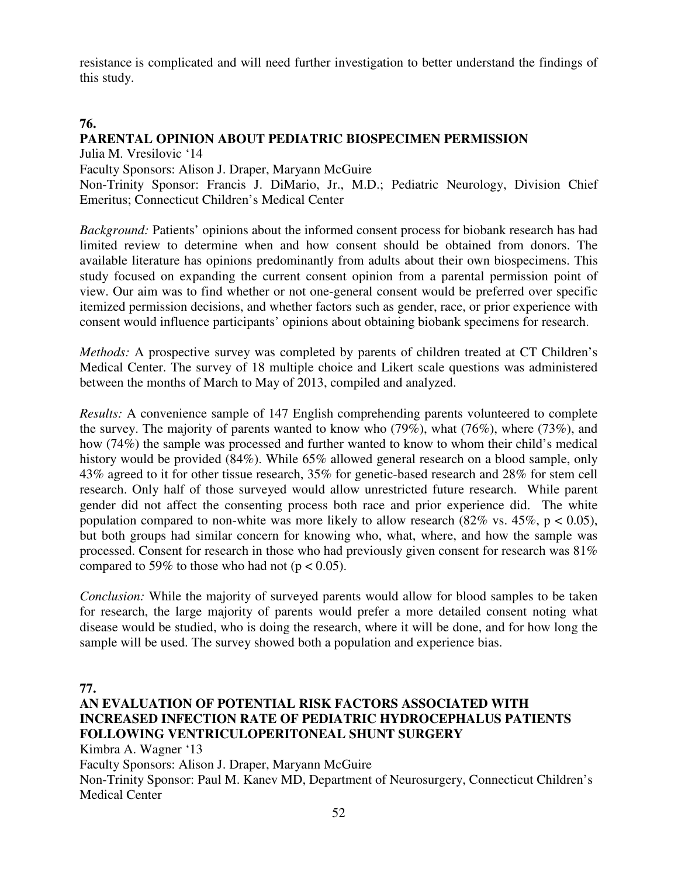resistance is complicated and will need further investigation to better understand the findings of this study.

## **76.**

# **PARENTAL OPINION ABOUT PEDIATRIC BIOSPECIMEN PERMISSION**

Julia M. Vresilovic '14

Faculty Sponsors: Alison J. Draper, Maryann McGuire

Non-Trinity Sponsor: Francis J. DiMario, Jr., M.D.; Pediatric Neurology, Division Chief Emeritus; Connecticut Children's Medical Center

*Background:* Patients' opinions about the informed consent process for biobank research has had limited review to determine when and how consent should be obtained from donors. The available literature has opinions predominantly from adults about their own biospecimens. This study focused on expanding the current consent opinion from a parental permission point of view. Our aim was to find whether or not one-general consent would be preferred over specific itemized permission decisions, and whether factors such as gender, race, or prior experience with consent would influence participants' opinions about obtaining biobank specimens for research.

*Methods:* A prospective survey was completed by parents of children treated at CT Children's Medical Center. The survey of 18 multiple choice and Likert scale questions was administered between the months of March to May of 2013, compiled and analyzed.

*Results:* A convenience sample of 147 English comprehending parents volunteered to complete the survey. The majority of parents wanted to know who (79%), what (76%), where (73%), and how (74%) the sample was processed and further wanted to know to whom their child's medical history would be provided (84%). While 65% allowed general research on a blood sample, only 43% agreed to it for other tissue research, 35% for genetic-based research and 28% for stem cell research. Only half of those surveyed would allow unrestricted future research. While parent gender did not affect the consenting process both race and prior experience did. The white population compared to non-white was more likely to allow research (82% vs. 45%,  $p < 0.05$ ), but both groups had similar concern for knowing who, what, where, and how the sample was processed. Consent for research in those who had previously given consent for research was 81% compared to 59% to those who had not ( $p < 0.05$ ).

*Conclusion:* While the majority of surveyed parents would allow for blood samples to be taken for research, the large majority of parents would prefer a more detailed consent noting what disease would be studied, who is doing the research, where it will be done, and for how long the sample will be used. The survey showed both a population and experience bias.

**77.** 

# **AN EVALUATION OF POTENTIAL RISK FACTORS ASSOCIATED WITH INCREASED INFECTION RATE OF PEDIATRIC HYDROCEPHALUS PATIENTS FOLLOWING VENTRICULOPERITONEAL SHUNT SURGERY**

Kimbra A. Wagner '13

Faculty Sponsors: Alison J. Draper, Maryann McGuire

Non-Trinity Sponsor: Paul M. Kanev MD, Department of Neurosurgery, Connecticut Children's Medical Center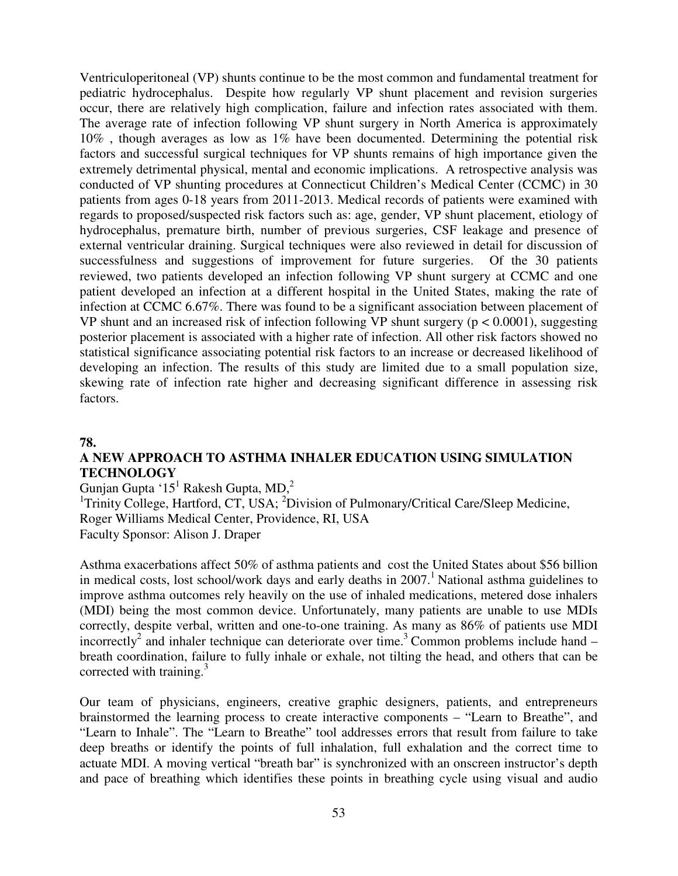Ventriculoperitoneal (VP) shunts continue to be the most common and fundamental treatment for pediatric hydrocephalus. Despite how regularly VP shunt placement and revision surgeries occur, there are relatively high complication, failure and infection rates associated with them. The average rate of infection following VP shunt surgery in North America is approximately 10% , though averages as low as 1% have been documented. Determining the potential risk factors and successful surgical techniques for VP shunts remains of high importance given the extremely detrimental physical, mental and economic implications. A retrospective analysis was conducted of VP shunting procedures at Connecticut Children's Medical Center (CCMC) in 30 patients from ages 0-18 years from 2011-2013. Medical records of patients were examined with regards to proposed/suspected risk factors such as: age, gender, VP shunt placement, etiology of hydrocephalus, premature birth, number of previous surgeries, CSF leakage and presence of external ventricular draining. Surgical techniques were also reviewed in detail for discussion of successfulness and suggestions of improvement for future surgeries. Of the 30 patients reviewed, two patients developed an infection following VP shunt surgery at CCMC and one patient developed an infection at a different hospital in the United States, making the rate of infection at CCMC 6.67%. There was found to be a significant association between placement of VP shunt and an increased risk of infection following VP shunt surgery (p < 0.0001), suggesting posterior placement is associated with a higher rate of infection. All other risk factors showed no statistical significance associating potential risk factors to an increase or decreased likelihood of developing an infection. The results of this study are limited due to a small population size, skewing rate of infection rate higher and decreasing significant difference in assessing risk factors.

#### **78.**

## **A NEW APPROACH TO ASTHMA INHALER EDUCATION USING SIMULATION TECHNOLOGY**

Gunjan Gupta '15<sup>1</sup> Rakesh Gupta, MD,<sup>2</sup>

<sup>1</sup>Trinity College, Hartford, CT, USA; <sup>2</sup>Division of Pulmonary/Critical Care/Sleep Medicine, Roger Williams Medical Center, Providence, RI, USA Faculty Sponsor: Alison J. Draper

Asthma exacerbations affect 50% of asthma patients and cost the United States about \$56 billion in medical costs, lost school/work days and early deaths in  $2007<sup>1</sup>$  National asthma guidelines to improve asthma outcomes rely heavily on the use of inhaled medications, metered dose inhalers (MDI) being the most common device. Unfortunately, many patients are unable to use MDIs correctly, despite verbal, written and one-to-one training. As many as 86% of patients use MDI incorrectly<sup>2</sup> and inhaler technique can deteriorate over time.<sup>3</sup> Common problems include hand  $$ breath coordination, failure to fully inhale or exhale, not tilting the head, and others that can be corrected with training. $3$ 

Our team of physicians, engineers, creative graphic designers, patients, and entrepreneurs brainstormed the learning process to create interactive components – "Learn to Breathe", and "Learn to Inhale". The "Learn to Breathe" tool addresses errors that result from failure to take deep breaths or identify the points of full inhalation, full exhalation and the correct time to actuate MDI. A moving vertical "breath bar" is synchronized with an onscreen instructor's depth and pace of breathing which identifies these points in breathing cycle using visual and audio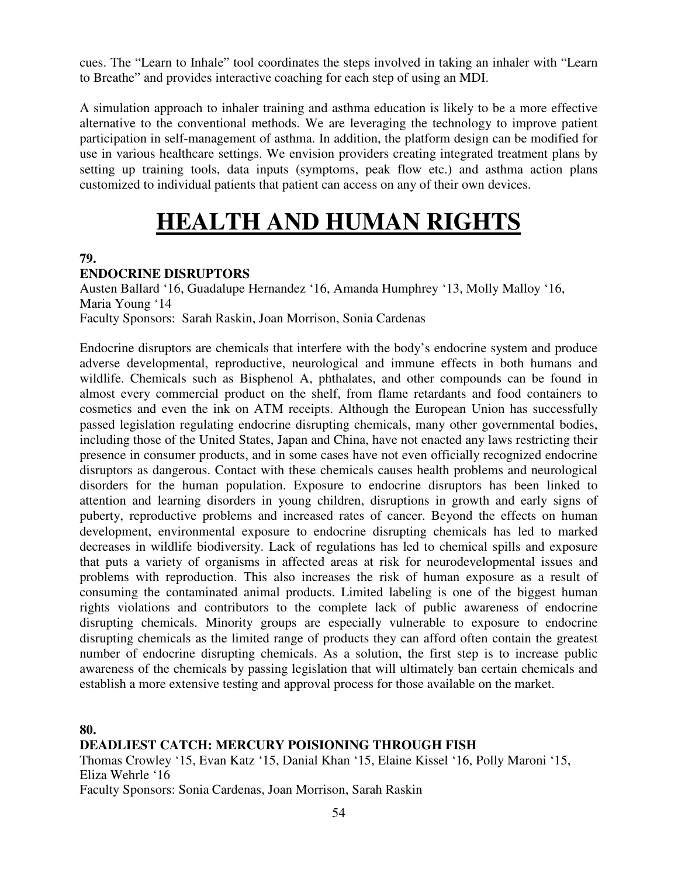cues. The "Learn to Inhale" tool coordinates the steps involved in taking an inhaler with "Learn to Breathe" and provides interactive coaching for each step of using an MDI.

A simulation approach to inhaler training and asthma education is likely to be a more effective alternative to the conventional methods. We are leveraging the technology to improve patient participation in self-management of asthma. In addition, the platform design can be modified for use in various healthcare settings. We envision providers creating integrated treatment plans by setting up training tools, data inputs (symptoms, peak flow etc.) and asthma action plans customized to individual patients that patient can access on any of their own devices.

# **HEALTH AND HUMAN RIGHTS**

## **79.**

## **ENDOCRINE DISRUPTORS**

Austen Ballard '16, Guadalupe Hernandez '16, Amanda Humphrey '13, Molly Malloy '16, Maria Young '14 Faculty Sponsors: Sarah Raskin, Joan Morrison, Sonia Cardenas

Endocrine disruptors are chemicals that interfere with the body's endocrine system and produce adverse developmental, reproductive, neurological and immune effects in both humans and wildlife. Chemicals such as Bisphenol A, phthalates, and other compounds can be found in almost every commercial product on the shelf, from flame retardants and food containers to cosmetics and even the ink on ATM receipts. Although the European Union has successfully passed legislation regulating endocrine disrupting chemicals, many other governmental bodies, including those of the United States, Japan and China, have not enacted any laws restricting their presence in consumer products, and in some cases have not even officially recognized endocrine disruptors as dangerous. Contact with these chemicals causes health problems and neurological disorders for the human population. Exposure to endocrine disruptors has been linked to attention and learning disorders in young children, disruptions in growth and early signs of puberty, reproductive problems and increased rates of cancer. Beyond the effects on human development, environmental exposure to endocrine disrupting chemicals has led to marked decreases in wildlife biodiversity. Lack of regulations has led to chemical spills and exposure that puts a variety of organisms in affected areas at risk for neurodevelopmental issues and problems with reproduction. This also increases the risk of human exposure as a result of consuming the contaminated animal products. Limited labeling is one of the biggest human rights violations and contributors to the complete lack of public awareness of endocrine disrupting chemicals. Minority groups are especially vulnerable to exposure to endocrine disrupting chemicals as the limited range of products they can afford often contain the greatest number of endocrine disrupting chemicals. As a solution, the first step is to increase public awareness of the chemicals by passing legislation that will ultimately ban certain chemicals and establish a more extensive testing and approval process for those available on the market.

**80.** 

**DEADLIEST CATCH: MERCURY POISIONING THROUGH FISH** 

Thomas Crowley '15, Evan Katz '15, Danial Khan '15, Elaine Kissel '16, Polly Maroni '15, Eliza Wehrle '16 Faculty Sponsors: Sonia Cardenas, Joan Morrison, Sarah Raskin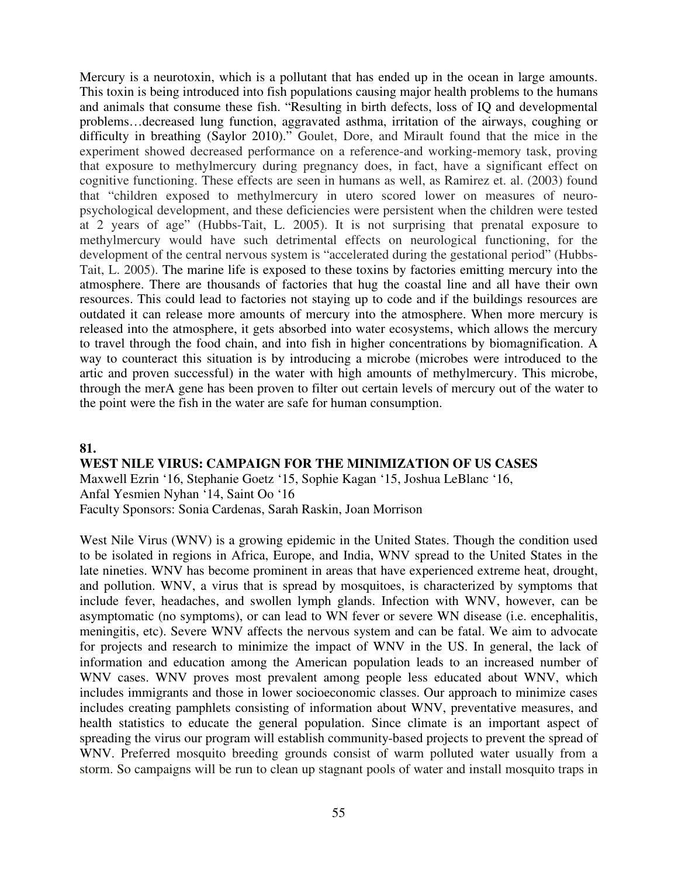Mercury is a neurotoxin, which is a pollutant that has ended up in the ocean in large amounts. This toxin is being introduced into fish populations causing major health problems to the humans and animals that consume these fish. "Resulting in birth defects, loss of IQ and developmental problems…decreased lung function, aggravated asthma, irritation of the airways, coughing or difficulty in breathing (Saylor 2010)." Goulet, Dore, and Mirault found that the mice in the experiment showed decreased performance on a reference-and working-memory task, proving that exposure to methylmercury during pregnancy does, in fact, have a significant effect on cognitive functioning. These effects are seen in humans as well, as Ramirez et. al. (2003) found that "children exposed to methylmercury in utero scored lower on measures of neuropsychological development, and these deficiencies were persistent when the children were tested at 2 years of age" (Hubbs-Tait, L. 2005). It is not surprising that prenatal exposure to methylmercury would have such detrimental effects on neurological functioning, for the development of the central nervous system is "accelerated during the gestational period" (Hubbs-Tait, L. 2005). The marine life is exposed to these toxins by factories emitting mercury into the atmosphere. There are thousands of factories that hug the coastal line and all have their own resources. This could lead to factories not staying up to code and if the buildings resources are outdated it can release more amounts of mercury into the atmosphere. When more mercury is released into the atmosphere, it gets absorbed into water ecosystems, which allows the mercury to travel through the food chain, and into fish in higher concentrations by biomagnification. A way to counteract this situation is by introducing a microbe (microbes were introduced to the artic and proven successful) in the water with high amounts of methylmercury. This microbe, through the merA gene has been proven to filter out certain levels of mercury out of the water to the point were the fish in the water are safe for human consumption.

#### **81.**

#### **WEST NILE VIRUS: CAMPAIGN FOR THE MINIMIZATION OF US CASES**

Maxwell Ezrin '16, Stephanie Goetz '15, Sophie Kagan '15, Joshua LeBlanc '16, Anfal Yesmien Nyhan '14, Saint Oo '16 Faculty Sponsors: Sonia Cardenas, Sarah Raskin, Joan Morrison

West Nile Virus (WNV) is a growing epidemic in the United States. Though the condition used to be isolated in regions in Africa, Europe, and India, WNV spread to the United States in the late nineties. WNV has become prominent in areas that have experienced extreme heat, drought, and pollution. WNV, a virus that is spread by mosquitoes, is characterized by symptoms that include fever, headaches, and swollen lymph glands. Infection with WNV, however, can be asymptomatic (no symptoms), or can lead to WN fever or severe WN disease (i.e. encephalitis, meningitis, etc). Severe WNV affects the nervous system and can be fatal. We aim to advocate for projects and research to minimize the impact of WNV in the US. In general, the lack of information and education among the American population leads to an increased number of WNV cases. WNV proves most prevalent among people less educated about WNV, which includes immigrants and those in lower socioeconomic classes. Our approach to minimize cases includes creating pamphlets consisting of information about WNV, preventative measures, and health statistics to educate the general population. Since climate is an important aspect of spreading the virus our program will establish community-based projects to prevent the spread of WNV. Preferred mosquito breeding grounds consist of warm polluted water usually from a storm. So campaigns will be run to clean up stagnant pools of water and install mosquito traps in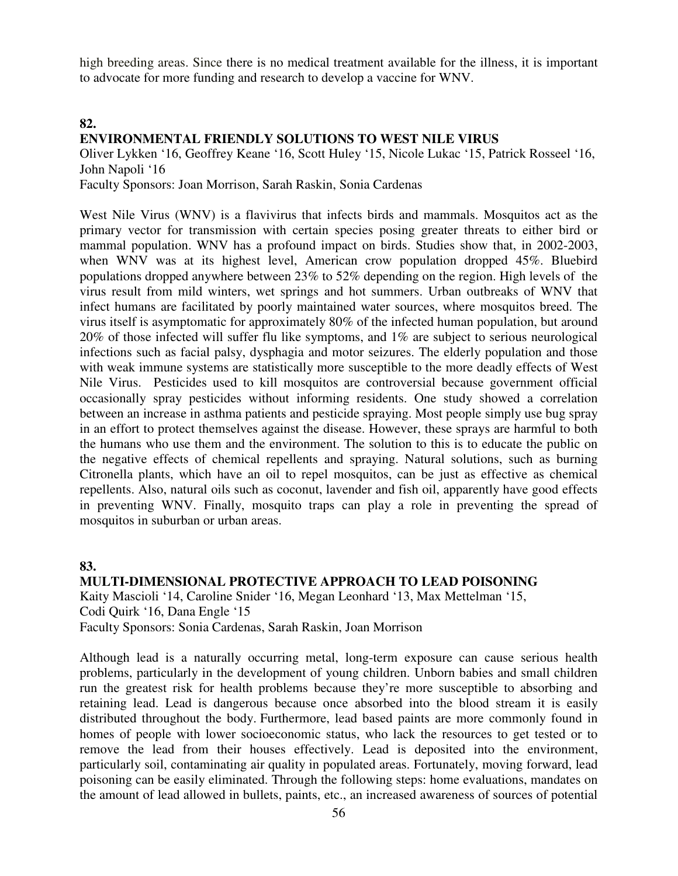high breeding areas. Since there is no medical treatment available for the illness, it is important to advocate for more funding and research to develop a vaccine for WNV.

#### **82.**

### **ENVIRONMENTAL FRIENDLY SOLUTIONS TO WEST NILE VIRUS**

Oliver Lykken '16, Geoffrey Keane '16, Scott Huley '15, Nicole Lukac '15, Patrick Rosseel '16, John Napoli '16

Faculty Sponsors: Joan Morrison, Sarah Raskin, Sonia Cardenas

West Nile Virus (WNV) is a flavivirus that infects birds and mammals. Mosquitos act as the primary vector for transmission with certain species posing greater threats to either bird or mammal population. WNV has a profound impact on birds. Studies show that, in 2002-2003, when WNV was at its highest level, American crow population dropped 45%. Bluebird populations dropped anywhere between 23% to 52% depending on the region. High levels of the virus result from mild winters, wet springs and hot summers. Urban outbreaks of WNV that infect humans are facilitated by poorly maintained water sources, where mosquitos breed. The virus itself is asymptomatic for approximately 80% of the infected human population, but around 20% of those infected will suffer flu like symptoms, and 1% are subject to serious neurological infections such as facial palsy, dysphagia and motor seizures. The elderly population and those with weak immune systems are statistically more susceptible to the more deadly effects of West Nile Virus. Pesticides used to kill mosquitos are controversial because government official occasionally spray pesticides without informing residents. One study showed a correlation between an increase in asthma patients and pesticide spraying. Most people simply use bug spray in an effort to protect themselves against the disease. However, these sprays are harmful to both the humans who use them and the environment. The solution to this is to educate the public on the negative effects of chemical repellents and spraying. Natural solutions, such as burning Citronella plants, which have an oil to repel mosquitos, can be just as effective as chemical repellents. Also, natural oils such as coconut, lavender and fish oil, apparently have good effects in preventing WNV. Finally, mosquito traps can play a role in preventing the spread of mosquitos in suburban or urban areas.

#### **83.**

**MULTI-DIMENSIONAL PROTECTIVE APPROACH TO LEAD POISONING**  Kaity Mascioli '14, Caroline Snider '16, Megan Leonhard '13, Max Mettelman '15, Codi Quirk '16, Dana Engle '15 Faculty Sponsors: Sonia Cardenas, Sarah Raskin, Joan Morrison

Although lead is a naturally occurring metal, long-term exposure can cause serious health problems, particularly in the development of young children. Unborn babies and small children run the greatest risk for health problems because they're more susceptible to absorbing and retaining lead. Lead is dangerous because once absorbed into the blood stream it is easily distributed throughout the body. Furthermore, lead based paints are more commonly found in homes of people with lower socioeconomic status, who lack the resources to get tested or to remove the lead from their houses effectively. Lead is deposited into the environment, particularly soil, contaminating air quality in populated areas. Fortunately, moving forward, lead poisoning can be easily eliminated. Through the following steps: home evaluations, mandates on the amount of lead allowed in bullets, paints, etc., an increased awareness of sources of potential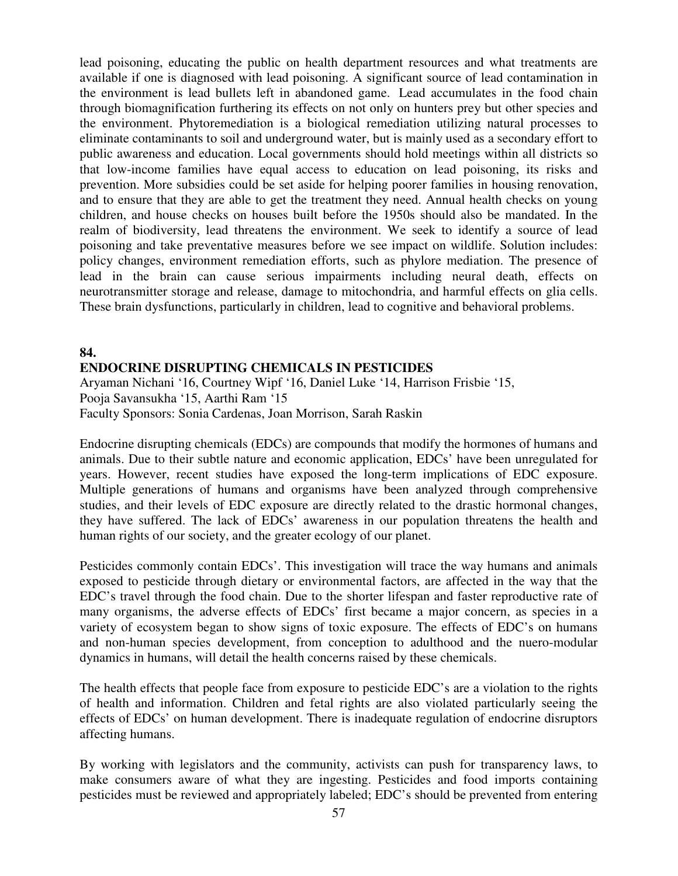lead poisoning, educating the public on health department resources and what treatments are available if one is diagnosed with lead poisoning. A significant source of lead contamination in the environment is lead bullets left in abandoned game. Lead accumulates in the food chain through biomagnification furthering its effects on not only on hunters prey but other species and the environment. Phytoremediation is a biological remediation utilizing natural processes to eliminate contaminants to soil and underground water, but is mainly used as a secondary effort to public awareness and education. Local governments should hold meetings within all districts so that low-income families have equal access to education on lead poisoning, its risks and prevention. More subsidies could be set aside for helping poorer families in housing renovation, and to ensure that they are able to get the treatment they need. Annual health checks on young children, and house checks on houses built before the 1950s should also be mandated. In the realm of biodiversity, lead threatens the environment. We seek to identify a source of lead poisoning and take preventative measures before we see impact on wildlife. Solution includes: policy changes, environment remediation efforts, such as phylore mediation. The presence of lead in the brain can cause serious impairments including neural death, effects on neurotransmitter storage and release, damage to mitochondria, and harmful effects on glia cells. These brain dysfunctions, particularly in children, lead to cognitive and behavioral problems.

# **84. ENDOCRINE DISRUPTING CHEMICALS IN PESTICIDES**

Aryaman Nichani '16, Courtney Wipf '16, Daniel Luke '14, Harrison Frisbie '15, Pooja Savansukha '15, Aarthi Ram '15 Faculty Sponsors: Sonia Cardenas, Joan Morrison, Sarah Raskin

Endocrine disrupting chemicals (EDCs) are compounds that modify the hormones of humans and animals. Due to their subtle nature and economic application, EDCs' have been unregulated for years. However, recent studies have exposed the long-term implications of EDC exposure. Multiple generations of humans and organisms have been analyzed through comprehensive studies, and their levels of EDC exposure are directly related to the drastic hormonal changes, they have suffered. The lack of EDCs' awareness in our population threatens the health and human rights of our society, and the greater ecology of our planet.

Pesticides commonly contain EDCs'. This investigation will trace the way humans and animals exposed to pesticide through dietary or environmental factors, are affected in the way that the EDC's travel through the food chain. Due to the shorter lifespan and faster reproductive rate of many organisms, the adverse effects of EDCs' first became a major concern, as species in a variety of ecosystem began to show signs of toxic exposure. The effects of EDC's on humans and non-human species development, from conception to adulthood and the nuero-modular dynamics in humans, will detail the health concerns raised by these chemicals.

The health effects that people face from exposure to pesticide EDC's are a violation to the rights of health and information. Children and fetal rights are also violated particularly seeing the effects of EDCs' on human development. There is inadequate regulation of endocrine disruptors affecting humans.

By working with legislators and the community, activists can push for transparency laws, to make consumers aware of what they are ingesting. Pesticides and food imports containing pesticides must be reviewed and appropriately labeled; EDC's should be prevented from entering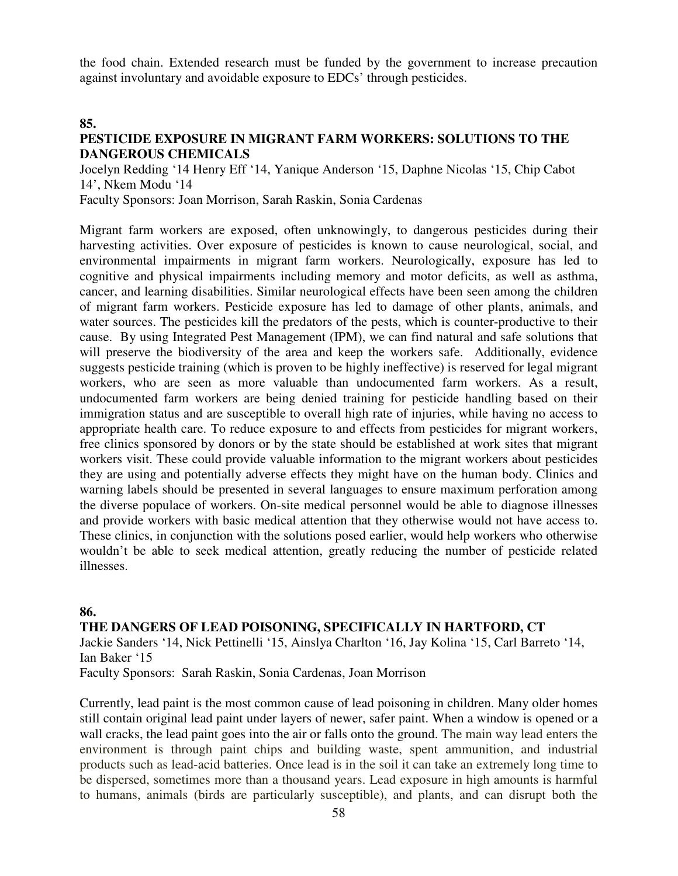the food chain. Extended research must be funded by the government to increase precaution against involuntary and avoidable exposure to EDCs' through pesticides.

#### **85.**

## **PESTICIDE EXPOSURE IN MIGRANT FARM WORKERS: SOLUTIONS TO THE DANGEROUS CHEMICALS**

Jocelyn Redding '14 Henry Eff '14, Yanique Anderson '15, Daphne Nicolas '15, Chip Cabot 14', Nkem Modu '14

Faculty Sponsors: Joan Morrison, Sarah Raskin, Sonia Cardenas

Migrant farm workers are exposed, often unknowingly, to dangerous pesticides during their harvesting activities. Over exposure of pesticides is known to cause neurological, social, and environmental impairments in migrant farm workers. Neurologically, exposure has led to cognitive and physical impairments including memory and motor deficits, as well as asthma, cancer, and learning disabilities. Similar neurological effects have been seen among the children of migrant farm workers. Pesticide exposure has led to damage of other plants, animals, and water sources. The pesticides kill the predators of the pests, which is counter-productive to their cause. By using Integrated Pest Management (IPM), we can find natural and safe solutions that will preserve the biodiversity of the area and keep the workers safe. Additionally, evidence suggests pesticide training (which is proven to be highly ineffective) is reserved for legal migrant workers, who are seen as more valuable than undocumented farm workers. As a result, undocumented farm workers are being denied training for pesticide handling based on their immigration status and are susceptible to overall high rate of injuries, while having no access to appropriate health care. To reduce exposure to and effects from pesticides for migrant workers, free clinics sponsored by donors or by the state should be established at work sites that migrant workers visit. These could provide valuable information to the migrant workers about pesticides they are using and potentially adverse effects they might have on the human body. Clinics and warning labels should be presented in several languages to ensure maximum perforation among the diverse populace of workers. On-site medical personnel would be able to diagnose illnesses and provide workers with basic medical attention that they otherwise would not have access to. These clinics, in conjunction with the solutions posed earlier, would help workers who otherwise wouldn't be able to seek medical attention, greatly reducing the number of pesticide related illnesses.

## **86.**

## **THE DANGERS OF LEAD POISONING, SPECIFICALLY IN HARTFORD, CT**

Jackie Sanders '14, Nick Pettinelli '15, Ainslya Charlton '16, Jay Kolina '15, Carl Barreto '14, Ian Baker '15

Faculty Sponsors: Sarah Raskin, Sonia Cardenas, Joan Morrison

Currently, lead paint is the most common cause of lead poisoning in children. Many older homes still contain original lead paint under layers of newer, safer paint. When a window is opened or a wall cracks, the lead paint goes into the air or falls onto the ground. The main way lead enters the environment is through paint chips and building waste, spent ammunition, and industrial products such as lead-acid batteries. Once lead is in the soil it can take an extremely long time to be dispersed, sometimes more than a thousand years. Lead exposure in high amounts is harmful to humans, animals (birds are particularly susceptible), and plants, and can disrupt both the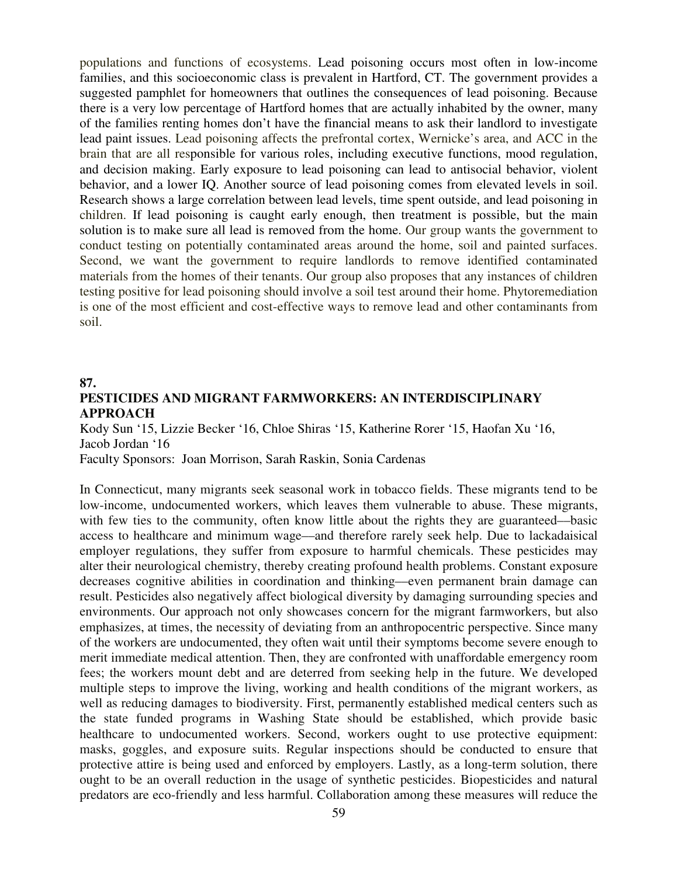populations and functions of ecosystems. Lead poisoning occurs most often in low-income families, and this socioeconomic class is prevalent in Hartford, CT. The government provides a suggested pamphlet for homeowners that outlines the consequences of lead poisoning. Because there is a very low percentage of Hartford homes that are actually inhabited by the owner, many of the families renting homes don't have the financial means to ask their landlord to investigate lead paint issues. Lead poisoning affects the prefrontal cortex, Wernicke's area, and ACC in the brain that are all responsible for various roles, including executive functions, mood regulation, and decision making. Early exposure to lead poisoning can lead to antisocial behavior, violent behavior, and a lower IQ. Another source of lead poisoning comes from elevated levels in soil. Research shows a large correlation between lead levels, time spent outside, and lead poisoning in children. If lead poisoning is caught early enough, then treatment is possible, but the main solution is to make sure all lead is removed from the home. Our group wants the government to conduct testing on potentially contaminated areas around the home, soil and painted surfaces. Second, we want the government to require landlords to remove identified contaminated materials from the homes of their tenants. Our group also proposes that any instances of children testing positive for lead poisoning should involve a soil test around their home. Phytoremediation is one of the most efficient and cost-effective ways to remove lead and other contaminants from soil.

#### **87.**

## **PESTICIDES AND MIGRANT FARMWORKERS: AN INTERDISCIPLINARY APPROACH**

Kody Sun '15, Lizzie Becker '16, Chloe Shiras '15, Katherine Rorer '15, Haofan Xu '16, Jacob Jordan '16

Faculty Sponsors: Joan Morrison, Sarah Raskin, Sonia Cardenas

In Connecticut, many migrants seek seasonal work in tobacco fields. These migrants tend to be low-income, undocumented workers, which leaves them vulnerable to abuse. These migrants, with few ties to the community, often know little about the rights they are guaranteed—basic access to healthcare and minimum wage––and therefore rarely seek help. Due to lackadaisical employer regulations, they suffer from exposure to harmful chemicals. These pesticides may alter their neurological chemistry, thereby creating profound health problems. Constant exposure decreases cognitive abilities in coordination and thinking––even permanent brain damage can result. Pesticides also negatively affect biological diversity by damaging surrounding species and environments. Our approach not only showcases concern for the migrant farmworkers, but also emphasizes, at times, the necessity of deviating from an anthropocentric perspective. Since many of the workers are undocumented, they often wait until their symptoms become severe enough to merit immediate medical attention. Then, they are confronted with unaffordable emergency room fees; the workers mount debt and are deterred from seeking help in the future. We developed multiple steps to improve the living, working and health conditions of the migrant workers, as well as reducing damages to biodiversity. First, permanently established medical centers such as the state funded programs in Washing State should be established, which provide basic healthcare to undocumented workers. Second, workers ought to use protective equipment: masks, goggles, and exposure suits. Regular inspections should be conducted to ensure that protective attire is being used and enforced by employers. Lastly, as a long-term solution, there ought to be an overall reduction in the usage of synthetic pesticides. Biopesticides and natural predators are eco-friendly and less harmful. Collaboration among these measures will reduce the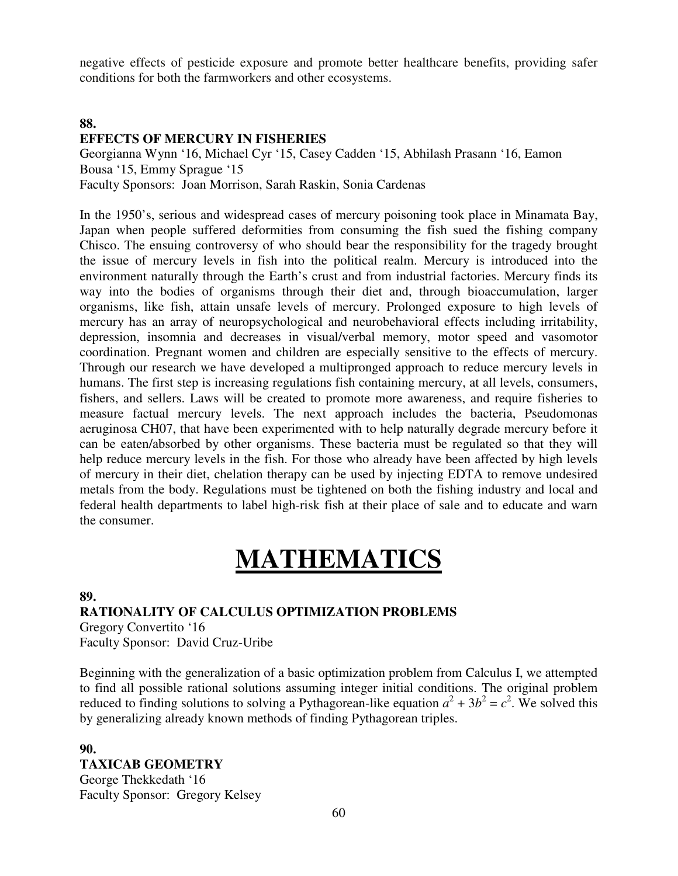negative effects of pesticide exposure and promote better healthcare benefits, providing safer conditions for both the farmworkers and other ecosystems.

### **88.**

## **EFFECTS OF MERCURY IN FISHERIES**

Georgianna Wynn '16, Michael Cyr '15, Casey Cadden '15, Abhilash Prasann '16, Eamon Bousa '15, Emmy Sprague '15 Faculty Sponsors: Joan Morrison, Sarah Raskin, Sonia Cardenas

In the 1950's, serious and widespread cases of mercury poisoning took place in Minamata Bay, Japan when people suffered deformities from consuming the fish sued the fishing company Chisco. The ensuing controversy of who should bear the responsibility for the tragedy brought the issue of mercury levels in fish into the political realm. Mercury is introduced into the environment naturally through the Earth's crust and from industrial factories. Mercury finds its way into the bodies of organisms through their diet and, through bioaccumulation, larger organisms, like fish, attain unsafe levels of mercury. Prolonged exposure to high levels of mercury has an array of neuropsychological and neurobehavioral effects including irritability, depression, insomnia and decreases in visual/verbal memory, motor speed and vasomotor coordination. Pregnant women and children are especially sensitive to the effects of mercury. Through our research we have developed a multipronged approach to reduce mercury levels in humans. The first step is increasing regulations fish containing mercury, at all levels, consumers, fishers, and sellers. Laws will be created to promote more awareness, and require fisheries to measure factual mercury levels. The next approach includes the bacteria, Pseudomonas aeruginosa CH07, that have been experimented with to help naturally degrade mercury before it can be eaten/absorbed by other organisms. These bacteria must be regulated so that they will help reduce mercury levels in the fish. For those who already have been affected by high levels of mercury in their diet, chelation therapy can be used by injecting EDTA to remove undesired metals from the body. Regulations must be tightened on both the fishing industry and local and federal health departments to label high-risk fish at their place of sale and to educate and warn the consumer.

# **MATHEMATICS**

**89.** 

#### **RATIONALITY OF CALCULUS OPTIMIZATION PROBLEMS**  Gregory Convertito '16

Faculty Sponsor: David Cruz-Uribe

Beginning with the generalization of a basic optimization problem from Calculus I, we attempted to find all possible rational solutions assuming integer initial conditions. The original problem reduced to finding solutions to solving a Pythagorean-like equation  $a^2 + 3b^2 = c^2$ . We solved this by generalizing already known methods of finding Pythagorean triples.

# **90. TAXICAB GEOMETRY**  George Thekkedath '16

Faculty Sponsor: Gregory Kelsey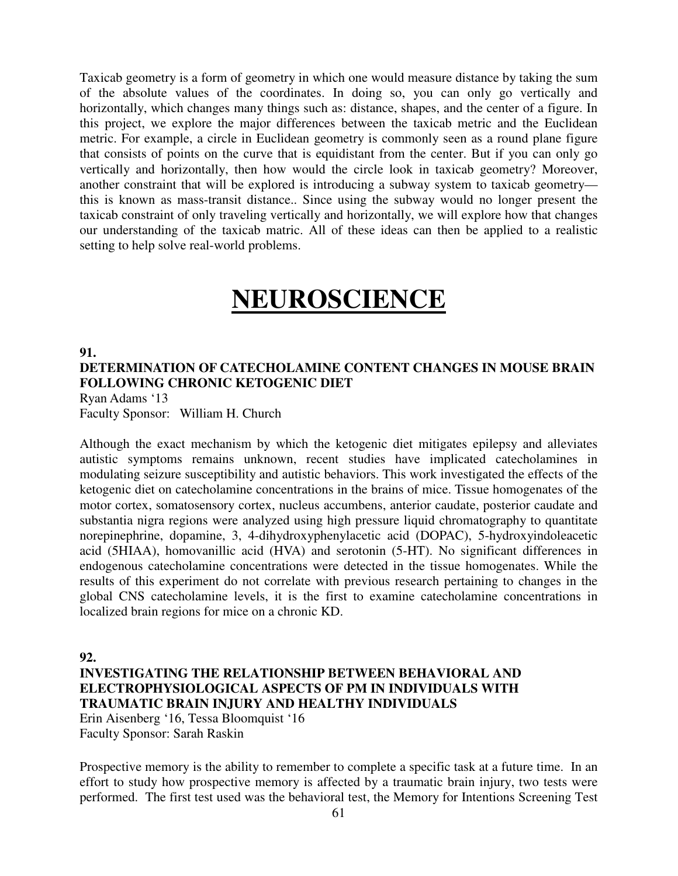Taxicab geometry is a form of geometry in which one would measure distance by taking the sum of the absolute values of the coordinates. In doing so, you can only go vertically and horizontally, which changes many things such as: distance, shapes, and the center of a figure. In this project, we explore the major differences between the taxicab metric and the Euclidean metric. For example, a circle in Euclidean geometry is commonly seen as a round plane figure that consists of points on the curve that is equidistant from the center. But if you can only go vertically and horizontally, then how would the circle look in taxicab geometry? Moreover, another constraint that will be explored is introducing a subway system to taxicab geometry this is known as mass-transit distance.. Since using the subway would no longer present the taxicab constraint of only traveling vertically and horizontally, we will explore how that changes our understanding of the taxicab matric. All of these ideas can then be applied to a realistic setting to help solve real-world problems.

# **NEUROSCIENCE**

### **91. DETERMINATION OF CATECHOLAMINE CONTENT CHANGES IN MOUSE BRAIN FOLLOWING CHRONIC KETOGENIC DIET**  Ryan Adams '13

Faculty Sponsor: William H. Church

Although the exact mechanism by which the ketogenic diet mitigates epilepsy and alleviates autistic symptoms remains unknown, recent studies have implicated catecholamines in modulating seizure susceptibility and autistic behaviors. This work investigated the effects of the ketogenic diet on catecholamine concentrations in the brains of mice. Tissue homogenates of the motor cortex, somatosensory cortex, nucleus accumbens, anterior caudate, posterior caudate and substantia nigra regions were analyzed using high pressure liquid chromatography to quantitate norepinephrine, dopamine, 3, 4-dihydroxyphenylacetic acid (DOPAC), 5-hydroxyindoleacetic acid (5HIAA), homovanillic acid (HVA) and serotonin (5-HT). No significant differences in endogenous catecholamine concentrations were detected in the tissue homogenates. While the results of this experiment do not correlate with previous research pertaining to changes in the global CNS catecholamine levels, it is the first to examine catecholamine concentrations in localized brain regions for mice on a chronic KD.

#### **92.**

## **INVESTIGATING THE RELATIONSHIP BETWEEN BEHAVIORAL AND ELECTROPHYSIOLOGICAL ASPECTS OF PM IN INDIVIDUALS WITH TRAUMATIC BRAIN INJURY AND HEALTHY INDIVIDUALS**

Erin Aisenberg '16, Tessa Bloomquist '16 Faculty Sponsor: Sarah Raskin

Prospective memory is the ability to remember to complete a specific task at a future time. In an effort to study how prospective memory is affected by a traumatic brain injury, two tests were performed. The first test used was the behavioral test, the Memory for Intentions Screening Test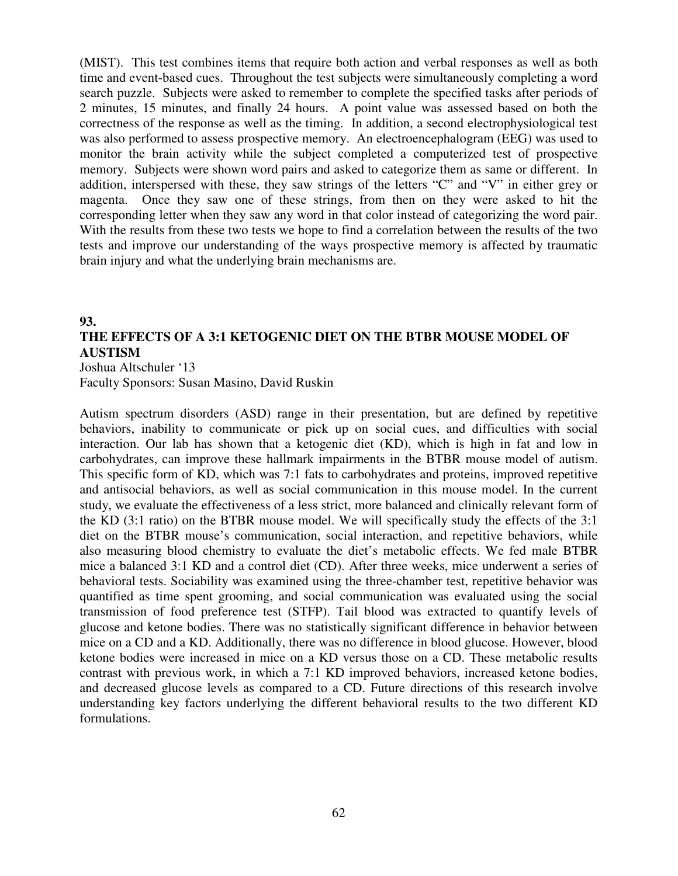(MIST). This test combines items that require both action and verbal responses as well as both time and event-based cues. Throughout the test subjects were simultaneously completing a word search puzzle. Subjects were asked to remember to complete the specified tasks after periods of 2 minutes, 15 minutes, and finally 24 hours. A point value was assessed based on both the correctness of the response as well as the timing. In addition, a second electrophysiological test was also performed to assess prospective memory. An electroencephalogram (EEG) was used to monitor the brain activity while the subject completed a computerized test of prospective memory. Subjects were shown word pairs and asked to categorize them as same or different. In addition, interspersed with these, they saw strings of the letters "C" and "V" in either grey or magenta. Once they saw one of these strings, from then on they were asked to hit the corresponding letter when they saw any word in that color instead of categorizing the word pair. With the results from these two tests we hope to find a correlation between the results of the two tests and improve our understanding of the ways prospective memory is affected by traumatic brain injury and what the underlying brain mechanisms are.

## **93. THE EFFECTS OF A 3:1 KETOGENIC DIET ON THE BTBR MOUSE MODEL OF AUSTISM**

Joshua Altschuler '13

Faculty Sponsors: Susan Masino, David Ruskin

Autism spectrum disorders (ASD) range in their presentation, but are defined by repetitive behaviors, inability to communicate or pick up on social cues, and difficulties with social interaction. Our lab has shown that a ketogenic diet (KD), which is high in fat and low in carbohydrates, can improve these hallmark impairments in the BTBR mouse model of autism. This specific form of KD, which was 7:1 fats to carbohydrates and proteins, improved repetitive and antisocial behaviors, as well as social communication in this mouse model. In the current study, we evaluate the effectiveness of a less strict, more balanced and clinically relevant form of the KD (3:1 ratio) on the BTBR mouse model. We will specifically study the effects of the 3:1 diet on the BTBR mouse's communication, social interaction, and repetitive behaviors, while also measuring blood chemistry to evaluate the diet's metabolic effects. We fed male BTBR mice a balanced 3:1 KD and a control diet (CD). After three weeks, mice underwent a series of behavioral tests. Sociability was examined using the three-chamber test, repetitive behavior was quantified as time spent grooming, and social communication was evaluated using the social transmission of food preference test (STFP). Tail blood was extracted to quantify levels of glucose and ketone bodies. There was no statistically significant difference in behavior between mice on a CD and a KD. Additionally, there was no difference in blood glucose. However, blood ketone bodies were increased in mice on a KD versus those on a CD. These metabolic results contrast with previous work, in which a 7:1 KD improved behaviors, increased ketone bodies, and decreased glucose levels as compared to a CD. Future directions of this research involve understanding key factors underlying the different behavioral results to the two different KD formulations.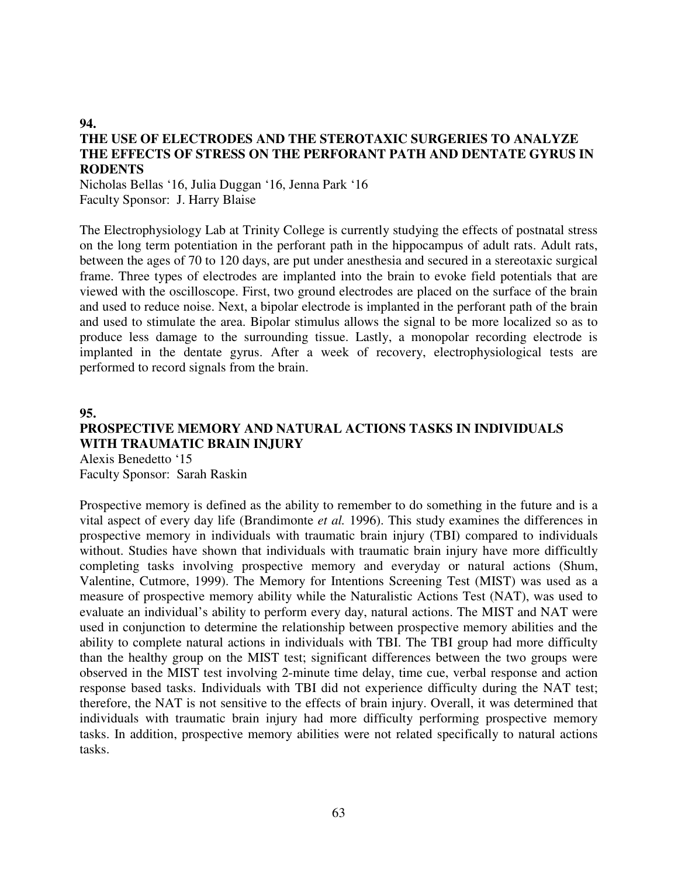## **THE USE OF ELECTRODES AND THE STEROTAXIC SURGERIES TO ANALYZE THE EFFECTS OF STRESS ON THE PERFORANT PATH AND DENTATE GYRUS IN RODENTS**

Nicholas Bellas '16, Julia Duggan '16, Jenna Park '16 Faculty Sponsor: J. Harry Blaise

The Electrophysiology Lab at Trinity College is currently studying the effects of postnatal stress on the long term potentiation in the perforant path in the hippocampus of adult rats. Adult rats, between the ages of 70 to 120 days, are put under anesthesia and secured in a stereotaxic surgical frame. Three types of electrodes are implanted into the brain to evoke field potentials that are viewed with the oscilloscope. First, two ground electrodes are placed on the surface of the brain and used to reduce noise. Next, a bipolar electrode is implanted in the perforant path of the brain and used to stimulate the area. Bipolar stimulus allows the signal to be more localized so as to produce less damage to the surrounding tissue. Lastly, a monopolar recording electrode is implanted in the dentate gyrus. After a week of recovery, electrophysiological tests are performed to record signals from the brain.

**95.** 

**94.** 

## **PROSPECTIVE MEMORY AND NATURAL ACTIONS TASKS IN INDIVIDUALS WITH TRAUMATIC BRAIN INJURY**

Alexis Benedetto '15 Faculty Sponsor: Sarah Raskin

Prospective memory is defined as the ability to remember to do something in the future and is a vital aspect of every day life (Brandimonte *et al.* 1996). This study examines the differences in prospective memory in individuals with traumatic brain injury (TBI) compared to individuals without. Studies have shown that individuals with traumatic brain injury have more difficultly completing tasks involving prospective memory and everyday or natural actions (Shum, Valentine, Cutmore, 1999). The Memory for Intentions Screening Test (MIST) was used as a measure of prospective memory ability while the Naturalistic Actions Test (NAT), was used to evaluate an individual's ability to perform every day, natural actions. The MIST and NAT were used in conjunction to determine the relationship between prospective memory abilities and the ability to complete natural actions in individuals with TBI. The TBI group had more difficulty than the healthy group on the MIST test; significant differences between the two groups were observed in the MIST test involving 2-minute time delay, time cue, verbal response and action response based tasks. Individuals with TBI did not experience difficulty during the NAT test; therefore, the NAT is not sensitive to the effects of brain injury. Overall, it was determined that individuals with traumatic brain injury had more difficulty performing prospective memory tasks. In addition, prospective memory abilities were not related specifically to natural actions tasks.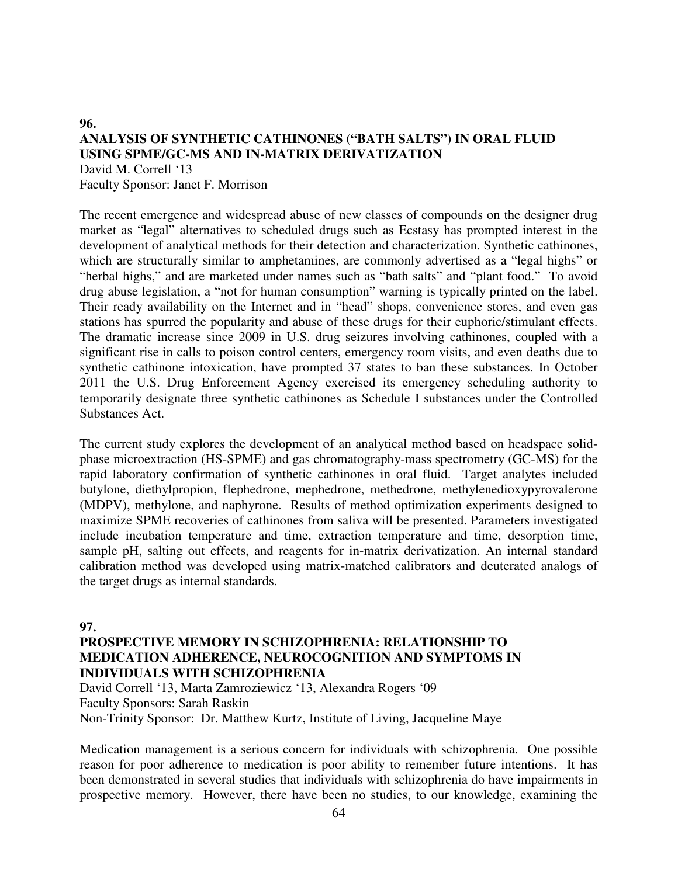## **96. ANALYSIS OF SYNTHETIC CATHINONES ("BATH SALTS") IN ORAL FLUID USING SPME/GC-MS AND IN-MATRIX DERIVATIZATION**  David M. Correll '13

Faculty Sponsor: Janet F. Morrison

The recent emergence and widespread abuse of new classes of compounds on the designer drug market as "legal" alternatives to scheduled drugs such as Ecstasy has prompted interest in the development of analytical methods for their detection and characterization. Synthetic cathinones, which are structurally similar to amphetamines, are commonly advertised as a "legal highs" or "herbal highs," and are marketed under names such as "bath salts" and "plant food." To avoid drug abuse legislation, a "not for human consumption" warning is typically printed on the label. Their ready availability on the Internet and in "head" shops, convenience stores, and even gas stations has spurred the popularity and abuse of these drugs for their euphoric/stimulant effects. The dramatic increase since 2009 in U.S. drug seizures involving cathinones, coupled with a significant rise in calls to poison control centers, emergency room visits, and even deaths due to synthetic cathinone intoxication, have prompted 37 states to ban these substances. In October 2011 the U.S. Drug Enforcement Agency exercised its emergency scheduling authority to temporarily designate three synthetic cathinones as Schedule I substances under the Controlled Substances Act.

The current study explores the development of an analytical method based on headspace solidphase microextraction (HS-SPME) and gas chromatography-mass spectrometry (GC-MS) for the rapid laboratory confirmation of synthetic cathinones in oral fluid. Target analytes included butylone, diethylpropion, flephedrone, mephedrone, methedrone, methylenedioxypyrovalerone (MDPV), methylone, and naphyrone. Results of method optimization experiments designed to maximize SPME recoveries of cathinones from saliva will be presented. Parameters investigated include incubation temperature and time, extraction temperature and time, desorption time, sample pH, salting out effects, and reagents for in-matrix derivatization. An internal standard calibration method was developed using matrix-matched calibrators and deuterated analogs of the target drugs as internal standards.

#### **97.**

## **PROSPECTIVE MEMORY IN SCHIZOPHRENIA: RELATIONSHIP TO MEDICATION ADHERENCE, NEUROCOGNITION AND SYMPTOMS IN INDIVIDUALS WITH SCHIZOPHRENIA**

David Correll '13, Marta Zamroziewicz '13, Alexandra Rogers '09 Faculty Sponsors: Sarah Raskin Non-Trinity Sponsor: Dr. Matthew Kurtz, Institute of Living, Jacqueline Maye

Medication management is a serious concern for individuals with schizophrenia. One possible reason for poor adherence to medication is poor ability to remember future intentions. It has been demonstrated in several studies that individuals with schizophrenia do have impairments in prospective memory. However, there have been no studies, to our knowledge, examining the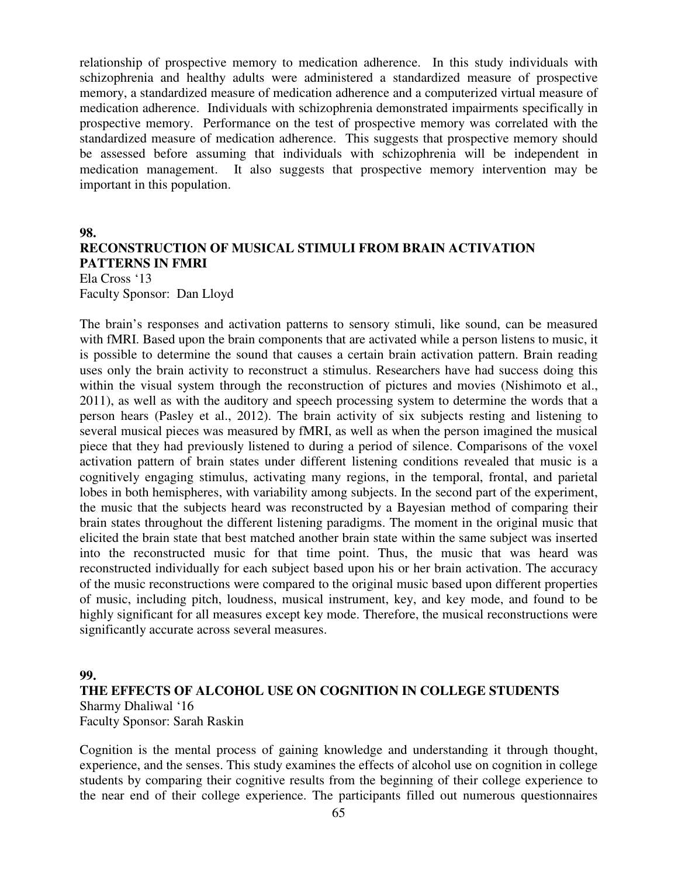relationship of prospective memory to medication adherence. In this study individuals with schizophrenia and healthy adults were administered a standardized measure of prospective memory, a standardized measure of medication adherence and a computerized virtual measure of medication adherence. Individuals with schizophrenia demonstrated impairments specifically in prospective memory. Performance on the test of prospective memory was correlated with the standardized measure of medication adherence. This suggests that prospective memory should be assessed before assuming that individuals with schizophrenia will be independent in medication management. It also suggests that prospective memory intervention may be important in this population.

#### **98.**

## **RECONSTRUCTION OF MUSICAL STIMULI FROM BRAIN ACTIVATION PATTERNS IN FMRI**

Ela Cross '13 Faculty Sponsor: Dan Lloyd

The brain's responses and activation patterns to sensory stimuli, like sound, can be measured with fMRI. Based upon the brain components that are activated while a person listens to music, it is possible to determine the sound that causes a certain brain activation pattern. Brain reading uses only the brain activity to reconstruct a stimulus. Researchers have had success doing this within the visual system through the reconstruction of pictures and movies (Nishimoto et al., 2011), as well as with the auditory and speech processing system to determine the words that a person hears (Pasley et al., 2012). The brain activity of six subjects resting and listening to several musical pieces was measured by fMRI, as well as when the person imagined the musical piece that they had previously listened to during a period of silence. Comparisons of the voxel activation pattern of brain states under different listening conditions revealed that music is a cognitively engaging stimulus, activating many regions, in the temporal, frontal, and parietal lobes in both hemispheres, with variability among subjects. In the second part of the experiment, the music that the subjects heard was reconstructed by a Bayesian method of comparing their brain states throughout the different listening paradigms. The moment in the original music that elicited the brain state that best matched another brain state within the same subject was inserted into the reconstructed music for that time point. Thus, the music that was heard was reconstructed individually for each subject based upon his or her brain activation. The accuracy of the music reconstructions were compared to the original music based upon different properties of music, including pitch, loudness, musical instrument, key, and key mode, and found to be highly significant for all measures except key mode. Therefore, the musical reconstructions were significantly accurate across several measures.

#### **99.**

## **THE EFFECTS OF ALCOHOL USE ON COGNITION IN COLLEGE STUDENTS**  Sharmy Dhaliwal '16 Faculty Sponsor: Sarah Raskin

Cognition is the mental process of gaining knowledge and understanding it through thought, experience, and the senses. This study examines the effects of alcohol use on cognition in college students by comparing their cognitive results from the beginning of their college experience to the near end of their college experience. The participants filled out numerous questionnaires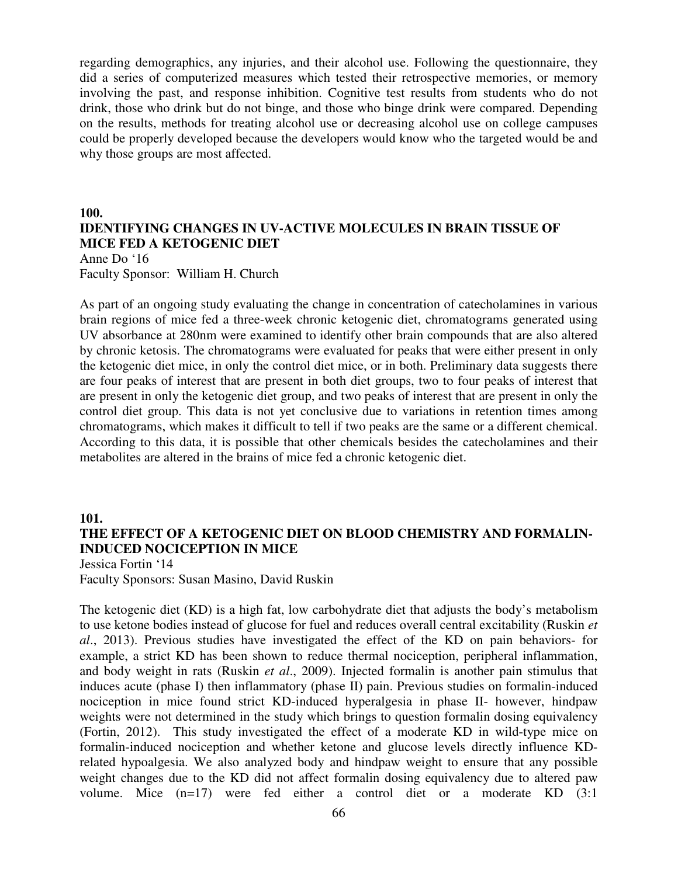regarding demographics, any injuries, and their alcohol use. Following the questionnaire, they did a series of computerized measures which tested their retrospective memories, or memory involving the past, and response inhibition. Cognitive test results from students who do not drink, those who drink but do not binge, and those who binge drink were compared. Depending on the results, methods for treating alcohol use or decreasing alcohol use on college campuses could be properly developed because the developers would know who the targeted would be and why those groups are most affected.

## **100. IDENTIFYING CHANGES IN UV-ACTIVE MOLECULES IN BRAIN TISSUE OF MICE FED A KETOGENIC DIET**

Anne Do '16 Faculty Sponsor: William H. Church

As part of an ongoing study evaluating the change in concentration of catecholamines in various brain regions of mice fed a three-week chronic ketogenic diet, chromatograms generated using UV absorbance at 280nm were examined to identify other brain compounds that are also altered by chronic ketosis. The chromatograms were evaluated for peaks that were either present in only the ketogenic diet mice, in only the control diet mice, or in both. Preliminary data suggests there are four peaks of interest that are present in both diet groups, two to four peaks of interest that are present in only the ketogenic diet group, and two peaks of interest that are present in only the control diet group. This data is not yet conclusive due to variations in retention times among chromatograms, which makes it difficult to tell if two peaks are the same or a different chemical. According to this data, it is possible that other chemicals besides the catecholamines and their metabolites are altered in the brains of mice fed a chronic ketogenic diet.

#### **101.**

## **THE EFFECT OF A KETOGENIC DIET ON BLOOD CHEMISTRY AND FORMALIN-INDUCED NOCICEPTION IN MICE**

Jessica Fortin '14 Faculty Sponsors: Susan Masino, David Ruskin

The ketogenic diet (KD) is a high fat, low carbohydrate diet that adjusts the body's metabolism to use ketone bodies instead of glucose for fuel and reduces overall central excitability (Ruskin *et al*., 2013). Previous studies have investigated the effect of the KD on pain behaviors- for example, a strict KD has been shown to reduce thermal nociception, peripheral inflammation, and body weight in rats (Ruskin *et al*., 2009). Injected formalin is another pain stimulus that induces acute (phase I) then inflammatory (phase II) pain. Previous studies on formalin-induced nociception in mice found strict KD-induced hyperalgesia in phase II- however, hindpaw weights were not determined in the study which brings to question formalin dosing equivalency (Fortin, 2012). This study investigated the effect of a moderate KD in wild-type mice on formalin-induced nociception and whether ketone and glucose levels directly influence KDrelated hypoalgesia. We also analyzed body and hindpaw weight to ensure that any possible weight changes due to the KD did not affect formalin dosing equivalency due to altered paw volume. Mice (n=17) were fed either a control diet or a moderate KD (3:1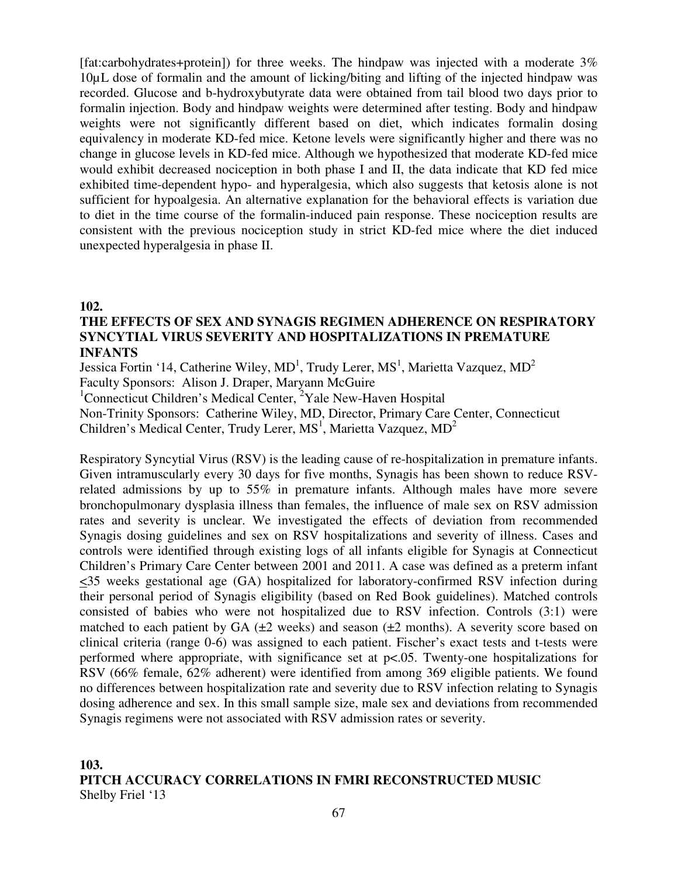[fat:carbohydrates+protein]) for three weeks. The hindpaw was injected with a moderate 3% 10µL dose of formalin and the amount of licking/biting and lifting of the injected hindpaw was recorded. Glucose and b-hydroxybutyrate data were obtained from tail blood two days prior to formalin injection. Body and hindpaw weights were determined after testing. Body and hindpaw weights were not significantly different based on diet, which indicates formalin dosing equivalency in moderate KD-fed mice. Ketone levels were significantly higher and there was no change in glucose levels in KD-fed mice. Although we hypothesized that moderate KD-fed mice would exhibit decreased nociception in both phase I and II, the data indicate that KD fed mice exhibited time-dependent hypo- and hyperalgesia, which also suggests that ketosis alone is not sufficient for hypoalgesia. An alternative explanation for the behavioral effects is variation due to diet in the time course of the formalin-induced pain response. These nociception results are consistent with the previous nociception study in strict KD-fed mice where the diet induced unexpected hyperalgesia in phase II.

#### **102.**

## **THE EFFECTS OF SEX AND SYNAGIS REGIMEN ADHERENCE ON RESPIRATORY SYNCYTIAL VIRUS SEVERITY AND HOSPITALIZATIONS IN PREMATURE INFANTS**

Jessica Fortin '14, Catherine Wiley,  $MD<sup>1</sup>$ , Trudy Lerer,  $MS<sup>1</sup>$ , Marietta Vazquez,  $MD<sup>2</sup>$ Faculty Sponsors: Alison J. Draper, Maryann McGuire

<sup>1</sup>Connecticut Children's Medical Center,  ${}^{2}$ Yale New-Haven Hospital

Non-Trinity Sponsors: Catherine Wiley, MD, Director, Primary Care Center, Connecticut

Children's Medical Center, Trudy Lerer,  $MS<sup>1</sup>$ , Marietta Vazquez,  $MD<sup>2</sup>$ 

Respiratory Syncytial Virus (RSV) is the leading cause of re-hospitalization in premature infants. Given intramuscularly every 30 days for five months, Synagis has been shown to reduce RSVrelated admissions by up to 55% in premature infants. Although males have more severe bronchopulmonary dysplasia illness than females, the influence of male sex on RSV admission rates and severity is unclear. We investigated the effects of deviation from recommended Synagis dosing guidelines and sex on RSV hospitalizations and severity of illness. Cases and controls were identified through existing logs of all infants eligible for Synagis at Connecticut Children's Primary Care Center between 2001 and 2011. A case was defined as a preterm infant  $\leq$ 35 weeks gestational age (GA) hospitalized for laboratory-confirmed RSV infection during their personal period of Synagis eligibility (based on Red Book guidelines). Matched controls consisted of babies who were not hospitalized due to RSV infection. Controls (3:1) were matched to each patient by GA  $(\pm 2$  weeks) and season  $(\pm 2$  months). A severity score based on clinical criteria (range 0-6) was assigned to each patient. Fischer's exact tests and t-tests were performed where appropriate, with significance set at p<.05. Twenty-one hospitalizations for RSV (66% female, 62% adherent) were identified from among 369 eligible patients. We found no differences between hospitalization rate and severity due to RSV infection relating to Synagis dosing adherence and sex. In this small sample size, male sex and deviations from recommended Synagis regimens were not associated with RSV admission rates or severity.

## **103. PITCH ACCURACY CORRELATIONS IN FMRI RECONSTRUCTED MUSIC**  Shelby Friel '13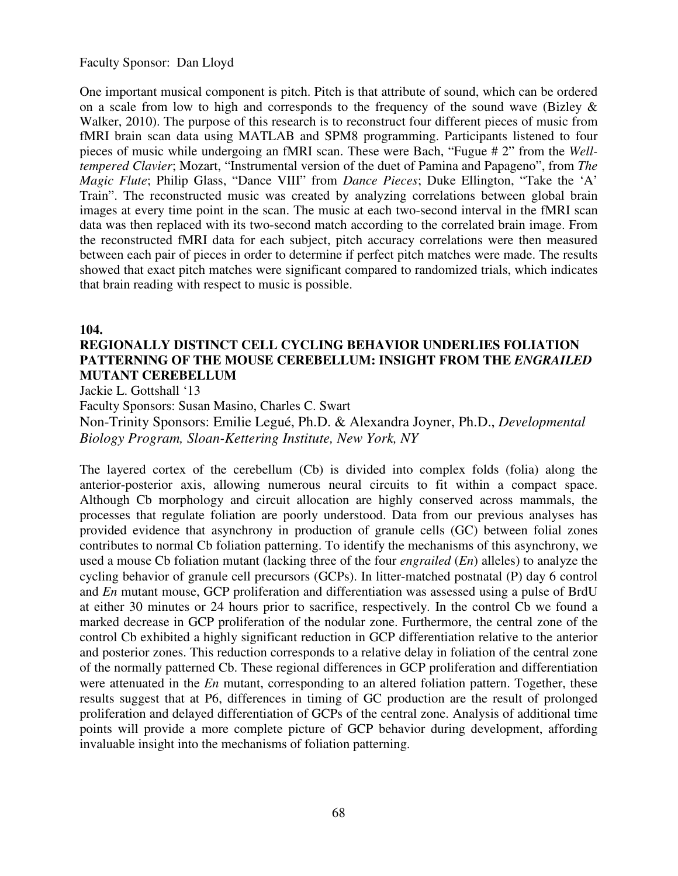Faculty Sponsor: Dan Lloyd

One important musical component is pitch. Pitch is that attribute of sound, which can be ordered on a scale from low to high and corresponds to the frequency of the sound wave (Bizley & Walker, 2010). The purpose of this research is to reconstruct four different pieces of music from fMRI brain scan data using MATLAB and SPM8 programming. Participants listened to four pieces of music while undergoing an fMRI scan. These were Bach, "Fugue # 2" from the *Welltempered Clavier*; Mozart, "Instrumental version of the duet of Pamina and Papageno", from *The Magic Flute*; Philip Glass, "Dance VIII" from *Dance Pieces*; Duke Ellington, "Take the 'A' Train". The reconstructed music was created by analyzing correlations between global brain images at every time point in the scan. The music at each two-second interval in the fMRI scan data was then replaced with its two-second match according to the correlated brain image. From the reconstructed fMRI data for each subject, pitch accuracy correlations were then measured between each pair of pieces in order to determine if perfect pitch matches were made. The results showed that exact pitch matches were significant compared to randomized trials, which indicates that brain reading with respect to music is possible.

#### **104.**

## **REGIONALLY DISTINCT CELL CYCLING BEHAVIOR UNDERLIES FOLIATION PATTERNING OF THE MOUSE CEREBELLUM: INSIGHT FROM THE** *ENGRAILED*  **MUTANT CEREBELLUM**

Jackie L. Gottshall '13

Faculty Sponsors: Susan Masino, Charles C. Swart

Non-Trinity Sponsors: Emilie Legué, Ph.D. & Alexandra Joyner, Ph.D., *Developmental Biology Program, Sloan-Kettering Institute, New York, NY* 

The layered cortex of the cerebellum (Cb) is divided into complex folds (folia) along the anterior-posterior axis, allowing numerous neural circuits to fit within a compact space. Although Cb morphology and circuit allocation are highly conserved across mammals, the processes that regulate foliation are poorly understood. Data from our previous analyses has provided evidence that asynchrony in production of granule cells (GC) between folial zones contributes to normal Cb foliation patterning. To identify the mechanisms of this asynchrony, we used a mouse Cb foliation mutant (lacking three of the four *engrailed* (*En*) alleles) to analyze the cycling behavior of granule cell precursors (GCPs). In litter-matched postnatal (P) day 6 control and *En* mutant mouse, GCP proliferation and differentiation was assessed using a pulse of BrdU at either 30 minutes or 24 hours prior to sacrifice, respectively. In the control Cb we found a marked decrease in GCP proliferation of the nodular zone. Furthermore, the central zone of the control Cb exhibited a highly significant reduction in GCP differentiation relative to the anterior and posterior zones. This reduction corresponds to a relative delay in foliation of the central zone of the normally patterned Cb. These regional differences in GCP proliferation and differentiation were attenuated in the *En* mutant, corresponding to an altered foliation pattern. Together, these results suggest that at P6, differences in timing of GC production are the result of prolonged proliferation and delayed differentiation of GCPs of the central zone. Analysis of additional time points will provide a more complete picture of GCP behavior during development, affording invaluable insight into the mechanisms of foliation patterning.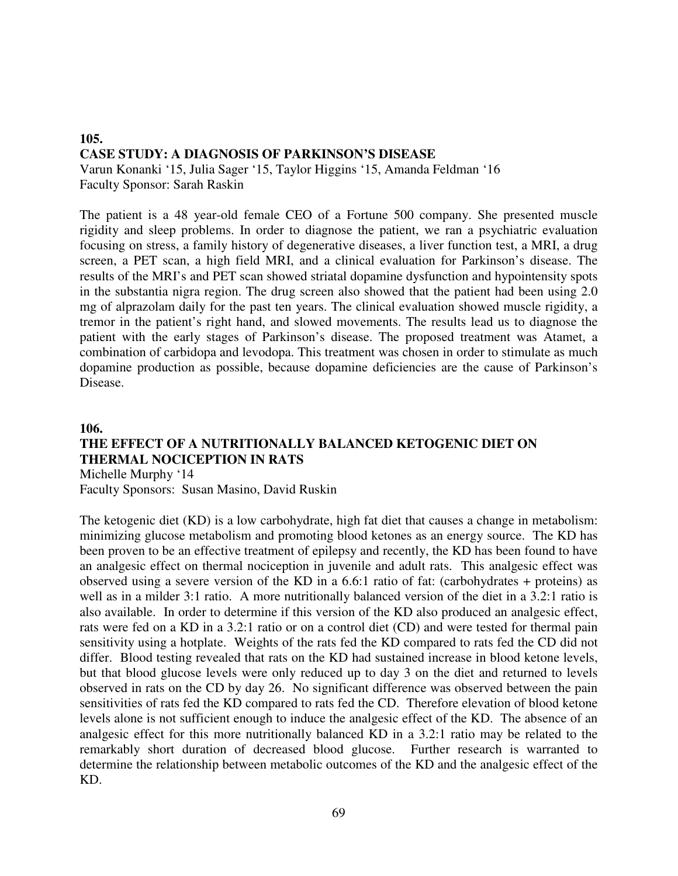#### **105. CASE STUDY: A DIAGNOSIS OF PARKINSON'S DISEASE** Varun Konanki '15, Julia Sager '15, Taylor Higgins '15, Amanda Feldman '16

Faculty Sponsor: Sarah Raskin

The patient is a 48 year-old female CEO of a Fortune 500 company. She presented muscle rigidity and sleep problems. In order to diagnose the patient, we ran a psychiatric evaluation focusing on stress, a family history of degenerative diseases, a liver function test, a MRI, a drug screen, a PET scan, a high field MRI, and a clinical evaluation for Parkinson's disease. The results of the MRI's and PET scan showed striatal dopamine dysfunction and hypointensity spots in the substantia nigra region. The drug screen also showed that the patient had been using 2.0 mg of alprazolam daily for the past ten years. The clinical evaluation showed muscle rigidity, a tremor in the patient's right hand, and slowed movements. The results lead us to diagnose the patient with the early stages of Parkinson's disease. The proposed treatment was Atamet, a combination of carbidopa and levodopa. This treatment was chosen in order to stimulate as much dopamine production as possible, because dopamine deficiencies are the cause of Parkinson's Disease.

## **106.**

# **THE EFFECT OF A NUTRITIONALLY BALANCED KETOGENIC DIET ON THERMAL NOCICEPTION IN RATS**

Michelle Murphy '14 Faculty Sponsors: Susan Masino, David Ruskin

The ketogenic diet (KD) is a low carbohydrate, high fat diet that causes a change in metabolism: minimizing glucose metabolism and promoting blood ketones as an energy source. The KD has been proven to be an effective treatment of epilepsy and recently, the KD has been found to have an analgesic effect on thermal nociception in juvenile and adult rats. This analgesic effect was observed using a severe version of the KD in a 6.6:1 ratio of fat: (carbohydrates + proteins) as well as in a milder 3:1 ratio. A more nutritionally balanced version of the diet in a 3.2:1 ratio is also available. In order to determine if this version of the KD also produced an analgesic effect, rats were fed on a KD in a 3.2:1 ratio or on a control diet (CD) and were tested for thermal pain sensitivity using a hotplate. Weights of the rats fed the KD compared to rats fed the CD did not differ. Blood testing revealed that rats on the KD had sustained increase in blood ketone levels, but that blood glucose levels were only reduced up to day 3 on the diet and returned to levels observed in rats on the CD by day 26. No significant difference was observed between the pain sensitivities of rats fed the KD compared to rats fed the CD. Therefore elevation of blood ketone levels alone is not sufficient enough to induce the analgesic effect of the KD. The absence of an analgesic effect for this more nutritionally balanced KD in a 3.2:1 ratio may be related to the remarkably short duration of decreased blood glucose. Further research is warranted to determine the relationship between metabolic outcomes of the KD and the analgesic effect of the KD.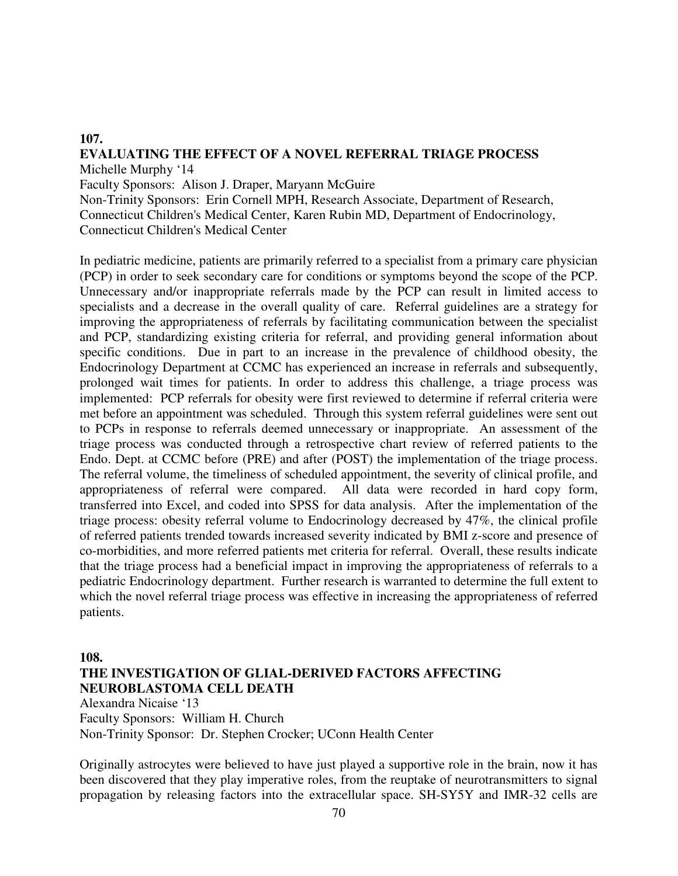#### **107. EVALUATING THE EFFECT OF A NOVEL REFERRAL TRIAGE PROCESS**  Michelle Murphy '14

Faculty Sponsors: Alison J. Draper, Maryann McGuire

Non-Trinity Sponsors: Erin Cornell MPH, Research Associate, Department of Research, Connecticut Children's Medical Center, Karen Rubin MD, Department of Endocrinology, Connecticut Children's Medical Center

In pediatric medicine, patients are primarily referred to a specialist from a primary care physician (PCP) in order to seek secondary care for conditions or symptoms beyond the scope of the PCP. Unnecessary and/or inappropriate referrals made by the PCP can result in limited access to specialists and a decrease in the overall quality of care. Referral guidelines are a strategy for improving the appropriateness of referrals by facilitating communication between the specialist and PCP, standardizing existing criteria for referral, and providing general information about specific conditions. Due in part to an increase in the prevalence of childhood obesity, the Endocrinology Department at CCMC has experienced an increase in referrals and subsequently, prolonged wait times for patients. In order to address this challenge, a triage process was implemented: PCP referrals for obesity were first reviewed to determine if referral criteria were met before an appointment was scheduled. Through this system referral guidelines were sent out to PCPs in response to referrals deemed unnecessary or inappropriate. An assessment of the triage process was conducted through a retrospective chart review of referred patients to the Endo. Dept. at CCMC before (PRE) and after (POST) the implementation of the triage process. The referral volume, the timeliness of scheduled appointment, the severity of clinical profile, and appropriateness of referral were compared. All data were recorded in hard copy form, transferred into Excel, and coded into SPSS for data analysis. After the implementation of the triage process: obesity referral volume to Endocrinology decreased by 47%, the clinical profile of referred patients trended towards increased severity indicated by BMI z-score and presence of co-morbidities, and more referred patients met criteria for referral. Overall, these results indicate that the triage process had a beneficial impact in improving the appropriateness of referrals to a pediatric Endocrinology department. Further research is warranted to determine the full extent to which the novel referral triage process was effective in increasing the appropriateness of referred patients.

**108.** 

## **THE INVESTIGATION OF GLIAL-DERIVED FACTORS AFFECTING NEUROBLASTOMA CELL DEATH**

Alexandra Nicaise '13

Faculty Sponsors: William H. Church Non-Trinity Sponsor: Dr. Stephen Crocker; UConn Health Center

Originally astrocytes were believed to have just played a supportive role in the brain, now it has been discovered that they play imperative roles, from the reuptake of neurotransmitters to signal propagation by releasing factors into the extracellular space. SH-SY5Y and IMR-32 cells are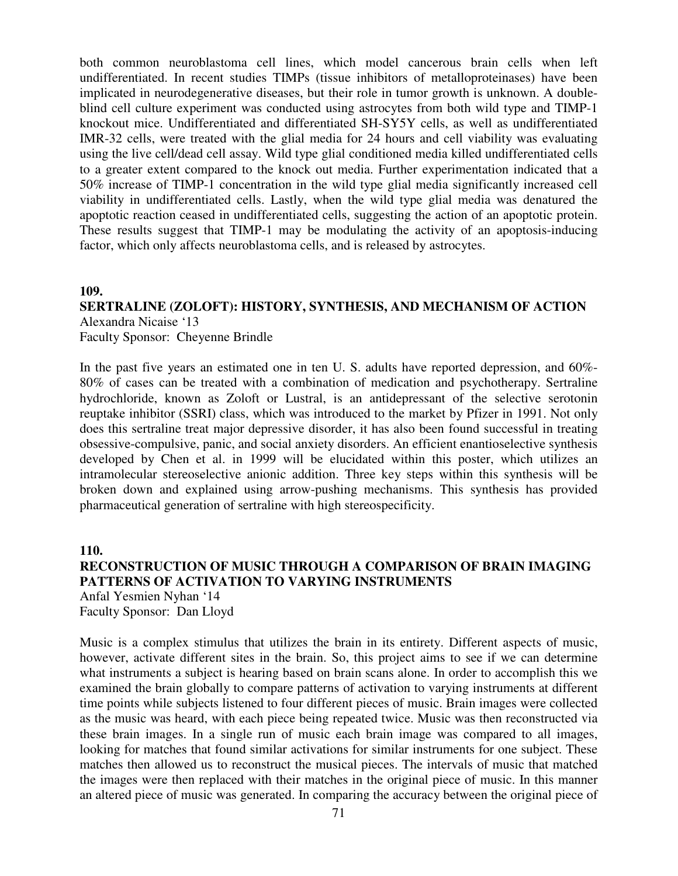both common neuroblastoma cell lines, which model cancerous brain cells when left undifferentiated. In recent studies TIMPs (tissue inhibitors of metalloproteinases) have been implicated in neurodegenerative diseases, but their role in tumor growth is unknown. A doubleblind cell culture experiment was conducted using astrocytes from both wild type and TIMP-1 knockout mice. Undifferentiated and differentiated SH-SY5Y cells, as well as undifferentiated IMR-32 cells, were treated with the glial media for 24 hours and cell viability was evaluating using the live cell/dead cell assay. Wild type glial conditioned media killed undifferentiated cells to a greater extent compared to the knock out media. Further experimentation indicated that a 50% increase of TIMP-1 concentration in the wild type glial media significantly increased cell viability in undifferentiated cells. Lastly, when the wild type glial media was denatured the apoptotic reaction ceased in undifferentiated cells, suggesting the action of an apoptotic protein. These results suggest that TIMP-1 may be modulating the activity of an apoptosis-inducing factor, which only affects neuroblastoma cells, and is released by astrocytes.

#### **109.**

#### **SERTRALINE (ZOLOFT): HISTORY, SYNTHESIS, AND MECHANISM OF ACTION**  Alexandra Nicaise '13

Faculty Sponsor: Cheyenne Brindle

In the past five years an estimated one in ten U. S. adults have reported depression, and 60%- 80% of cases can be treated with a combination of medication and psychotherapy. Sertraline hydrochloride, known as Zoloft or Lustral, is an antidepressant of the selective serotonin reuptake inhibitor (SSRI) class, which was introduced to the market by Pfizer in 1991. Not only does this sertraline treat major depressive disorder, it has also been found successful in treating obsessive-compulsive, panic, and social anxiety disorders. An efficient enantioselective synthesis developed by Chen et al. in 1999 will be elucidated within this poster, which utilizes an intramolecular stereoselective anionic addition. Three key steps within this synthesis will be broken down and explained using arrow-pushing mechanisms. This synthesis has provided pharmaceutical generation of sertraline with high stereospecificity.

**110.** 

## **RECONSTRUCTION OF MUSIC THROUGH A COMPARISON OF BRAIN IMAGING PATTERNS OF ACTIVATION TO VARYING INSTRUMENTS**  Anfal Yesmien Nyhan '14 Faculty Sponsor: Dan Lloyd

Music is a complex stimulus that utilizes the brain in its entirety. Different aspects of music, however, activate different sites in the brain. So, this project aims to see if we can determine what instruments a subject is hearing based on brain scans alone. In order to accomplish this we examined the brain globally to compare patterns of activation to varying instruments at different time points while subjects listened to four different pieces of music. Brain images were collected as the music was heard, with each piece being repeated twice. Music was then reconstructed via these brain images. In a single run of music each brain image was compared to all images, looking for matches that found similar activations for similar instruments for one subject. These matches then allowed us to reconstruct the musical pieces. The intervals of music that matched the images were then replaced with their matches in the original piece of music. In this manner an altered piece of music was generated. In comparing the accuracy between the original piece of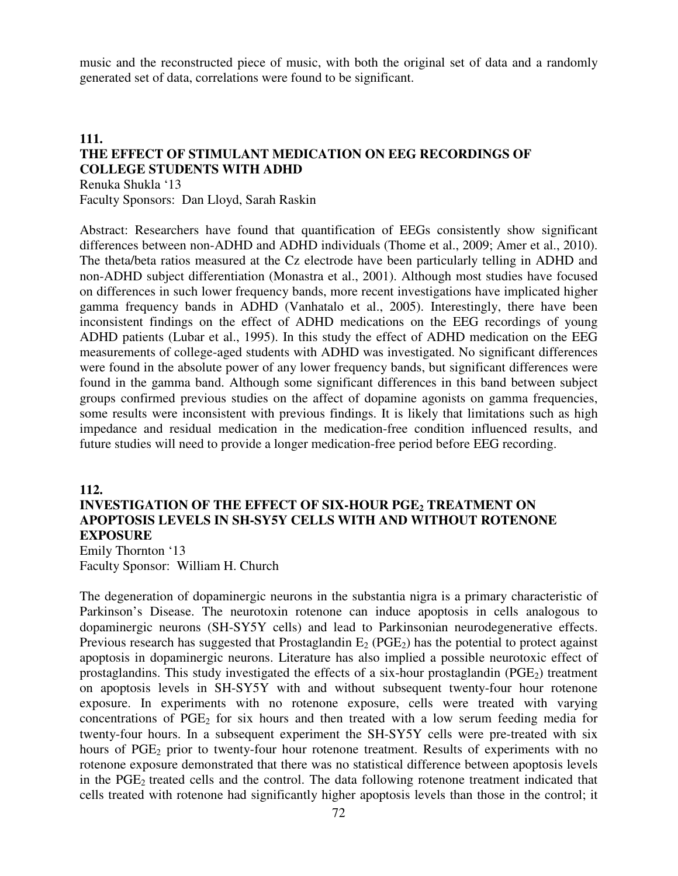music and the reconstructed piece of music, with both the original set of data and a randomly generated set of data, correlations were found to be significant.

## **111. THE EFFECT OF STIMULANT MEDICATION ON EEG RECORDINGS OF COLLEGE STUDENTS WITH ADHD**

Renuka Shukla '13 Faculty Sponsors: Dan Lloyd, Sarah Raskin

Abstract: Researchers have found that quantification of EEGs consistently show significant differences between non-ADHD and ADHD individuals (Thome et al., 2009; Amer et al., 2010). The theta/beta ratios measured at the Cz electrode have been particularly telling in ADHD and non-ADHD subject differentiation (Monastra et al., 2001). Although most studies have focused on differences in such lower frequency bands, more recent investigations have implicated higher gamma frequency bands in ADHD (Vanhatalo et al., 2005). Interestingly, there have been inconsistent findings on the effect of ADHD medications on the EEG recordings of young ADHD patients (Lubar et al., 1995). In this study the effect of ADHD medication on the EEG measurements of college-aged students with ADHD was investigated. No significant differences were found in the absolute power of any lower frequency bands, but significant differences were found in the gamma band. Although some significant differences in this band between subject groups confirmed previous studies on the affect of dopamine agonists on gamma frequencies, some results were inconsistent with previous findings. It is likely that limitations such as high impedance and residual medication in the medication-free condition influenced results, and future studies will need to provide a longer medication-free period before EEG recording.

#### **112.**

## **INVESTIGATION OF THE EFFECT OF SIX-HOUR PGE2 TREATMENT ON APOPTOSIS LEVELS IN SH-SY5Y CELLS WITH AND WITHOUT ROTENONE EXPOSURE**

Emily Thornton '13 Faculty Sponsor: William H. Church

The degeneration of dopaminergic neurons in the substantia nigra is a primary characteristic of Parkinson's Disease. The neurotoxin rotenone can induce apoptosis in cells analogous to dopaminergic neurons (SH-SY5Y cells) and lead to Parkinsonian neurodegenerative effects. Previous research has suggested that Prostaglandin  $E_2$  (PGE<sub>2</sub>) has the potential to protect against apoptosis in dopaminergic neurons. Literature has also implied a possible neurotoxic effect of prostaglandins. This study investigated the effects of a six-hour prostaglandin ( $PGE_2$ ) treatment on apoptosis levels in SH-SY5Y with and without subsequent twenty-four hour rotenone exposure. In experiments with no rotenone exposure, cells were treated with varying concentrations of  $PGE_2$  for six hours and then treated with a low serum feeding media for twenty-four hours. In a subsequent experiment the SH-SY5Y cells were pre-treated with six hours of PGE<sub>2</sub> prior to twenty-four hour rotenone treatment. Results of experiments with no rotenone exposure demonstrated that there was no statistical difference between apoptosis levels in the  $PGE_2$  treated cells and the control. The data following rotenone treatment indicated that cells treated with rotenone had significantly higher apoptosis levels than those in the control; it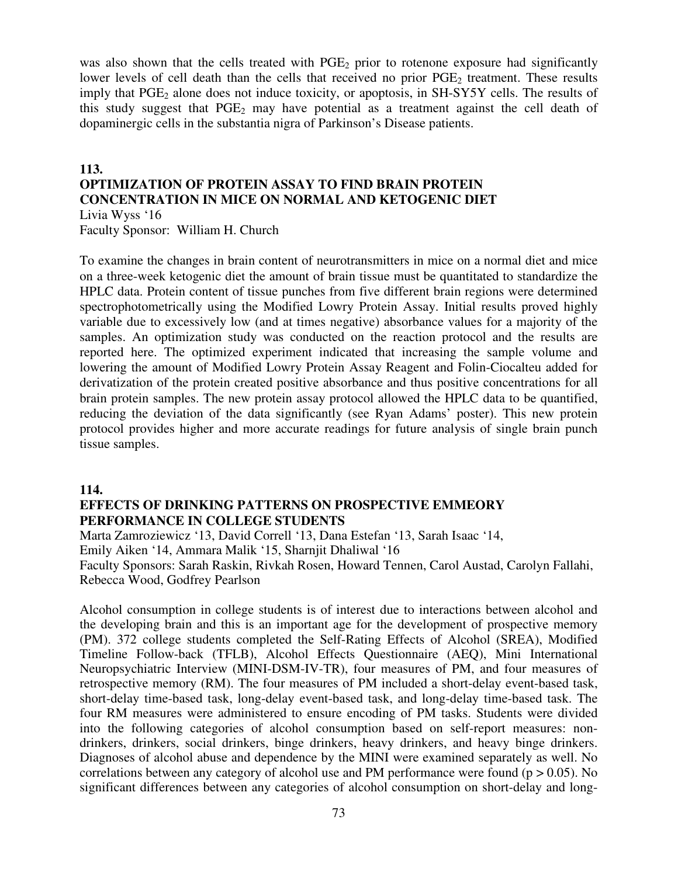was also shown that the cells treated with  $PGE<sub>2</sub>$  prior to rotenone exposure had significantly lower levels of cell death than the cells that received no prior PGE<sub>2</sub> treatment. These results imply that  $PGE_2$  alone does not induce toxicity, or apoptosis, in  $SH-SY5Y$  cells. The results of this study suggest that  $PGE_2$  may have potential as a treatment against the cell death of dopaminergic cells in the substantia nigra of Parkinson's Disease patients.

#### **113. OPTIMIZATION OF PROTEIN ASSAY TO FIND BRAIN PROTEIN CONCENTRATION IN MICE ON NORMAL AND KETOGENIC DIET**  Livia Wyss '16 Faculty Sponsor: William H. Church

To examine the changes in brain content of neurotransmitters in mice on a normal diet and mice on a three-week ketogenic diet the amount of brain tissue must be quantitated to standardize the HPLC data. Protein content of tissue punches from five different brain regions were determined spectrophotometrically using the Modified Lowry Protein Assay. Initial results proved highly variable due to excessively low (and at times negative) absorbance values for a majority of the samples. An optimization study was conducted on the reaction protocol and the results are reported here. The optimized experiment indicated that increasing the sample volume and lowering the amount of Modified Lowry Protein Assay Reagent and Folin-Ciocalteu added for derivatization of the protein created positive absorbance and thus positive concentrations for all brain protein samples. The new protein assay protocol allowed the HPLC data to be quantified, reducing the deviation of the data significantly (see Ryan Adams' poster). This new protein protocol provides higher and more accurate readings for future analysis of single brain punch tissue samples.

#### **114.**

#### **EFFECTS OF DRINKING PATTERNS ON PROSPECTIVE EMMEORY PERFORMANCE IN COLLEGE STUDENTS**

Marta Zamroziewicz '13, David Correll '13, Dana Estefan '13, Sarah Isaac '14, Emily Aiken '14, Ammara Malik '15, Sharnjit Dhaliwal '16 Faculty Sponsors: Sarah Raskin, Rivkah Rosen, Howard Tennen, Carol Austad, Carolyn Fallahi, Rebecca Wood, Godfrey Pearlson

Alcohol consumption in college students is of interest due to interactions between alcohol and the developing brain and this is an important age for the development of prospective memory (PM). 372 college students completed the Self-Rating Effects of Alcohol (SREA), Modified Timeline Follow-back (TFLB), Alcohol Effects Questionnaire (AEQ), Mini International Neuropsychiatric Interview (MINI-DSM-IV-TR), four measures of PM, and four measures of retrospective memory (RM). The four measures of PM included a short-delay event-based task, short-delay time-based task, long-delay event-based task, and long-delay time-based task. The four RM measures were administered to ensure encoding of PM tasks. Students were divided into the following categories of alcohol consumption based on self-report measures: nondrinkers, drinkers, social drinkers, binge drinkers, heavy drinkers, and heavy binge drinkers. Diagnoses of alcohol abuse and dependence by the MINI were examined separately as well. No correlations between any category of alcohol use and PM performance were found ( $p > 0.05$ ). No significant differences between any categories of alcohol consumption on short-delay and long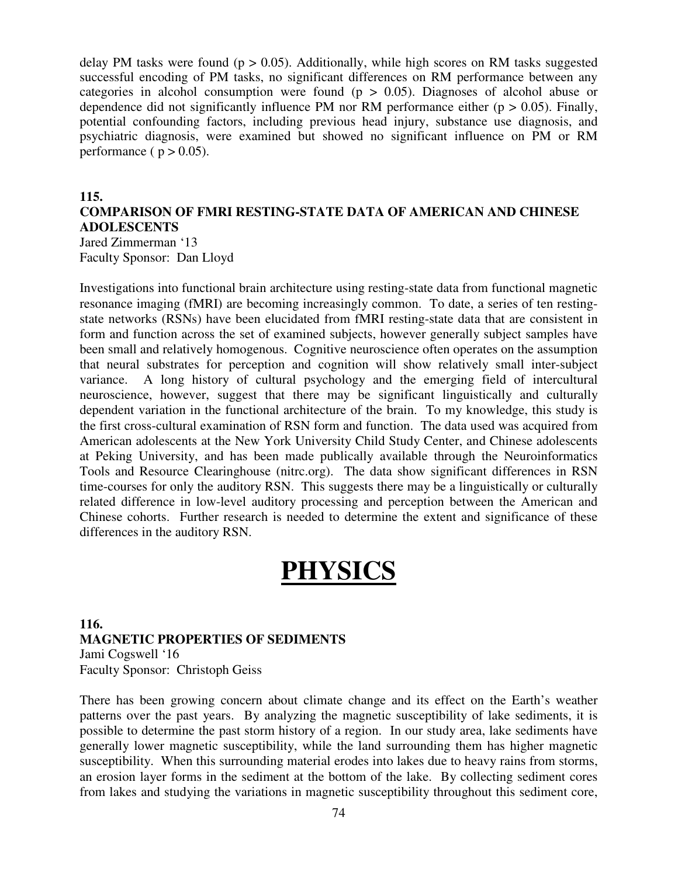delay PM tasks were found ( $p > 0.05$ ). Additionally, while high scores on RM tasks suggested successful encoding of PM tasks, no significant differences on RM performance between any categories in alcohol consumption were found ( $p > 0.05$ ). Diagnoses of alcohol abuse or dependence did not significantly influence PM nor RM performance either ( $p > 0.05$ ). Finally, potential confounding factors, including previous head injury, substance use diagnosis, and psychiatric diagnosis, were examined but showed no significant influence on PM or RM performance ( $p > 0.05$ ).

#### **115.**

## **COMPARISON OF FMRI RESTING-STATE DATA OF AMERICAN AND CHINESE ADOLESCENTS**

Jared Zimmerman '13 Faculty Sponsor: Dan Lloyd

Investigations into functional brain architecture using resting-state data from functional magnetic resonance imaging (fMRI) are becoming increasingly common. To date, a series of ten restingstate networks (RSNs) have been elucidated from fMRI resting-state data that are consistent in form and function across the set of examined subjects, however generally subject samples have been small and relatively homogenous. Cognitive neuroscience often operates on the assumption that neural substrates for perception and cognition will show relatively small inter-subject variance. A long history of cultural psychology and the emerging field of intercultural neuroscience, however, suggest that there may be significant linguistically and culturally dependent variation in the functional architecture of the brain. To my knowledge, this study is the first cross-cultural examination of RSN form and function. The data used was acquired from American adolescents at the New York University Child Study Center, and Chinese adolescents at Peking University, and has been made publically available through the Neuroinformatics Tools and Resource Clearinghouse (nitrc.org). The data show significant differences in RSN time-courses for only the auditory RSN. This suggests there may be a linguistically or culturally related difference in low-level auditory processing and perception between the American and Chinese cohorts. Further research is needed to determine the extent and significance of these differences in the auditory RSN.

# **PHYSICS**

#### **116. MAGNETIC PROPERTIES OF SEDIMENTS**  Jami Cogswell '16 Faculty Sponsor: Christoph Geiss

There has been growing concern about climate change and its effect on the Earth's weather patterns over the past years. By analyzing the magnetic susceptibility of lake sediments, it is possible to determine the past storm history of a region. In our study area, lake sediments have generally lower magnetic susceptibility, while the land surrounding them has higher magnetic susceptibility. When this surrounding material erodes into lakes due to heavy rains from storms, an erosion layer forms in the sediment at the bottom of the lake. By collecting sediment cores from lakes and studying the variations in magnetic susceptibility throughout this sediment core,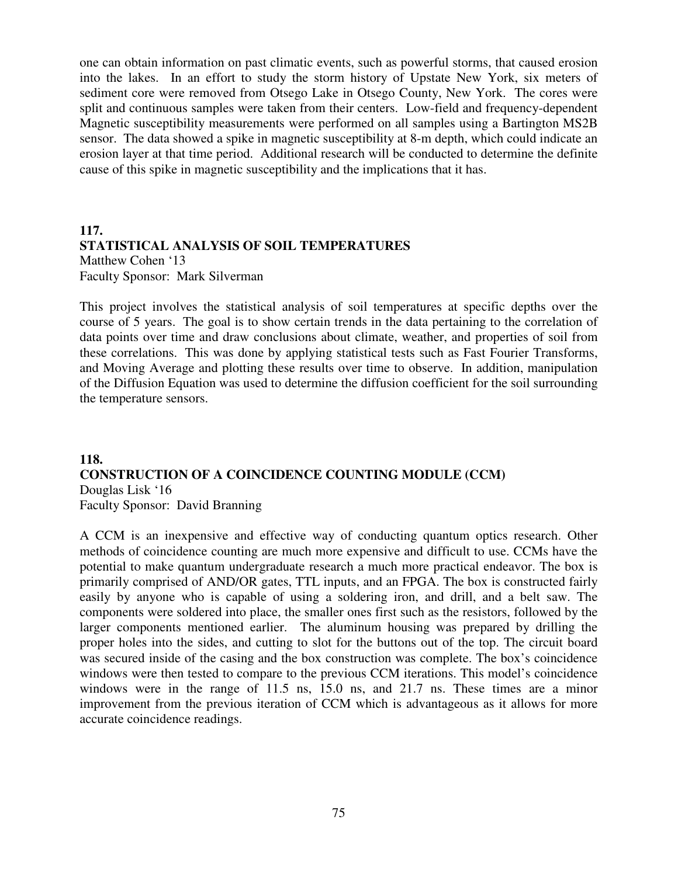one can obtain information on past climatic events, such as powerful storms, that caused erosion into the lakes. In an effort to study the storm history of Upstate New York, six meters of sediment core were removed from Otsego Lake in Otsego County, New York. The cores were split and continuous samples were taken from their centers. Low-field and frequency-dependent Magnetic susceptibility measurements were performed on all samples using a Bartington MS2B sensor. The data showed a spike in magnetic susceptibility at 8-m depth, which could indicate an erosion layer at that time period. Additional research will be conducted to determine the definite cause of this spike in magnetic susceptibility and the implications that it has.

## **117. STATISTICAL ANALYSIS OF SOIL TEMPERATURES** Matthew Cohen '13 Faculty Sponsor: Mark Silverman

This project involves the statistical analysis of soil temperatures at specific depths over the course of 5 years. The goal is to show certain trends in the data pertaining to the correlation of data points over time and draw conclusions about climate, weather, and properties of soil from these correlations. This was done by applying statistical tests such as Fast Fourier Transforms, and Moving Average and plotting these results over time to observe. In addition, manipulation of the Diffusion Equation was used to determine the diffusion coefficient for the soil surrounding the temperature sensors.

### **118. CONSTRUCTION OF A COINCIDENCE COUNTING MODULE (CCM)**  Douglas Lisk '16 Faculty Sponsor: David Branning

A CCM is an inexpensive and effective way of conducting quantum optics research. Other methods of coincidence counting are much more expensive and difficult to use. CCMs have the potential to make quantum undergraduate research a much more practical endeavor. The box is primarily comprised of AND/OR gates, TTL inputs, and an FPGA. The box is constructed fairly easily by anyone who is capable of using a soldering iron, and drill, and a belt saw. The components were soldered into place, the smaller ones first such as the resistors, followed by the larger components mentioned earlier. The aluminum housing was prepared by drilling the proper holes into the sides, and cutting to slot for the buttons out of the top. The circuit board was secured inside of the casing and the box construction was complete. The box's coincidence windows were then tested to compare to the previous CCM iterations. This model's coincidence windows were in the range of 11.5 ns, 15.0 ns, and 21.7 ns. These times are a minor improvement from the previous iteration of CCM which is advantageous as it allows for more accurate coincidence readings.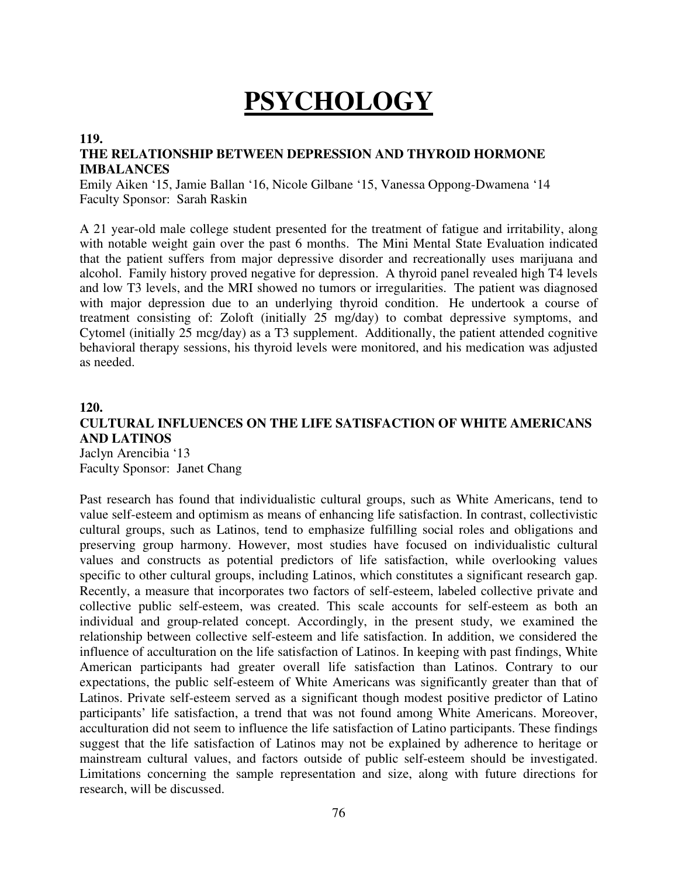# **PSYCHOLOGY**

#### **119.**

### **THE RELATIONSHIP BETWEEN DEPRESSION AND THYROID HORMONE IMBALANCES**

Emily Aiken '15, Jamie Ballan '16, Nicole Gilbane '15, Vanessa Oppong-Dwamena '14 Faculty Sponsor: Sarah Raskin

A 21 year-old male college student presented for the treatment of fatigue and irritability, along with notable weight gain over the past 6 months. The Mini Mental State Evaluation indicated that the patient suffers from major depressive disorder and recreationally uses marijuana and alcohol. Family history proved negative for depression. A thyroid panel revealed high T4 levels and low T3 levels, and the MRI showed no tumors or irregularities. The patient was diagnosed with major depression due to an underlying thyroid condition. He undertook a course of treatment consisting of: Zoloft (initially 25 mg/day) to combat depressive symptoms, and Cytomel (initially 25 mcg/day) as a T3 supplement. Additionally, the patient attended cognitive behavioral therapy sessions, his thyroid levels were monitored, and his medication was adjusted as needed.

#### **120.**

#### **CULTURAL INFLUENCES ON THE LIFE SATISFACTION OF WHITE AMERICANS AND LATINOS**  Jaclyn Arencibia '13

Faculty Sponsor: Janet Chang

Past research has found that individualistic cultural groups, such as White Americans, tend to value self-esteem and optimism as means of enhancing life satisfaction. In contrast, collectivistic cultural groups, such as Latinos, tend to emphasize fulfilling social roles and obligations and preserving group harmony. However, most studies have focused on individualistic cultural values and constructs as potential predictors of life satisfaction, while overlooking values specific to other cultural groups, including Latinos, which constitutes a significant research gap. Recently, a measure that incorporates two factors of self-esteem, labeled collective private and collective public self-esteem, was created. This scale accounts for self-esteem as both an individual and group-related concept. Accordingly, in the present study, we examined the relationship between collective self-esteem and life satisfaction. In addition, we considered the influence of acculturation on the life satisfaction of Latinos. In keeping with past findings, White American participants had greater overall life satisfaction than Latinos. Contrary to our expectations, the public self-esteem of White Americans was significantly greater than that of Latinos. Private self-esteem served as a significant though modest positive predictor of Latino participants' life satisfaction, a trend that was not found among White Americans. Moreover, acculturation did not seem to influence the life satisfaction of Latino participants. These findings suggest that the life satisfaction of Latinos may not be explained by adherence to heritage or mainstream cultural values, and factors outside of public self-esteem should be investigated. Limitations concerning the sample representation and size, along with future directions for research, will be discussed.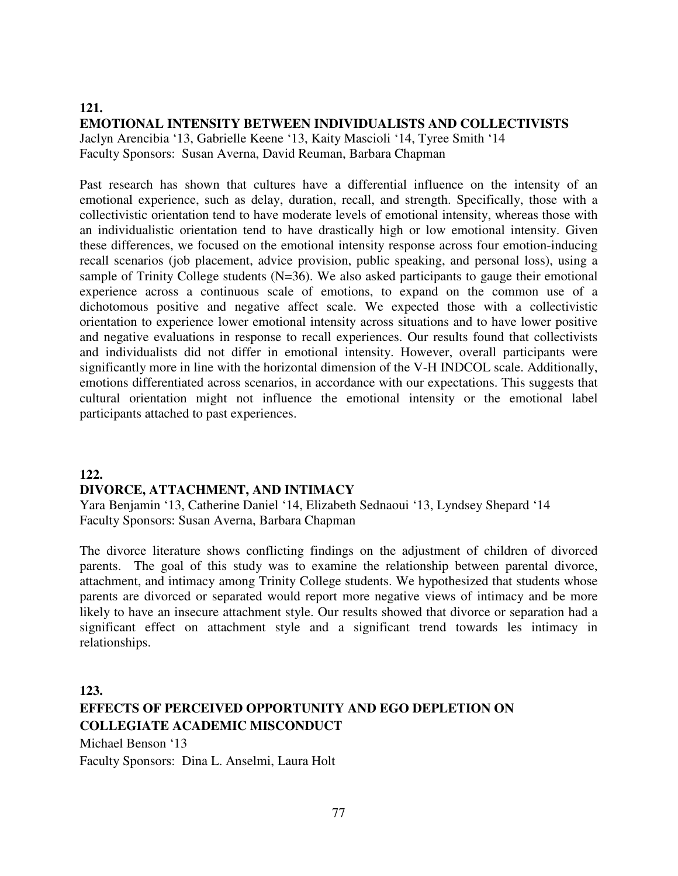# **121. EMOTIONAL INTENSITY BETWEEN INDIVIDUALISTS AND COLLECTIVISTS**

Jaclyn Arencibia '13, Gabrielle Keene '13, Kaity Mascioli '14, Tyree Smith '14 Faculty Sponsors: Susan Averna, David Reuman, Barbara Chapman

Past research has shown that cultures have a differential influence on the intensity of an emotional experience, such as delay, duration, recall, and strength. Specifically, those with a collectivistic orientation tend to have moderate levels of emotional intensity, whereas those with an individualistic orientation tend to have drastically high or low emotional intensity. Given these differences, we focused on the emotional intensity response across four emotion-inducing recall scenarios (job placement, advice provision, public speaking, and personal loss), using a sample of Trinity College students  $(N=36)$ . We also asked participants to gauge their emotional experience across a continuous scale of emotions, to expand on the common use of a dichotomous positive and negative affect scale. We expected those with a collectivistic orientation to experience lower emotional intensity across situations and to have lower positive and negative evaluations in response to recall experiences. Our results found that collectivists and individualists did not differ in emotional intensity. However, overall participants were significantly more in line with the horizontal dimension of the V-H INDCOL scale. Additionally, emotions differentiated across scenarios, in accordance with our expectations. This suggests that cultural orientation might not influence the emotional intensity or the emotional label participants attached to past experiences.

# **122.**

## **DIVORCE, ATTACHMENT, AND INTIMACY**

Yara Benjamin '13, Catherine Daniel '14, Elizabeth Sednaoui '13, Lyndsey Shepard '14 Faculty Sponsors: Susan Averna, Barbara Chapman

The divorce literature shows conflicting findings on the adjustment of children of divorced parents. The goal of this study was to examine the relationship between parental divorce, attachment, and intimacy among Trinity College students. We hypothesized that students whose parents are divorced or separated would report more negative views of intimacy and be more likely to have an insecure attachment style. Our results showed that divorce or separation had a significant effect on attachment style and a significant trend towards les intimacy in relationships.

**123. EFFECTS OF PERCEIVED OPPORTUNITY AND EGO DEPLETION ON COLLEGIATE ACADEMIC MISCONDUCT**  Michael Benson '13

Faculty Sponsors: Dina L. Anselmi, Laura Holt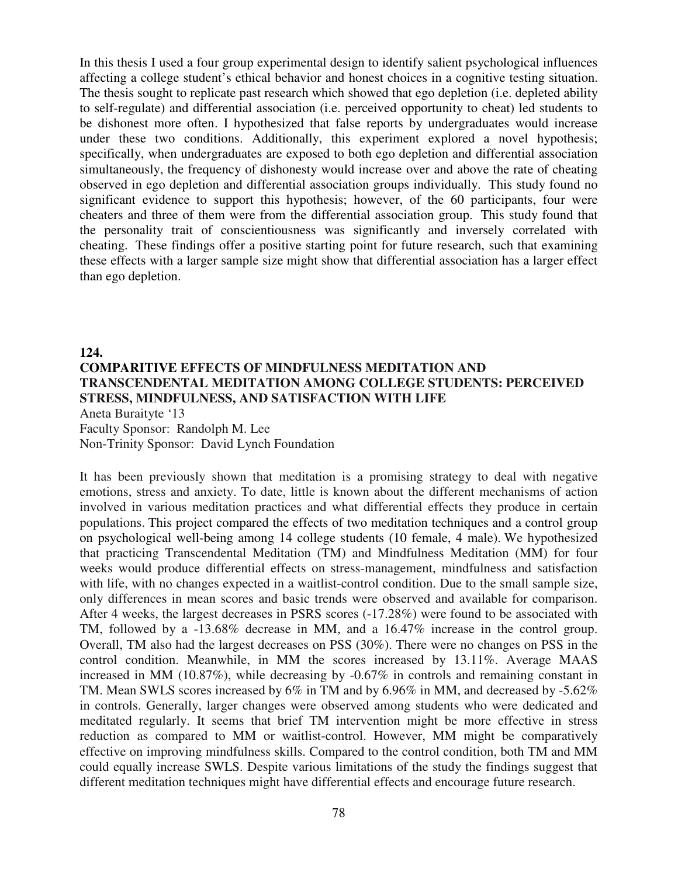In this thesis I used a four group experimental design to identify salient psychological influences affecting a college student's ethical behavior and honest choices in a cognitive testing situation. The thesis sought to replicate past research which showed that ego depletion (i.e. depleted ability to self-regulate) and differential association (i.e. perceived opportunity to cheat) led students to be dishonest more often. I hypothesized that false reports by undergraduates would increase under these two conditions. Additionally, this experiment explored a novel hypothesis; specifically, when undergraduates are exposed to both ego depletion and differential association simultaneously, the frequency of dishonesty would increase over and above the rate of cheating observed in ego depletion and differential association groups individually. This study found no significant evidence to support this hypothesis; however, of the 60 participants, four were cheaters and three of them were from the differential association group. This study found that the personality trait of conscientiousness was significantly and inversely correlated with cheating. These findings offer a positive starting point for future research, such that examining these effects with a larger sample size might show that differential association has a larger effect than ego depletion.

## **124. COMPARITIVE EFFECTS OF MINDFULNESS MEDITATION AND TRANSCENDENTAL MEDITATION AMONG COLLEGE STUDENTS: PERCEIVED STRESS, MINDFULNESS, AND SATISFACTION WITH LIFE** Aneta Buraityte '13 Faculty Sponsor: Randolph M. Lee

Non-Trinity Sponsor: David Lynch Foundation

It has been previously shown that meditation is a promising strategy to deal with negative emotions, stress and anxiety. To date, little is known about the different mechanisms of action involved in various meditation practices and what differential effects they produce in certain populations. This project compared the effects of two meditation techniques and a control group on psychological well-being among 14 college students (10 female, 4 male). We hypothesized that practicing Transcendental Meditation (TM) and Mindfulness Meditation (MM) for four weeks would produce differential effects on stress-management, mindfulness and satisfaction with life, with no changes expected in a waitlist-control condition. Due to the small sample size, only differences in mean scores and basic trends were observed and available for comparison. After 4 weeks, the largest decreases in PSRS scores (-17.28%) were found to be associated with TM, followed by a -13.68% decrease in MM, and a 16.47% increase in the control group. Overall, TM also had the largest decreases on PSS (30%). There were no changes on PSS in the control condition. Meanwhile, in MM the scores increased by 13.11%. Average MAAS increased in MM (10.87%), while decreasing by -0.67% in controls and remaining constant in TM. Mean SWLS scores increased by 6% in TM and by 6.96% in MM, and decreased by -5.62% in controls. Generally, larger changes were observed among students who were dedicated and meditated regularly. It seems that brief TM intervention might be more effective in stress reduction as compared to MM or waitlist-control. However, MM might be comparatively effective on improving mindfulness skills. Compared to the control condition, both TM and MM could equally increase SWLS. Despite various limitations of the study the findings suggest that different meditation techniques might have differential effects and encourage future research.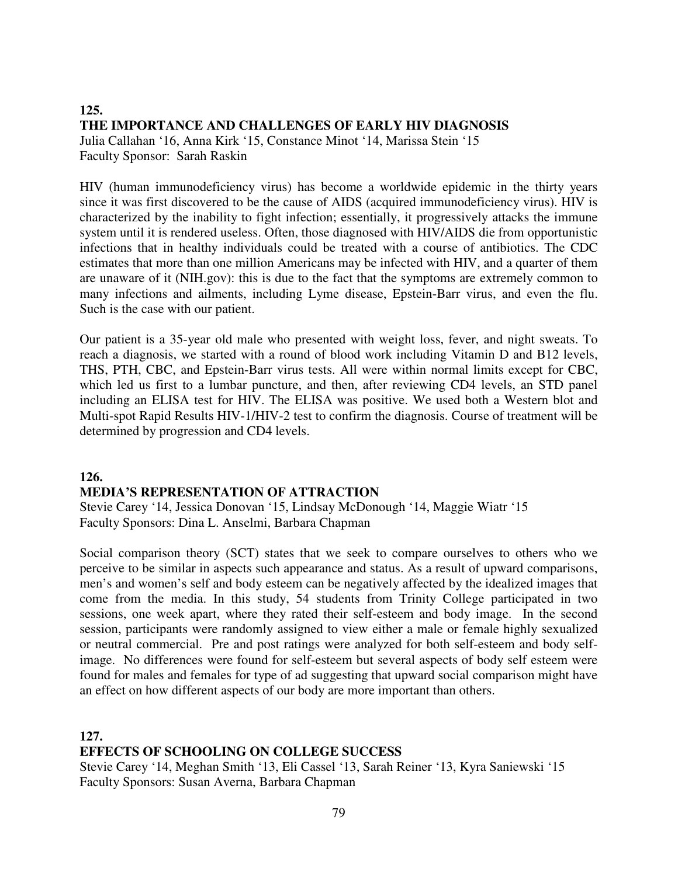#### **125. THE IMPORTANCE AND CHALLENGES OF EARLY HIV DIAGNOSIS**  Julia Callahan '16, Anna Kirk '15, Constance Minot '14, Marissa Stein '15 Faculty Sponsor: Sarah Raskin

HIV (human immunodeficiency virus) has become a worldwide epidemic in the thirty years since it was first discovered to be the cause of AIDS (acquired immunodeficiency virus). HIV is characterized by the inability to fight infection; essentially, it progressively attacks the immune system until it is rendered useless. Often, those diagnosed with HIV/AIDS die from opportunistic infections that in healthy individuals could be treated with a course of antibiotics. The CDC estimates that more than one million Americans may be infected with HIV, and a quarter of them are unaware of it (NIH.gov): this is due to the fact that the symptoms are extremely common to many infections and ailments, including Lyme disease, Epstein-Barr virus, and even the flu. Such is the case with our patient.

Our patient is a 35-year old male who presented with weight loss, fever, and night sweats. To reach a diagnosis, we started with a round of blood work including Vitamin D and B12 levels, THS, PTH, CBC, and Epstein-Barr virus tests. All were within normal limits except for CBC, which led us first to a lumbar puncture, and then, after reviewing CD4 levels, an STD panel including an ELISA test for HIV. The ELISA was positive. We used both a Western blot and Multi-spot Rapid Results HIV-1/HIV-2 test to confirm the diagnosis. Course of treatment will be determined by progression and CD4 levels.

#### **126.**

#### **MEDIA'S REPRESENTATION OF ATTRACTION**

Stevie Carey '14, Jessica Donovan '15, Lindsay McDonough '14, Maggie Wiatr '15 Faculty Sponsors: Dina L. Anselmi, Barbara Chapman

Social comparison theory (SCT) states that we seek to compare ourselves to others who we perceive to be similar in aspects such appearance and status. As a result of upward comparisons, men's and women's self and body esteem can be negatively affected by the idealized images that come from the media. In this study, 54 students from Trinity College participated in two sessions, one week apart, where they rated their self-esteem and body image. In the second session, participants were randomly assigned to view either a male or female highly sexualized or neutral commercial. Pre and post ratings were analyzed for both self-esteem and body selfimage. No differences were found for self-esteem but several aspects of body self esteem were found for males and females for type of ad suggesting that upward social comparison might have an effect on how different aspects of our body are more important than others.

**127.** 

## **EFFECTS OF SCHOOLING ON COLLEGE SUCCESS**

Stevie Carey '14, Meghan Smith '13, Eli Cassel '13, Sarah Reiner '13, Kyra Saniewski '15 Faculty Sponsors: Susan Averna, Barbara Chapman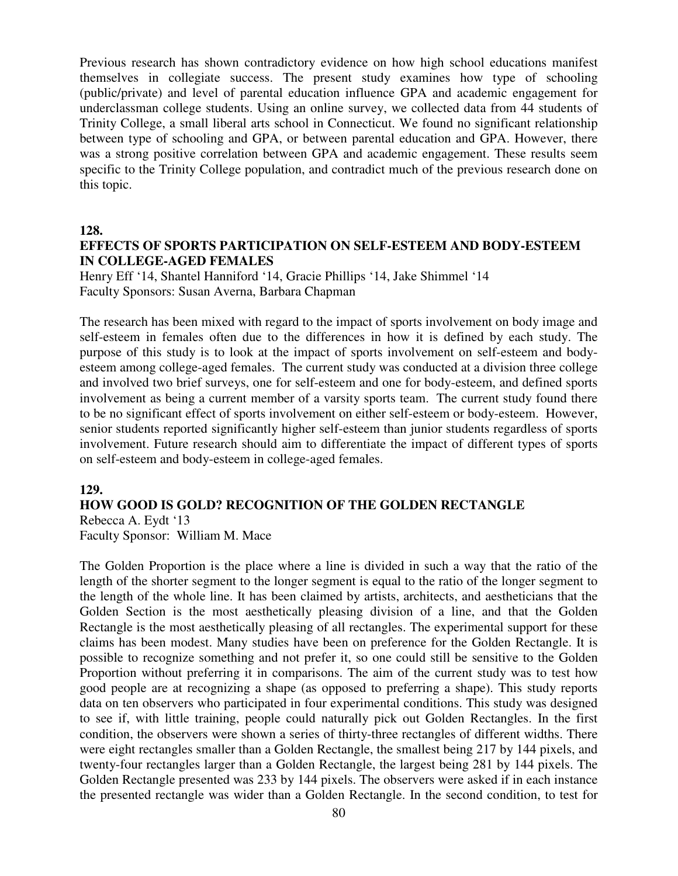Previous research has shown contradictory evidence on how high school educations manifest themselves in collegiate success. The present study examines how type of schooling (public/private) and level of parental education influence GPA and academic engagement for underclassman college students. Using an online survey, we collected data from 44 students of Trinity College, a small liberal arts school in Connecticut. We found no significant relationship between type of schooling and GPA, or between parental education and GPA. However, there was a strong positive correlation between GPA and academic engagement. These results seem specific to the Trinity College population, and contradict much of the previous research done on this topic.

#### **128.**

### **EFFECTS OF SPORTS PARTICIPATION ON SELF-ESTEEM AND BODY-ESTEEM IN COLLEGE-AGED FEMALES**

Henry Eff '14, Shantel Hanniford '14, Gracie Phillips '14, Jake Shimmel '14 Faculty Sponsors: Susan Averna, Barbara Chapman

The research has been mixed with regard to the impact of sports involvement on body image and self-esteem in females often due to the differences in how it is defined by each study. The purpose of this study is to look at the impact of sports involvement on self-esteem and bodyesteem among college-aged females. The current study was conducted at a division three college and involved two brief surveys, one for self-esteem and one for body-esteem, and defined sports involvement as being a current member of a varsity sports team. The current study found there to be no significant effect of sports involvement on either self-esteem or body-esteem. However, senior students reported significantly higher self-esteem than junior students regardless of sports involvement. Future research should aim to differentiate the impact of different types of sports on self-esteem and body-esteem in college-aged females.

#### **129.**

#### **HOW GOOD IS GOLD? RECOGNITION OF THE GOLDEN RECTANGLE**

Rebecca A. Eydt '13 Faculty Sponsor: William M. Mace

The Golden Proportion is the place where a line is divided in such a way that the ratio of the length of the shorter segment to the longer segment is equal to the ratio of the longer segment to the length of the whole line. It has been claimed by artists, architects, and aestheticians that the Golden Section is the most aesthetically pleasing division of a line, and that the Golden Rectangle is the most aesthetically pleasing of all rectangles. The experimental support for these claims has been modest. Many studies have been on preference for the Golden Rectangle. It is possible to recognize something and not prefer it, so one could still be sensitive to the Golden Proportion without preferring it in comparisons. The aim of the current study was to test how good people are at recognizing a shape (as opposed to preferring a shape). This study reports data on ten observers who participated in four experimental conditions. This study was designed to see if, with little training, people could naturally pick out Golden Rectangles. In the first condition, the observers were shown a series of thirty-three rectangles of different widths. There were eight rectangles smaller than a Golden Rectangle, the smallest being 217 by 144 pixels, and twenty-four rectangles larger than a Golden Rectangle, the largest being 281 by 144 pixels. The Golden Rectangle presented was 233 by 144 pixels. The observers were asked if in each instance the presented rectangle was wider than a Golden Rectangle. In the second condition, to test for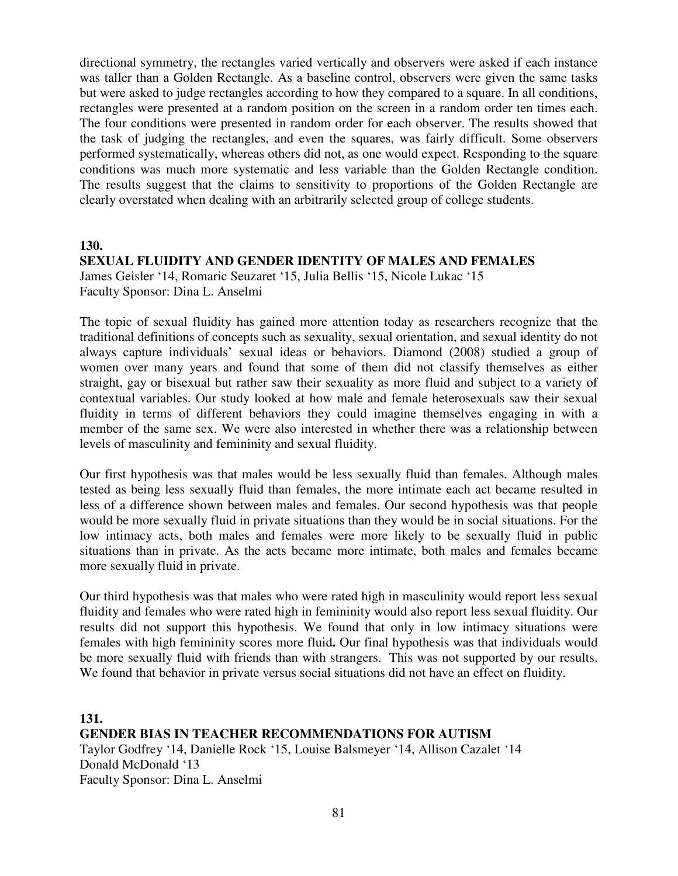directional symmetry, the rectangles varied vertically and observers were asked if each instance was taller than a Golden Rectangle. As a baseline control, observers were given the same tasks but were asked to judge rectangles according to how they compared to a square. In all conditions, rectangles were presented at a random position on the screen in a random order ten times each. The four conditions were presented in random order for each observer. The results showed that the task of judging the rectangles, and even the squares, was fairly difficult. Some observers performed systematically, whereas others did not, as one would expect. Responding to the square conditions was much more systematic and less variable than the Golden Rectangle condition. The results suggest that the claims to sensitivity to proportions of the Golden Rectangle are clearly overstated when dealing with an arbitrarily selected group of college students.

#### **130.**

# **SEXUAL FLUIDITY AND GENDER IDENTITY OF MALES AND FEMALES**

James Geisler '14, Romaric Seuzaret '15, Julia Bellis '15, Nicole Lukac '15 Faculty Sponsor: Dina L. Anselmi

The topic of sexual fluidity has gained more attention today as researchers recognize that the traditional definitions of concepts such as sexuality, sexual orientation, and sexual identity do not always capture individuals' sexual ideas or behaviors. Diamond (2008) studied a group of women over many years and found that some of them did not classify themselves as either straight, gay or bisexual but rather saw their sexuality as more fluid and subject to a variety of contextual variables. Our study looked at how male and female heterosexuals saw their sexual fluidity in terms of different behaviors they could imagine themselves engaging in with a member of the same sex. We were also interested in whether there was a relationship between levels of masculinity and femininity and sexual fluidity.

Our first hypothesis was that males would be less sexually fluid than females. Although males tested as being less sexually fluid than females, the more intimate each act became resulted in less of a difference shown between males and females. Our second hypothesis was that people would be more sexually fluid in private situations than they would be in social situations. For the low intimacy acts, both males and females were more likely to be sexually fluid in public situations than in private. As the acts became more intimate, both males and females became more sexually fluid in private.

Our third hypothesis was that males who were rated high in masculinity would report less sexual fluidity and females who were rated high in femininity would also report less sexual fluidity. Our results did not support this hypothesis. We found that only in low intimacy situations were females with high femininity scores more fluid**.** Our final hypothesis was that individuals would be more sexually fluid with friends than with strangers. This was not supported by our results. We found that behavior in private versus social situations did not have an effect on fluidity.

**131. GENDER BIAS IN TEACHER RECOMMENDATIONS FOR AUTISM**  Taylor Godfrey '14, Danielle Rock '15, Louise Balsmeyer '14, Allison Cazalet '14 Donald McDonald '13 Faculty Sponsor: Dina L. Anselmi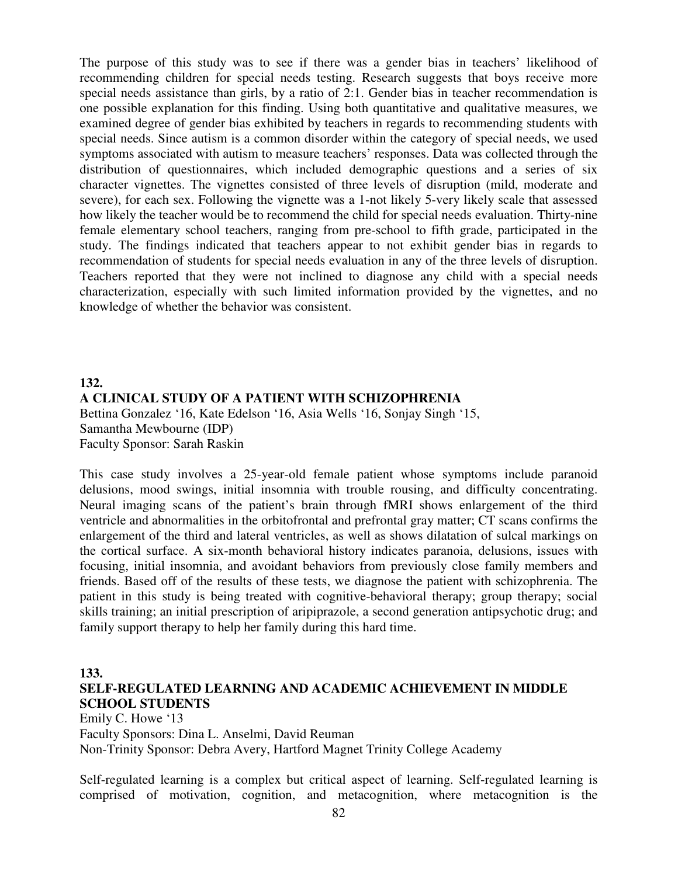The purpose of this study was to see if there was a gender bias in teachers' likelihood of recommending children for special needs testing. Research suggests that boys receive more special needs assistance than girls, by a ratio of 2:1. Gender bias in teacher recommendation is one possible explanation for this finding. Using both quantitative and qualitative measures, we examined degree of gender bias exhibited by teachers in regards to recommending students with special needs. Since autism is a common disorder within the category of special needs, we used symptoms associated with autism to measure teachers' responses. Data was collected through the distribution of questionnaires, which included demographic questions and a series of six character vignettes. The vignettes consisted of three levels of disruption (mild, moderate and severe), for each sex. Following the vignette was a 1-not likely 5-very likely scale that assessed how likely the teacher would be to recommend the child for special needs evaluation. Thirty-nine female elementary school teachers, ranging from pre-school to fifth grade, participated in the study. The findings indicated that teachers appear to not exhibit gender bias in regards to recommendation of students for special needs evaluation in any of the three levels of disruption. Teachers reported that they were not inclined to diagnose any child with a special needs characterization, especially with such limited information provided by the vignettes, and no knowledge of whether the behavior was consistent.

## **132. A CLINICAL STUDY OF A PATIENT WITH SCHIZOPHRENIA** Bettina Gonzalez '16, Kate Edelson '16, Asia Wells '16, Sonjay Singh '15, Samantha Mewbourne (IDP) Faculty Sponsor: Sarah Raskin

This case study involves a 25-year-old female patient whose symptoms include paranoid delusions, mood swings, initial insomnia with trouble rousing, and difficulty concentrating. Neural imaging scans of the patient's brain through fMRI shows enlargement of the third ventricle and abnormalities in the orbitofrontal and prefrontal gray matter; CT scans confirms the enlargement of the third and lateral ventricles, as well as shows dilatation of sulcal markings on the cortical surface. A six-month behavioral history indicates paranoia, delusions, issues with focusing, initial insomnia, and avoidant behaviors from previously close family members and friends. Based off of the results of these tests, we diagnose the patient with schizophrenia. The patient in this study is being treated with cognitive-behavioral therapy; group therapy; social skills training; an initial prescription of aripiprazole, a second generation antipsychotic drug; and family support therapy to help her family during this hard time.

#### **133.**

## **SELF-REGULATED LEARNING AND ACADEMIC ACHIEVEMENT IN MIDDLE SCHOOL STUDENTS**

Emily C. Howe '13 Faculty Sponsors: Dina L. Anselmi, David Reuman Non-Trinity Sponsor: Debra Avery, Hartford Magnet Trinity College Academy

Self-regulated learning is a complex but critical aspect of learning. Self-regulated learning is comprised of motivation, cognition, and metacognition, where metacognition is the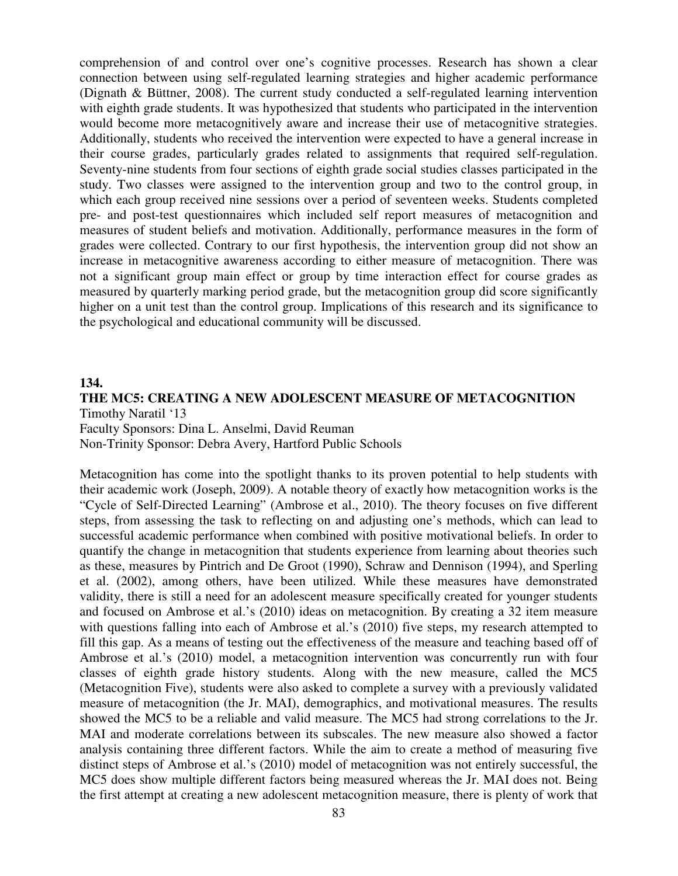comprehension of and control over one's cognitive processes. Research has shown a clear connection between using self-regulated learning strategies and higher academic performance (Dignath & Büttner, 2008). The current study conducted a self-regulated learning intervention with eighth grade students. It was hypothesized that students who participated in the intervention would become more metacognitively aware and increase their use of metacognitive strategies. Additionally, students who received the intervention were expected to have a general increase in their course grades, particularly grades related to assignments that required self-regulation. Seventy-nine students from four sections of eighth grade social studies classes participated in the study. Two classes were assigned to the intervention group and two to the control group, in which each group received nine sessions over a period of seventeen weeks. Students completed pre- and post-test questionnaires which included self report measures of metacognition and measures of student beliefs and motivation. Additionally, performance measures in the form of grades were collected. Contrary to our first hypothesis, the intervention group did not show an increase in metacognitive awareness according to either measure of metacognition. There was not a significant group main effect or group by time interaction effect for course grades as measured by quarterly marking period grade, but the metacognition group did score significantly higher on a unit test than the control group. Implications of this research and its significance to the psychological and educational community will be discussed.

#### **134.**

**THE MC5: CREATING A NEW ADOLESCENT MEASURE OF METACOGNITION**  Timothy Naratil '13 Faculty Sponsors: Dina L. Anselmi, David Reuman Non-Trinity Sponsor: Debra Avery, Hartford Public Schools

Metacognition has come into the spotlight thanks to its proven potential to help students with their academic work (Joseph, 2009). A notable theory of exactly how metacognition works is the "Cycle of Self-Directed Learning" (Ambrose et al., 2010). The theory focuses on five different steps, from assessing the task to reflecting on and adjusting one's methods, which can lead to successful academic performance when combined with positive motivational beliefs. In order to quantify the change in metacognition that students experience from learning about theories such as these, measures by Pintrich and De Groot (1990), Schraw and Dennison (1994), and Sperling et al. (2002), among others, have been utilized. While these measures have demonstrated validity, there is still a need for an adolescent measure specifically created for younger students and focused on Ambrose et al.'s (2010) ideas on metacognition. By creating a 32 item measure with questions falling into each of Ambrose et al.'s (2010) five steps, my research attempted to fill this gap. As a means of testing out the effectiveness of the measure and teaching based off of Ambrose et al.'s (2010) model, a metacognition intervention was concurrently run with four classes of eighth grade history students. Along with the new measure, called the MC5 (Metacognition Five), students were also asked to complete a survey with a previously validated measure of metacognition (the Jr. MAI), demographics, and motivational measures. The results showed the MC5 to be a reliable and valid measure. The MC5 had strong correlations to the Jr. MAI and moderate correlations between its subscales. The new measure also showed a factor analysis containing three different factors. While the aim to create a method of measuring five distinct steps of Ambrose et al.'s (2010) model of metacognition was not entirely successful, the MC5 does show multiple different factors being measured whereas the Jr. MAI does not. Being the first attempt at creating a new adolescent metacognition measure, there is plenty of work that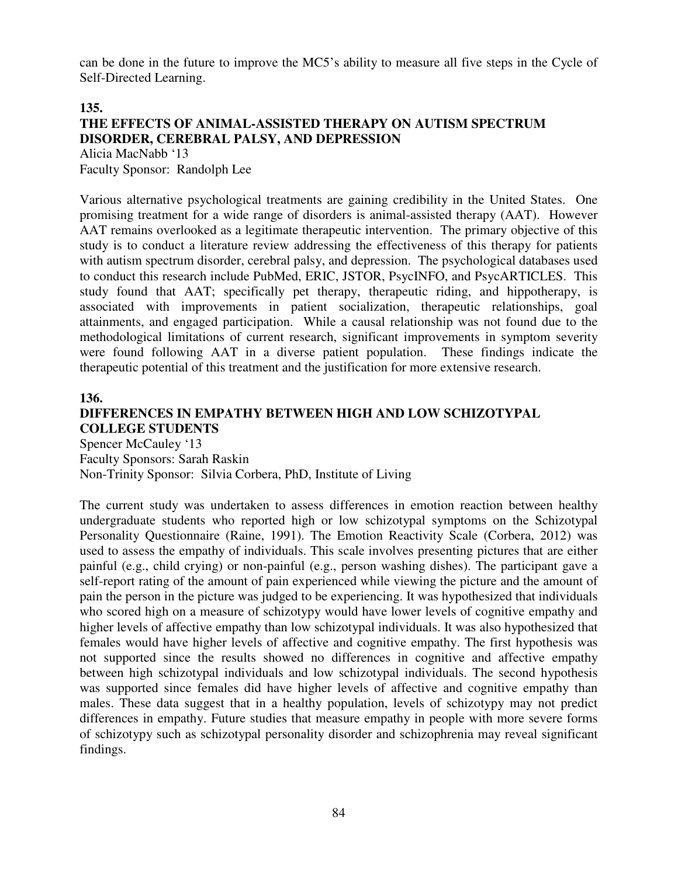can be done in the future to improve the MC5's ability to measure all five steps in the Cycle of Self-Directed Learning.

#### **135.**

#### **THE EFFECTS OF ANIMAL-ASSISTED THERAPY ON AUTISM SPECTRUM DISORDER, CEREBRAL PALSY, AND DEPRESSION**  Alicia MacNabb '13

Faculty Sponsor: Randolph Lee

Various alternative psychological treatments are gaining credibility in the United States. One promising treatment for a wide range of disorders is animal-assisted therapy (AAT). However AAT remains overlooked as a legitimate therapeutic intervention. The primary objective of this study is to conduct a literature review addressing the effectiveness of this therapy for patients with autism spectrum disorder, cerebral palsy, and depression. The psychological databases used to conduct this research include PubMed, ERIC, JSTOR, PsycINFO, and PsycARTICLES. This study found that AAT; specifically pet therapy, therapeutic riding, and hippotherapy, is associated with improvements in patient socialization, therapeutic relationships, goal attainments, and engaged participation. While a causal relationship was not found due to the methodological limitations of current research, significant improvements in symptom severity were found following AAT in a diverse patient population. These findings indicate the therapeutic potential of this treatment and the justification for more extensive research.

#### **136.**

# **DIFFERENCES IN EMPATHY BETWEEN HIGH AND LOW SCHIZOTYPAL COLLEGE STUDENTS**

Spencer McCauley '13 Faculty Sponsors: Sarah Raskin Non-Trinity Sponsor: Silvia Corbera, PhD, Institute of Living

The current study was undertaken to assess differences in emotion reaction between healthy undergraduate students who reported high or low schizotypal symptoms on the Schizotypal Personality Questionnaire (Raine, 1991). The Emotion Reactivity Scale (Corbera, 2012) was used to assess the empathy of individuals. This scale involves presenting pictures that are either painful (e.g., child crying) or non-painful (e.g., person washing dishes). The participant gave a self-report rating of the amount of pain experienced while viewing the picture and the amount of pain the person in the picture was judged to be experiencing. It was hypothesized that individuals who scored high on a measure of schizotypy would have lower levels of cognitive empathy and higher levels of affective empathy than low schizotypal individuals. It was also hypothesized that females would have higher levels of affective and cognitive empathy. The first hypothesis was not supported since the results showed no differences in cognitive and affective empathy between high schizotypal individuals and low schizotypal individuals. The second hypothesis was supported since females did have higher levels of affective and cognitive empathy than males. These data suggest that in a healthy population, levels of schizotypy may not predict differences in empathy. Future studies that measure empathy in people with more severe forms of schizotypy such as schizotypal personality disorder and schizophrenia may reveal significant findings.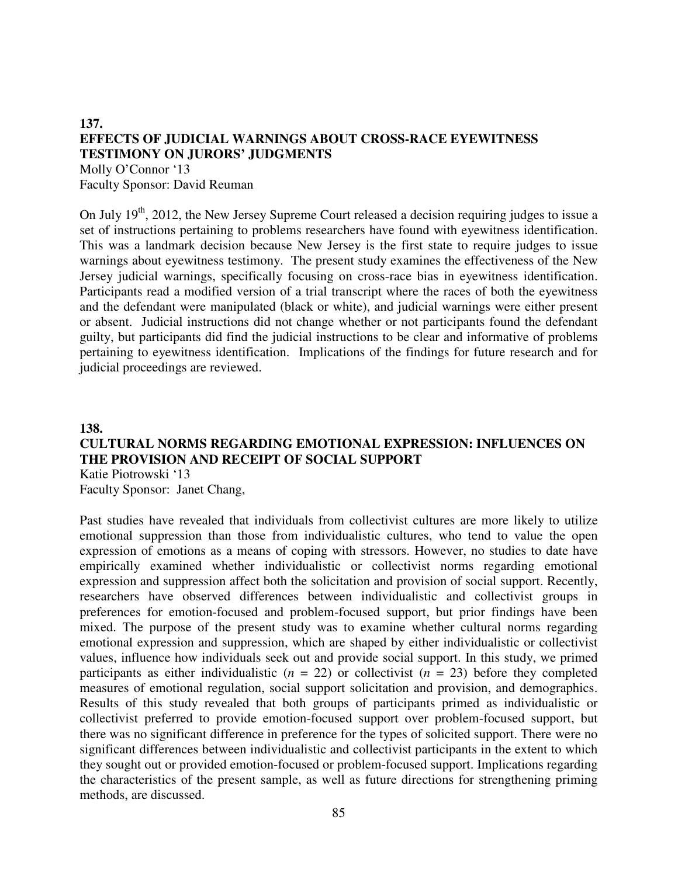#### **137. EFFECTS OF JUDICIAL WARNINGS ABOUT CROSS-RACE EYEWITNESS TESTIMONY ON JURORS' JUDGMENTS**  Molly O'Connor '13

Faculty Sponsor: David Reuman

On July  $19<sup>th</sup>$ , 2012, the New Jersey Supreme Court released a decision requiring judges to issue a set of instructions pertaining to problems researchers have found with eyewitness identification. This was a landmark decision because New Jersey is the first state to require judges to issue warnings about eyewitness testimony. The present study examines the effectiveness of the New Jersey judicial warnings, specifically focusing on cross-race bias in eyewitness identification. Participants read a modified version of a trial transcript where the races of both the eyewitness and the defendant were manipulated (black or white), and judicial warnings were either present or absent. Judicial instructions did not change whether or not participants found the defendant guilty, but participants did find the judicial instructions to be clear and informative of problems pertaining to eyewitness identification. Implications of the findings for future research and for judicial proceedings are reviewed.

### **138. CULTURAL NORMS REGARDING EMOTIONAL EXPRESSION: INFLUENCES ON THE PROVISION AND RECEIPT OF SOCIAL SUPPORT** Katie Piotrowski '13

Faculty Sponsor: Janet Chang,

Past studies have revealed that individuals from collectivist cultures are more likely to utilize emotional suppression than those from individualistic cultures, who tend to value the open expression of emotions as a means of coping with stressors. However, no studies to date have empirically examined whether individualistic or collectivist norms regarding emotional expression and suppression affect both the solicitation and provision of social support. Recently, researchers have observed differences between individualistic and collectivist groups in preferences for emotion-focused and problem-focused support, but prior findings have been mixed. The purpose of the present study was to examine whether cultural norms regarding emotional expression and suppression, which are shaped by either individualistic or collectivist values, influence how individuals seek out and provide social support. In this study, we primed participants as either individualistic  $(n = 22)$  or collectivist  $(n = 23)$  before they completed measures of emotional regulation, social support solicitation and provision, and demographics. Results of this study revealed that both groups of participants primed as individualistic or collectivist preferred to provide emotion-focused support over problem-focused support, but there was no significant difference in preference for the types of solicited support. There were no significant differences between individualistic and collectivist participants in the extent to which they sought out or provided emotion-focused or problem-focused support. Implications regarding the characteristics of the present sample, as well as future directions for strengthening priming methods, are discussed.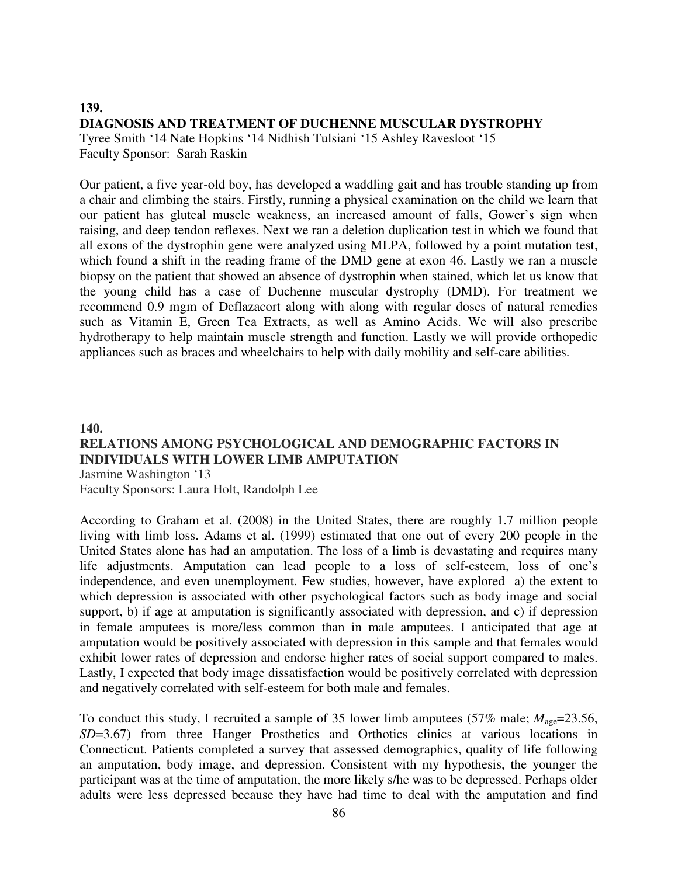#### **139. DIAGNOSIS AND TREATMENT OF DUCHENNE MUSCULAR DYSTROPHY**  Tyree Smith '14 Nate Hopkins '14 Nidhish Tulsiani '15 Ashley Ravesloot '15

Faculty Sponsor: Sarah Raskin

Our patient, a five year-old boy, has developed a waddling gait and has trouble standing up from a chair and climbing the stairs. Firstly, running a physical examination on the child we learn that our patient has gluteal muscle weakness, an increased amount of falls, Gower's sign when raising, and deep tendon reflexes. Next we ran a deletion duplication test in which we found that all exons of the dystrophin gene were analyzed using MLPA, followed by a point mutation test, which found a shift in the reading frame of the DMD gene at exon 46. Lastly we ran a muscle biopsy on the patient that showed an absence of dystrophin when stained, which let us know that the young child has a case of Duchenne muscular dystrophy (DMD). For treatment we recommend 0.9 mgm of Deflazacort along with along with regular doses of natural remedies such as Vitamin E, Green Tea Extracts, as well as Amino Acids. We will also prescribe hydrotherapy to help maintain muscle strength and function. Lastly we will provide orthopedic appliances such as braces and wheelchairs to help with daily mobility and self-care abilities.

# **140. RELATIONS AMONG PSYCHOLOGICAL AND DEMOGRAPHIC FACTORS IN INDIVIDUALS WITH LOWER LIMB AMPUTATION**

Jasmine Washington '13

Faculty Sponsors: Laura Holt, Randolph Lee

According to Graham et al. (2008) in the United States, there are roughly 1.7 million people living with limb loss. Adams et al. (1999) estimated that one out of every 200 people in the United States alone has had an amputation. The loss of a limb is devastating and requires many life adjustments. Amputation can lead people to a loss of self-esteem, loss of one's independence, and even unemployment. Few studies, however, have explored a) the extent to which depression is associated with other psychological factors such as body image and social support, b) if age at amputation is significantly associated with depression, and c) if depression in female amputees is more/less common than in male amputees. I anticipated that age at amputation would be positively associated with depression in this sample and that females would exhibit lower rates of depression and endorse higher rates of social support compared to males. Lastly, I expected that body image dissatisfaction would be positively correlated with depression and negatively correlated with self-esteem for both male and females.

To conduct this study, I recruited a sample of 35 lower limb amputees (57% male;  $M_{\text{age}}$ =23.56, *SD*=3.67) from three Hanger Prosthetics and Orthotics clinics at various locations in Connecticut. Patients completed a survey that assessed demographics, quality of life following an amputation, body image, and depression. Consistent with my hypothesis, the younger the participant was at the time of amputation, the more likely s/he was to be depressed. Perhaps older adults were less depressed because they have had time to deal with the amputation and find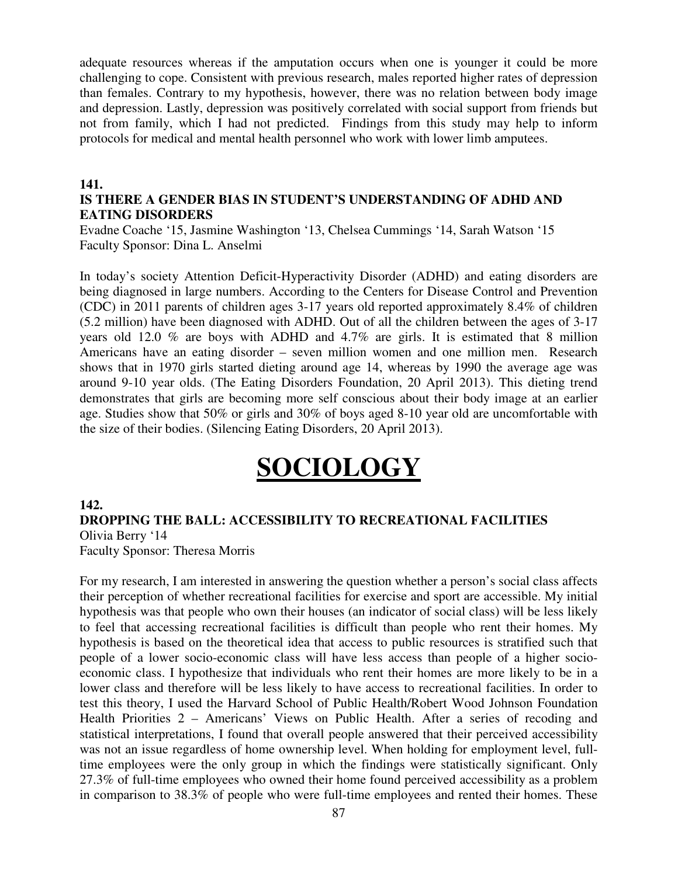adequate resources whereas if the amputation occurs when one is younger it could be more challenging to cope. Consistent with previous research, males reported higher rates of depression than females. Contrary to my hypothesis, however, there was no relation between body image and depression. Lastly, depression was positively correlated with social support from friends but not from family, which I had not predicted. Findings from this study may help to inform protocols for medical and mental health personnel who work with lower limb amputees.

#### **141.**

### **IS THERE A GENDER BIAS IN STUDENT'S UNDERSTANDING OF ADHD AND EATING DISORDERS**

Evadne Coache '15, Jasmine Washington '13, Chelsea Cummings '14, Sarah Watson '15 Faculty Sponsor: Dina L. Anselmi

In today's society Attention Deficit-Hyperactivity Disorder (ADHD) and eating disorders are being diagnosed in large numbers. According to the Centers for Disease Control and Prevention (CDC) in 2011 parents of children ages 3-17 years old reported approximately 8.4% of children (5.2 million) have been diagnosed with ADHD. Out of all the children between the ages of 3-17 years old 12.0 % are boys with ADHD and 4.7% are girls. It is estimated that 8 million Americans have an eating disorder – seven million women and one million men. Research shows that in 1970 girls started dieting around age 14, whereas by 1990 the average age was around 9-10 year olds. (The Eating Disorders Foundation, 20 April 2013). This dieting trend demonstrates that girls are becoming more self conscious about their body image at an earlier age. Studies show that 50% or girls and 30% of boys aged 8-10 year old are uncomfortable with the size of their bodies. (Silencing Eating Disorders, 20 April 2013).

# **SOCIOLOGY**

#### **142.**

#### **DROPPING THE BALL: ACCESSIBILITY TO RECREATIONAL FACILITIES**  Olivia Berry '14

Faculty Sponsor: Theresa Morris

For my research, I am interested in answering the question whether a person's social class affects their perception of whether recreational facilities for exercise and sport are accessible. My initial hypothesis was that people who own their houses (an indicator of social class) will be less likely to feel that accessing recreational facilities is difficult than people who rent their homes. My hypothesis is based on the theoretical idea that access to public resources is stratified such that people of a lower socio-economic class will have less access than people of a higher socioeconomic class. I hypothesize that individuals who rent their homes are more likely to be in a lower class and therefore will be less likely to have access to recreational facilities. In order to test this theory, I used the Harvard School of Public Health/Robert Wood Johnson Foundation Health Priorities 2 – Americans' Views on Public Health. After a series of recoding and statistical interpretations, I found that overall people answered that their perceived accessibility was not an issue regardless of home ownership level. When holding for employment level, fulltime employees were the only group in which the findings were statistically significant. Only 27.3% of full-time employees who owned their home found perceived accessibility as a problem in comparison to 38.3% of people who were full-time employees and rented their homes. These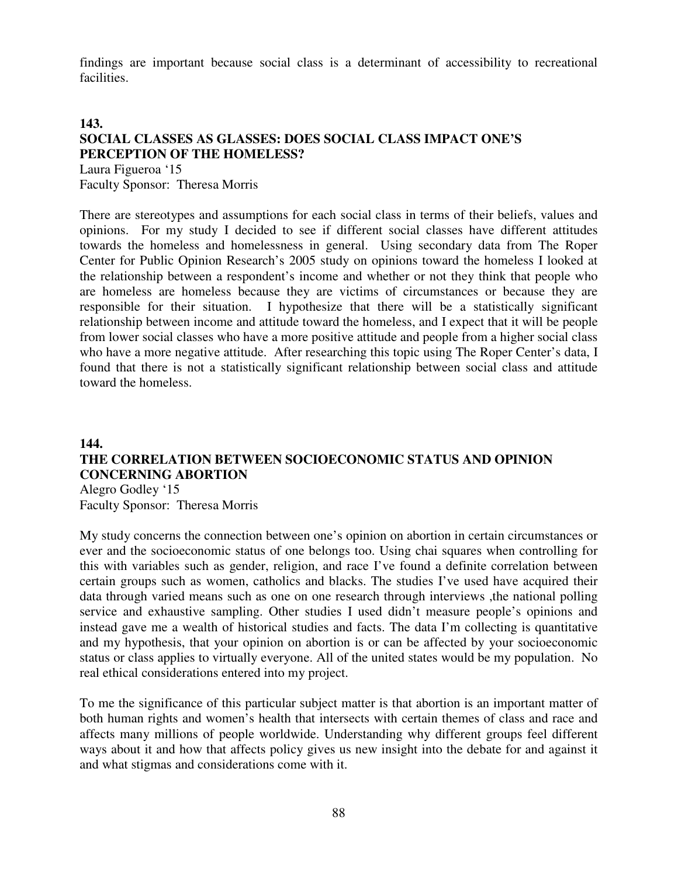findings are important because social class is a determinant of accessibility to recreational facilities.

## **143. SOCIAL CLASSES AS GLASSES: DOES SOCIAL CLASS IMPACT ONE'S PERCEPTION OF THE HOMELESS?**

Laura Figueroa '15 Faculty Sponsor: Theresa Morris

There are stereotypes and assumptions for each social class in terms of their beliefs, values and opinions. For my study I decided to see if different social classes have different attitudes towards the homeless and homelessness in general. Using secondary data from The Roper Center for Public Opinion Research's 2005 study on opinions toward the homeless I looked at the relationship between a respondent's income and whether or not they think that people who are homeless are homeless because they are victims of circumstances or because they are responsible for their situation. I hypothesize that there will be a statistically significant relationship between income and attitude toward the homeless, and I expect that it will be people from lower social classes who have a more positive attitude and people from a higher social class who have a more negative attitude. After researching this topic using The Roper Center's data, I found that there is not a statistically significant relationship between social class and attitude toward the homeless.

## **144. THE CORRELATION BETWEEN SOCIOECONOMIC STATUS AND OPINION CONCERNING ABORTION**

Alegro Godley '15 Faculty Sponsor: Theresa Morris

My study concerns the connection between one's opinion on abortion in certain circumstances or ever and the socioeconomic status of one belongs too. Using chai squares when controlling for this with variables such as gender, religion, and race I've found a definite correlation between certain groups such as women, catholics and blacks. The studies I've used have acquired their data through varied means such as one on one research through interviews ,the national polling service and exhaustive sampling. Other studies I used didn't measure people's opinions and instead gave me a wealth of historical studies and facts. The data I'm collecting is quantitative and my hypothesis, that your opinion on abortion is or can be affected by your socioeconomic status or class applies to virtually everyone. All of the united states would be my population. No real ethical considerations entered into my project.

To me the significance of this particular subject matter is that abortion is an important matter of both human rights and women's health that intersects with certain themes of class and race and affects many millions of people worldwide. Understanding why different groups feel different ways about it and how that affects policy gives us new insight into the debate for and against it and what stigmas and considerations come with it.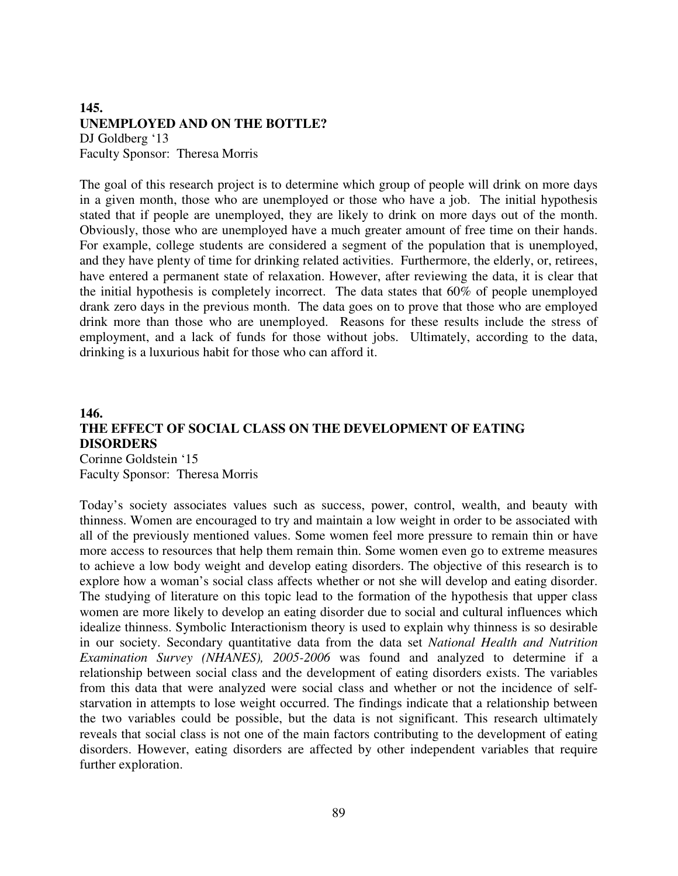#### **145. UNEMPLOYED AND ON THE BOTTLE?**

DJ Goldberg '13 Faculty Sponsor: Theresa Morris

The goal of this research project is to determine which group of people will drink on more days in a given month, those who are unemployed or those who have a job. The initial hypothesis stated that if people are unemployed, they are likely to drink on more days out of the month. Obviously, those who are unemployed have a much greater amount of free time on their hands. For example, college students are considered a segment of the population that is unemployed, and they have plenty of time for drinking related activities. Furthermore, the elderly, or, retirees, have entered a permanent state of relaxation. However, after reviewing the data, it is clear that the initial hypothesis is completely incorrect. The data states that 60% of people unemployed drank zero days in the previous month. The data goes on to prove that those who are employed drink more than those who are unemployed. Reasons for these results include the stress of employment, and a lack of funds for those without jobs. Ultimately, according to the data, drinking is a luxurious habit for those who can afford it.

#### **146. THE EFFECT OF SOCIAL CLASS ON THE DEVELOPMENT OF EATING DISORDERS**  Corinne Goldstein '15

Faculty Sponsor: Theresa Morris

Today's society associates values such as success, power, control, wealth, and beauty with thinness. Women are encouraged to try and maintain a low weight in order to be associated with all of the previously mentioned values. Some women feel more pressure to remain thin or have more access to resources that help them remain thin. Some women even go to extreme measures to achieve a low body weight and develop eating disorders. The objective of this research is to explore how a woman's social class affects whether or not she will develop and eating disorder. The studying of literature on this topic lead to the formation of the hypothesis that upper class women are more likely to develop an eating disorder due to social and cultural influences which idealize thinness. Symbolic Interactionism theory is used to explain why thinness is so desirable in our society. Secondary quantitative data from the data set *National Health and Nutrition Examination Survey (NHANES), 2005-2006* was found and analyzed to determine if a relationship between social class and the development of eating disorders exists. The variables from this data that were analyzed were social class and whether or not the incidence of selfstarvation in attempts to lose weight occurred. The findings indicate that a relationship between the two variables could be possible, but the data is not significant. This research ultimately reveals that social class is not one of the main factors contributing to the development of eating disorders. However, eating disorders are affected by other independent variables that require further exploration.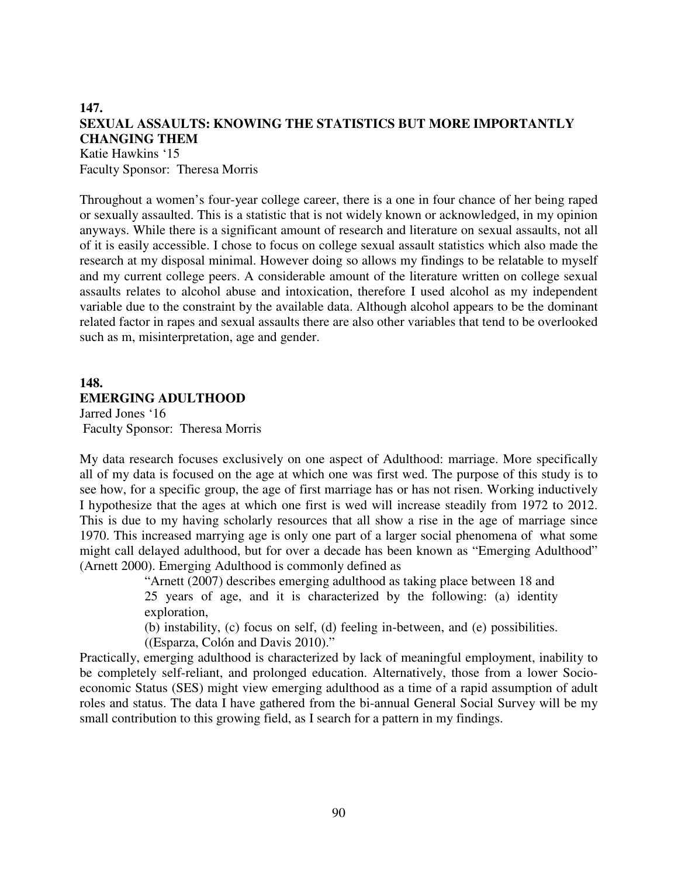# **147. SEXUAL ASSAULTS: KNOWING THE STATISTICS BUT MORE IMPORTANTLY CHANGING THEM**

Katie Hawkins '15 Faculty Sponsor: Theresa Morris

Throughout a women's four-year college career, there is a one in four chance of her being raped or sexually assaulted. This is a statistic that is not widely known or acknowledged, in my opinion anyways. While there is a significant amount of research and literature on sexual assaults, not all of it is easily accessible. I chose to focus on college sexual assault statistics which also made the research at my disposal minimal. However doing so allows my findings to be relatable to myself and my current college peers. A considerable amount of the literature written on college sexual assaults relates to alcohol abuse and intoxication, therefore I used alcohol as my independent variable due to the constraint by the available data. Although alcohol appears to be the dominant related factor in rapes and sexual assaults there are also other variables that tend to be overlooked such as m, misinterpretation, age and gender.

# **148. EMERGING ADULTHOOD**

Jarred Jones '16 Faculty Sponsor: Theresa Morris

My data research focuses exclusively on one aspect of Adulthood: marriage. More specifically all of my data is focused on the age at which one was first wed. The purpose of this study is to see how, for a specific group, the age of first marriage has or has not risen. Working inductively I hypothesize that the ages at which one first is wed will increase steadily from 1972 to 2012. This is due to my having scholarly resources that all show a rise in the age of marriage since 1970. This increased marrying age is only one part of a larger social phenomena of what some might call delayed adulthood, but for over a decade has been known as "Emerging Adulthood" (Arnett 2000). Emerging Adulthood is commonly defined as

> "Arnett (2007) describes emerging adulthood as taking place between 18 and 25 years of age, and it is characterized by the following: (a) identity exploration,

> (b) instability, (c) focus on self, (d) feeling in-between, and (e) possibilities. ((Esparza, Colón and Davis 2010)."

Practically, emerging adulthood is characterized by lack of meaningful employment, inability to be completely self-reliant, and prolonged education. Alternatively, those from a lower Socioeconomic Status (SES) might view emerging adulthood as a time of a rapid assumption of adult roles and status. The data I have gathered from the bi-annual General Social Survey will be my small contribution to this growing field, as I search for a pattern in my findings.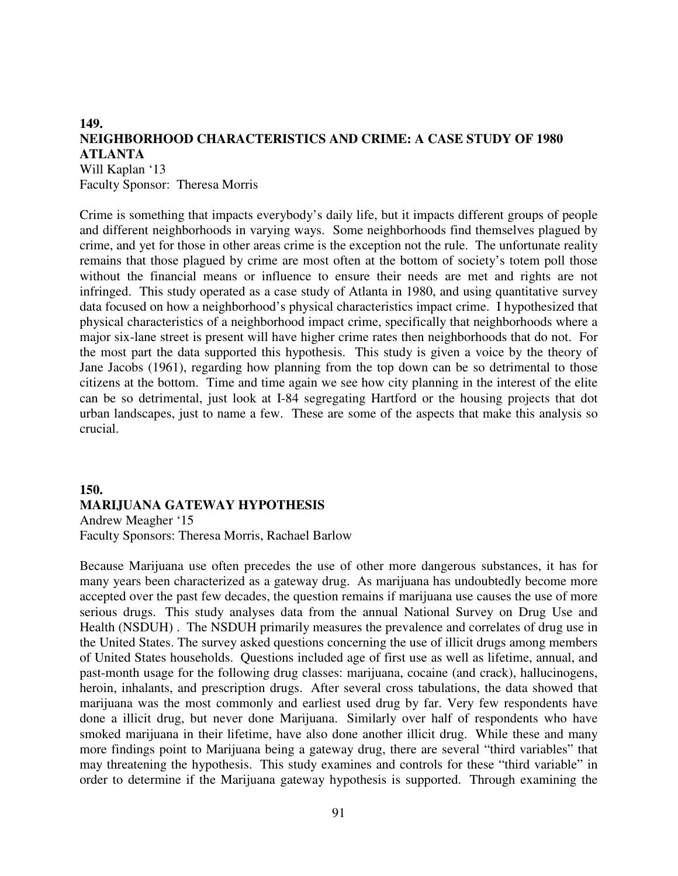#### **149. NEIGHBORHOOD CHARACTERISTICS AND CRIME: A CASE STUDY OF 1980 ATLANTA**

Will Kaplan '13 Faculty Sponsor: Theresa Morris

Crime is something that impacts everybody's daily life, but it impacts different groups of people and different neighborhoods in varying ways. Some neighborhoods find themselves plagued by crime, and yet for those in other areas crime is the exception not the rule. The unfortunate reality remains that those plagued by crime are most often at the bottom of society's totem poll those without the financial means or influence to ensure their needs are met and rights are not infringed. This study operated as a case study of Atlanta in 1980, and using quantitative survey data focused on how a neighborhood's physical characteristics impact crime. I hypothesized that physical characteristics of a neighborhood impact crime, specifically that neighborhoods where a major six-lane street is present will have higher crime rates then neighborhoods that do not. For the most part the data supported this hypothesis. This study is given a voice by the theory of Jane Jacobs (1961), regarding how planning from the top down can be so detrimental to those citizens at the bottom. Time and time again we see how city planning in the interest of the elite can be so detrimental, just look at I-84 segregating Hartford or the housing projects that dot urban landscapes, just to name a few. These are some of the aspects that make this analysis so crucial.

#### **150. MARIJUANA GATEWAY HYPOTHESIS** Andrew Meagher '15 Faculty Sponsors: Theresa Morris, Rachael Barlow

Because Marijuana use often precedes the use of other more dangerous substances, it has for many years been characterized as a gateway drug. As marijuana has undoubtedly become more accepted over the past few decades, the question remains if marijuana use causes the use of more serious drugs. This study analyses data from the annual National Survey on Drug Use and Health (NSDUH) . The NSDUH primarily measures the prevalence and correlates of drug use in the United States. The survey asked questions concerning the use of illicit drugs among members of United States households. Questions included age of first use as well as lifetime, annual, and past-month usage for the following drug classes: marijuana, cocaine (and crack), hallucinogens, heroin, inhalants, and prescription drugs. After several cross tabulations, the data showed that marijuana was the most commonly and earliest used drug by far. Very few respondents have done a illicit drug, but never done Marijuana. Similarly over half of respondents who have smoked marijuana in their lifetime, have also done another illicit drug. While these and many more findings point to Marijuana being a gateway drug, there are several "third variables" that may threatening the hypothesis. This study examines and controls for these "third variable" in order to determine if the Marijuana gateway hypothesis is supported. Through examining the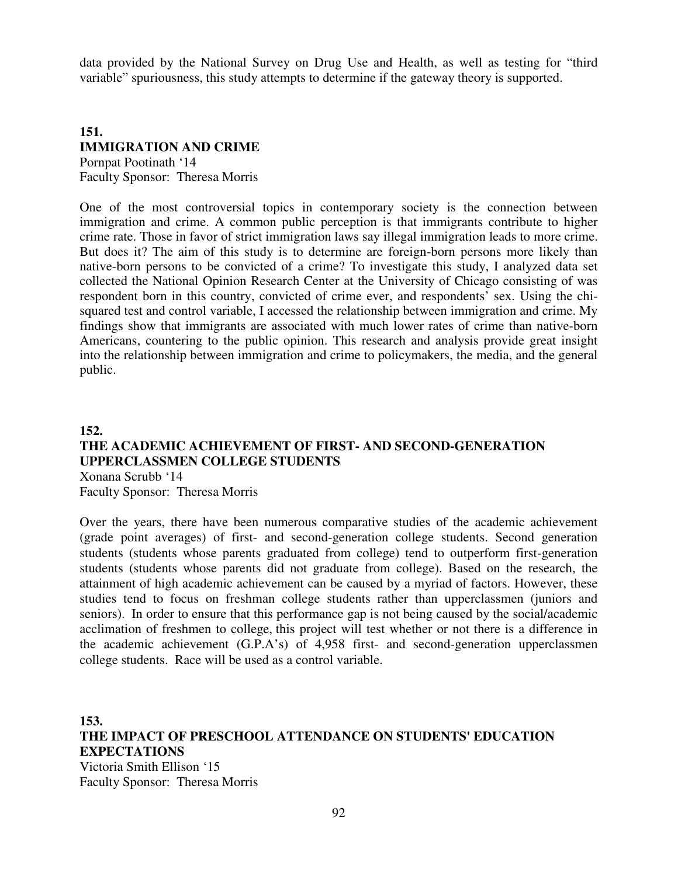data provided by the National Survey on Drug Use and Health, as well as testing for "third variable" spuriousness, this study attempts to determine if the gateway theory is supported.

# **151. IMMIGRATION AND CRIME**

Pornpat Pootinath '14 Faculty Sponsor: Theresa Morris

One of the most controversial topics in contemporary society is the connection between immigration and crime. A common public perception is that immigrants contribute to higher crime rate. Those in favor of strict immigration laws say illegal immigration leads to more crime. But does it? The aim of this study is to determine are foreign-born persons more likely than native-born persons to be convicted of a crime? To investigate this study, I analyzed data set collected the National Opinion Research Center at the University of Chicago consisting of was respondent born in this country, convicted of crime ever, and respondents' sex. Using the chisquared test and control variable, I accessed the relationship between immigration and crime. My findings show that immigrants are associated with much lower rates of crime than native-born Americans, countering to the public opinion. This research and analysis provide great insight into the relationship between immigration and crime to policymakers, the media, and the general public.

## **152. THE ACADEMIC ACHIEVEMENT OF FIRST- AND SECOND-GENERATION UPPERCLASSMEN COLLEGE STUDENTS** Xonana Scrubb '14 Faculty Sponsor: Theresa Morris

Over the years, there have been numerous comparative studies of the academic achievement (grade point averages) of first- and second-generation college students. Second generation students (students whose parents graduated from college) tend to outperform first-generation students (students whose parents did not graduate from college). Based on the research, the attainment of high academic achievement can be caused by a myriad of factors. However, these studies tend to focus on freshman college students rather than upperclassmen (juniors and seniors). In order to ensure that this performance gap is not being caused by the social/academic acclimation of freshmen to college, this project will test whether or not there is a difference in the academic achievement (G.P.A's) of 4,958 first- and second-generation upperclassmen college students. Race will be used as a control variable.

**153. THE IMPACT OF PRESCHOOL ATTENDANCE ON STUDENTS' EDUCATION EXPECTATIONS** Victoria Smith Ellison '15 Faculty Sponsor: Theresa Morris